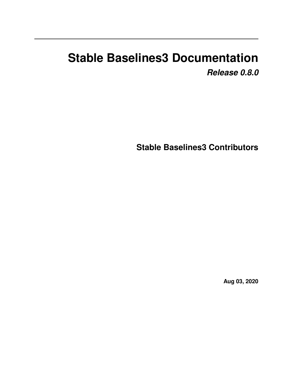# **Stable Baselines3 Documentation** *Release 0.8.0*

**Stable Baselines3 Contributors**

**Aug 03, 2020**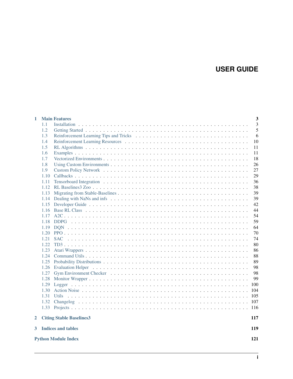# **USER GUIDE**

| 1 |      | <b>Main Features</b>            | 3   |
|---|------|---------------------------------|-----|
|   | 1.1  |                                 | 3   |
|   | 1.2  |                                 | 5   |
|   | 1.3  |                                 | 6   |
|   | 1.4  |                                 | 10  |
|   | 1.5  |                                 | 11  |
|   | 1.6  |                                 | 11  |
|   | 1.7  |                                 | 18  |
|   | 1.8  |                                 | 26  |
|   | 1.9  |                                 | 27  |
|   | 1.10 |                                 | 29  |
|   | 1.11 |                                 | 36  |
|   | 1.12 |                                 | 38  |
|   | 1.13 |                                 | 39  |
|   | 1.14 |                                 | 39  |
|   | 1.15 |                                 | 42  |
|   | 1.16 |                                 | 44  |
|   | 1.17 |                                 | 54  |
|   | 1.18 |                                 | 59  |
|   | 1.19 |                                 | 64  |
|   | 1.20 |                                 | 70  |
|   | 1.21 |                                 | 74  |
|   | 1.22 |                                 | 80  |
|   | 1.23 |                                 | 86  |
|   | 1.24 |                                 | 88  |
|   | 1.25 |                                 | 89  |
|   | 1.26 |                                 | 98  |
|   | 1.27 |                                 | 98  |
|   | 1.28 |                                 | 99  |
|   | 1.29 |                                 | 100 |
|   | 1.30 |                                 | 104 |
|   | 1.31 |                                 | 105 |
|   | 1.32 |                                 | 107 |
|   |      |                                 |     |
| 2 |      | <b>Citing Stable Baselines3</b> | 117 |
| 3 |      | <b>Indices and tables</b>       | 119 |
|   |      | <b>Python Module Index</b>      | 121 |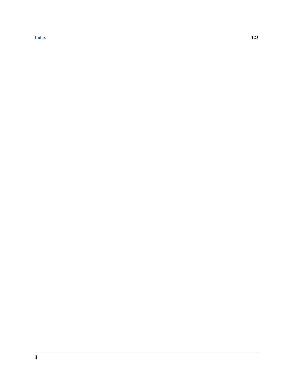[Index](#page-126-0) 123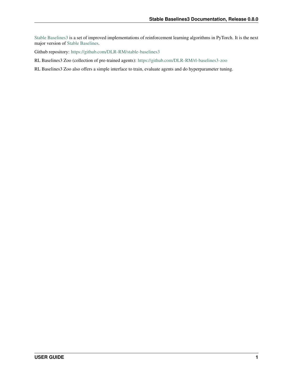[Stable Baselines3](https://github.com/DLR-RM/stable-baselines3) is a set of improved implementations of reinforcement learning algorithms in PyTorch. It is the next major version of [Stable Baselines.](https://github.com/hill-a/stable-baselines)

Github repository: <https://github.com/DLR-RM/stable-baselines3>

RL Baselines3 Zoo (collection of pre-trained agents): <https://github.com/DLR-RM/rl-baselines3-zoo>

RL Baselines3 Zoo also offers a simple interface to train, evaluate agents and do hyperparameter tuning.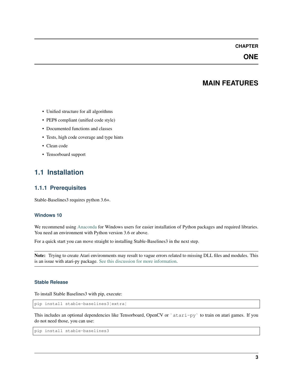# **CHAPTER**

# **ONE**

# **MAIN FEATURES**

- <span id="page-6-0"></span>• Unified structure for all algorithms
- PEP8 compliant (unified code style)
- Documented functions and classes
- Tests, high code coverage and type hints
- Clean code
- Tensorboard support

# <span id="page-6-1"></span>**1.1 Installation**

## **1.1.1 Prerequisites**

Stable-Baselines3 requires python 3.6+.

#### **Windows 10**

We recommend using [Anaconda](https://conda.io/docs/user-guide/install/windows.html) for Windows users for easier installation of Python packages and required libraries. You need an environment with Python version 3.6 or above.

For a quick start you can move straight to installing Stable-Baselines3 in the next step.

Note: Trying to create Atari environments may result to vague errors related to missing DLL files and modules. This is an issue with atari-py package. [See this discussion for more information.](https://github.com/openai/atari-py/issues/65)

#### **Stable Release**

To install Stable Baselines3 with pip, execute:

pip install stable-baselines3[extra]

This includes an optional dependencies like Tensorboard, OpenCV or `atari-py` to train on atari games. If you do not need those, you can use:

```
pip install stable-baselines3
```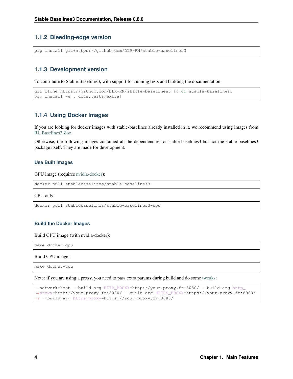# **1.1.2 Bleeding-edge version**

pip install git+https://github.com/DLR-RM/stable-baselines3

### **1.1.3 Development version**

To contribute to Stable-Baselines3, with support for running tests and building the documentation.

```
git clone https://github.com/DLR-RM/stable-baselines3 && cd stable-baselines3
pip install -e . [docs, tests, extra]
```
### **1.1.4 Using Docker Images**

If you are looking for docker images with stable-baselines already installed in it, we recommend using images from [RL Baselines3 Zoo.](https://github.com/DLR-RM/rl-baselines3-zoo)

Otherwise, the following images contained all the dependencies for stable-baselines3 but not the stable-baselines3 package itself. They are made for development.

#### **Use Built Images**

GPU image (requires [nvidia-docker\)](https://github.com/NVIDIA/nvidia-docker):

```
docker pull stablebaselines/stable-baselines3
```
CPU only:

```
docker pull stablebaselines/stable-baselines3-cpu
```
#### **Build the Docker Images**

Build GPU image (with nvidia-docker):

make docker-gpu

Build CPU image:

make docker-cpu

Note: if you are using a proxy, you need to pass extra params during build and do some [tweaks:](https://stackoverflow.com/questions/23111631/cannot-download-docker-images-behind-a-proxy)

```
--network=host --build-arg HTTP_PROXY=http://your.proxy.fr:8080/ --build-arg http
˓→proxy=http://your.proxy.fr:8080/ --build-arg HTTPS_PROXY=https://your.proxy.fr:8080/
˓→ --build-arg https_proxy=https://your.proxy.fr:8080/
```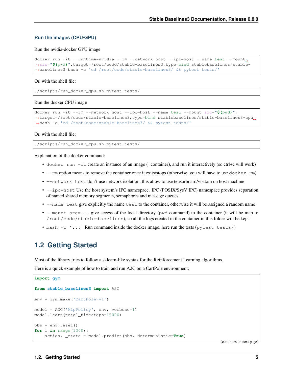#### **Run the images (CPU/GPU)**

#### Run the nvidia-docker GPU image

```
docker run -it --runtime=nvidia --rm --network host --ipc=host --name test --mount.
˓→src="$(pwd)",target=/root/code/stable-baselines3,type=bind stablebaselines/stable-
˓→baselines3 bash -c 'cd /root/code/stable-baselines3/ && pytest tests/'
```
#### Or, with the shell file:

./scripts/run\_docker\_gpu.sh pytest tests/

#### Run the docker CPU image

```
docker run -it --rm --network host --ipc=host --name test --mount src="$(pwd)",
˓→target=/root/code/stable-baselines3,type=bind stablebaselines/stable-baselines3-cpu
˓→bash -c 'cd /root/code/stable-baselines3/ && pytest tests/'
```
Or, with the shell file:

./scripts/run\_docker\_cpu.sh pytest tests/

Explanation of the docker command:

- docker run -it create an instance of an image (=container), and run it interactively (so ctrl+c will work)
- $\bullet$  --rm option means to remove the container once it exits/stops (otherwise, you will have to use docker rm)
- --network host don't use network isolation, this allow to use tensorboard/visdom on host machine
- $-\text{ipc}$ =host Use the host system's IPC namespace. IPC (POSIX/SysV IPC) namespace provides separation of named shared memory segments, semaphores and message queues.
- --name test give explicitly the name test to the container, otherwise it will be assigned a random name
- --mount src=... give access of the local directory (pwd command) to the container (it will be map to /root/code/stable-baselines), so all the logs created in the container in this folder will be kept
- bash -c '...' Run command inside the docker image, here run the tests (pytest tests/)

# <span id="page-8-0"></span>**1.2 Getting Started**

Most of the library tries to follow a sklearn-like syntax for the Reinforcement Learning algorithms.

Here is a quick example of how to train and run A2C on a CartPole environment:

```
import gym
from stable_baselines3 import A2C
env = gym.make('CartPole-v1')
model = A2C('MlpPolicy', env, verbose=1)
model.learn(total_timesteps=10000)
obs = env.reset()
for i in range(1000):
    action, _state = model.predict(obs, deterministic=True)
```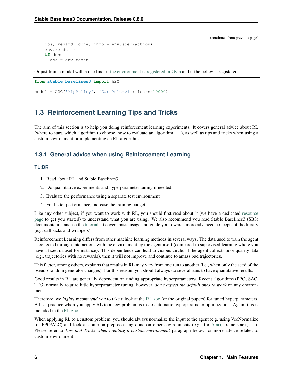```
obs, reward, done, info = env.step(action)
env.render()
if done:
  obs = env.reset()
```
Or just train a model with a one liner if [the environment is registered in Gym](https://github.com/openai/gym/wiki/Environments) and if the policy is registered:

```
from stable_baselines3 import A2C
```

```
model = A2C('MlpPolicy', 'CartPole-v1').learn(10000)
```
# <span id="page-9-0"></span>**1.3 Reinforcement Learning Tips and Tricks**

The aim of this section is to help you doing reinforcement learning experiments. It covers general advice about RL (where to start, which algorithm to choose, how to evaluate an algorithm,  $\dots$ ), as well as tips and tricks when using a custom environment or implementing an RL algorithm.

# **1.3.1 General advice when using Reinforcement Learning**

### **TL;DR**

- 1. Read about RL and Stable Baselines3
- 2. Do quantitative experiments and hyperparameter tuning if needed
- 3. Evaluate the performance using a separate test environment
- 4. For better performance, increase the training budget

Like any other subject, if you want to work with RL, you should first read about it (we have a dedicated [resource](rl.html) [page](rl.html) to get you started) to understand what you are using. We also recommend you read Stable Baselines3 (SB3) documentation and do the [tutorial.](https://github.com/araffin/rl-tutorial-jnrr19/tree/sb3) It covers basic usage and guide you towards more advanced concepts of the library (e.g. callbacks and wrappers).

Reinforcement Learning differs from other machine learning methods in several ways. The data used to train the agent is collected through interactions with the environment by the agent itself (compared to supervised learning where you have a fixed dataset for instance). This dependence can lead to vicious circle: if the agent collects poor quality data (e.g., trajectories with no rewards), then it will not improve and continue to amass bad trajectories.

This factor, among others, explains that results in RL may vary from one run to another (i.e., when only the seed of the pseudo-random generator changes). For this reason, you should always do several runs to have quantitative results.

Good results in RL are generally dependent on finding appropriate hyperparameters. Recent algorithms (PPO, SAC, TD3) normally require little hyperparameter tuning, however, *don't expect the default ones to work* on any environment.

Therefore, we *highly recommend you* to take a look at the [RL zoo](https://github.com/DLR-RM/rl-baselines3-zoo) (or the original papers) for tuned hyperparameters. A best practice when you apply RL to a new problem is to do automatic hyperparameter optimization. Again, this is included in the [RL zoo.](https://github.com/DLR-RM/rl-baselines3-zoo)

When applying RL to a custom problem, you should always normalize the input to the agent (e.g. using VecNormalize for PPO/A2C) and look at common preprocessing done on other environments (e.g. for [Atari,](https://danieltakeshi.github.io/2016/11/25/frame-skipping-and-preprocessing-for-deep-q-networks-on-atari-2600-games/) frame-stack, . . . ). Please refer to *Tips and Tricks when creating a custom environment* paragraph below for more advice related to custom environments.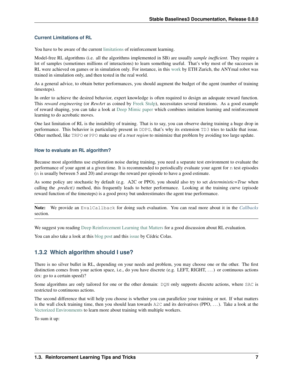### **Current Limitations of RL**

You have to be aware of the current [limitations](https://www.alexirpan.com/2018/02/14/rl-hard.html) of reinforcement learning.

Model-free RL algorithms (i.e. all the algorithms implemented in SB) are usually *sample inefficient*. They require a lot of samples (sometimes millions of interactions) to learn something useful. That's why most of the successes in RL were achieved on games or in simulation only. For instance, in this [work](https://www.youtube.com/watch?v=aTDkYFZFWug) by ETH Zurich, the ANYmal robot was trained in simulation only, and then tested in the real world.

As a general advice, to obtain better performances, you should augment the budget of the agent (number of training timesteps).

In order to achieve the desired behavior, expert knowledge is often required to design an adequate reward function. This *reward engineering* (or *RewArt* as coined by [Freek Stulp\)](http://www.freekstulp.net/), necessitates several iterations. As a good example of reward shaping, you can take a look at [Deep Mimic paper](https://xbpeng.github.io/projects/DeepMimic/index.html) which combines imitation learning and reinforcement learning to do acrobatic moves.

One last limitation of RL is the instability of training. That is to say, you can observe during training a huge drop in performance. This behavior is particularly present in DDPG, that's why its extension TD3 tries to tackle that issue. Other method, like TRPO or PPO make use of a *trust region* to minimize that problem by avoiding too large update.

#### **How to evaluate an RL algorithm?**

Because most algorithms use exploration noise during training, you need a separate test environment to evaluate the performance of your agent at a given time. It is recommended to periodically evaluate your agent for n test episodes (n is usually between 5 and 20) and average the reward per episode to have a good estimate.

As some policy are stochastic by default (e.g. A2C or PPO), you should also try to set *deterministic=True* when calling the *.predict()* method, this frequently leads to better performance. Looking at the training curve (episode reward function of the timesteps) is a good proxy but underestimates the agent true performance.

Note: We provide an EvalCallback for doing such evaluation. You can read more about it in the *[Callbacks](#page-32-0)* section.

We suggest you reading [Deep Reinforcement Learning that Matters](https://arxiv.org/abs/1709.06560) for a good discussion about RL evaluation.

You can also take a look at this [blog post](https://openlab-flowers.inria.fr/t/how-many-random-seeds-should-i-use-statistical-power-analysis-in-deep-reinforcement-learning-experiments/457) and this [issue](https://github.com/hill-a/stable-baselines/issues/199) by Cédric Colas.

# **1.3.2 Which algorithm should I use?**

There is no silver bullet in RL, depending on your needs and problem, you may choose one or the other. The first distinction comes from your action space, i.e., do you have discrete (e.g. LEFT, RIGHT, . . . ) or continuous actions (ex: go to a certain speed)?

Some algorithms are only tailored for one or the other domain: DQN only supports discrete actions, where SAC is restricted to continuous actions.

The second difference that will help you choose is whether you can parallelize your training or not. If what matters is the wall clock training time, then you should lean towards  $A2C$  and its derivatives (PPO, ...). Take a look at the [Vectorized Environments](vec_envs.html) to learn more about training with multiple workers.

To sum it up: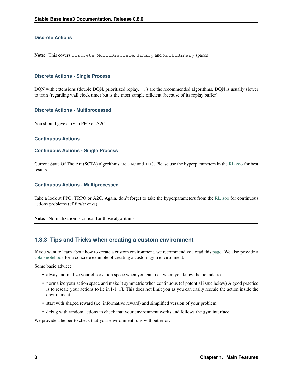#### **Discrete Actions**

Note: This covers Discrete, MultiDiscrete, Binary and MultiBinary spaces

#### **Discrete Actions - Single Process**

DQN with extensions (double DQN, prioritized replay, ...) are the recommended algorithms. DQN is usually slower to train (regarding wall clock time) but is the most sample efficient (because of its replay buffer).

#### **Discrete Actions - Multiprocessed**

You should give a try to PPO or A2C.

#### **Continuous Actions**

#### **Continuous Actions - Single Process**

Current State Of The Art (SOTA) algorithms are SAC and TD3. Please use the hyperparameters in the [RL zoo](https://github.com/DLR-RM/rl-baselines3-zoo) for best results.

#### **Continuous Actions - Multiprocessed**

Take a look at PPO, TRPO or A2C. Again, don't forget to take the hyperparameters from the [RL zoo](https://github.com/DLR-RM/rl-baselines3-zoo) for continuous actions problems (cf *Bullet* envs).

Note: Normalization is critical for those algorithms

### **1.3.3 Tips and Tricks when creating a custom environment**

If you want to learn about how to create a custom environment, we recommend you read this [page.](custom_env.html) We also provide a [colab notebook](https://colab.research.google.com/github/araffin/rl-tutorial-jnrr19/blob/master/5_custom_gym_env.ipynb) for a concrete example of creating a custom gym environment.

Some basic advice:

- always normalize your observation space when you can, i.e., when you know the boundaries
- normalize your action space and make it symmetric when continuous (cf potential issue below) A good practice is to rescale your actions to lie in [-1, 1]. This does not limit you as you can easily rescale the action inside the environment
- start with shaped reward (i.e. informative reward) and simplified version of your problem
- debug with random actions to check that your environment works and follows the gym interface:

We provide a helper to check that your environment runs without error: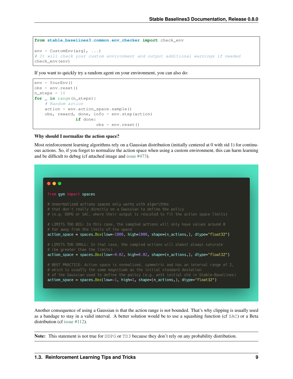```
from stable_baselines3.common.env_checker import check_env
env = CustomEnv(arg1, ...)
# It will check your custom environment and output additional warnings if needed
check_env(env)
```
If you want to quickly try a random agent on your environment, you can also do:

```
env = YourEnv()
obs = env.reset()
n_{\text{steps}} = 10for _ in range(n_steps):
    # Random action
    action = env.action_space.sample()
    obs, reward, done, info = env.step(action)
                 if done:
                        obs = env.reset()
```
#### Why should I normalize the action space?

Most reinforcement learning algorithms rely on a Gaussian distribution (initially centered at 0 with std 1) for continuous actions. So, if you forget to normalize the action space when using a custom environment, this can harm learning and be difficult to debug (cf attached image and [issue #473\)](https://github.com/hill-a/stable-baselines/issues/473).



Another consequence of using a Gaussian is that the action range is not bounded. That's why clipping is usually used as a bandage to stay in a valid interval. A better solution would be to use a squashing function (cf SAC) or a Beta distribution (cf [issue #112\)](https://github.com/hill-a/stable-baselines/issues/112).

Note: This statement is not true for DDPG or TD3 because they don't rely on any probability distribution.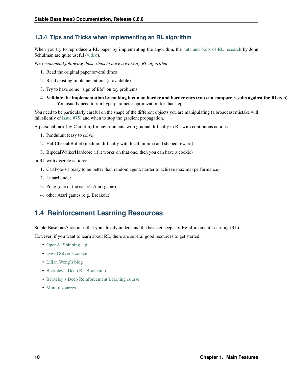# **1.3.4 Tips and Tricks when implementing an RL algorithm**

When you try to reproduce a RL paper by implementing the algorithm, the [nuts and bolts of RL research](http://joschu.net/docs/nuts-and-bolts.pdf) by John Schulman are quite useful [\(video\)](https://www.youtube.com/watch?v=8EcdaCk9KaQ).

We *recommend following those steps to have a working RL algorithm*:

- 1. Read the original paper several times
- 2. Read existing implementations (if available)
- 3. Try to have some "sign of life" on toy problems
- 4. Validate the implementation by making it run on harder and harder envs (you can compare results against the RL zoo) You usually need to run hyperparameter optimization for that step.

You need to be particularly careful on the shape of the different objects you are manipulating (a broadcast mistake will fail silently cf [issue #75\)](https://github.com/hill-a/stable-baselines/pull/76) and when to stop the gradient propagation.

A personal pick (by @araffin) for environments with gradual difficulty in RL with continuous actions:

- 1. Pendulum (easy to solve)
- 2. HalfCheetahBullet (medium difficulty with local minima and shaped reward)
- 3. BipedalWalkerHardcore (if it works on that one, then you can have a cookie)

in RL with discrete actions:

- 1. CartPole-v1 (easy to be better than random agent, harder to achieve maximal performance)
- 2. LunarLander
- 3. Pong (one of the easiest Atari game)
- 4. other Atari games (e.g. Breakout)

# <span id="page-13-0"></span>**1.4 Reinforcement Learning Resources**

Stable-Baselines3 assumes that you already understand the basic concepts of Reinforcement Learning (RL).

However, if you want to learn about RL, there are several good resources to get started:

- [OpenAI Spinning Up](https://spinningup.openai.com/en/latest/)
- [David Silver's course](http://www0.cs.ucl.ac.uk/staff/d.silver/web/Teaching.html)
- [Lilian Weng's blog](https://lilianweng.github.io/lil-log/2018/04/08/policy-gradient-algorithms.html)
- [Berkeley's Deep RL Bootcamp](https://sites.google.com/view/deep-rl-bootcamp/lectures)
- [Berkeley's Deep Reinforcement Learning course](http://rail.eecs.berkeley.edu/deeprlcourse/)
- [More resources](https://github.com/dennybritz/reinforcement-learning)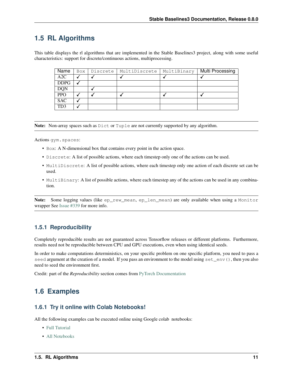# <span id="page-14-0"></span>**1.5 RL Algorithms**

This table displays the rl algorithms that are implemented in the Stable Baselines3 project, along with some useful characteristics: support for discrete/continuous actions, multiprocessing.

| Name        | Box | Discrete | MultiDiscrete | MultiBinary | Multi Processing |
|-------------|-----|----------|---------------|-------------|------------------|
| A2C         |     |          |               |             |                  |
| <b>DDPG</b> |     |          |               |             |                  |
| <b>DQN</b>  |     |          |               |             |                  |
| <b>PPO</b>  |     |          |               |             |                  |
| <b>SAC</b>  |     |          |               |             |                  |
| TD3         |     |          |               |             |                  |

Note: Non-array spaces such as  $Dict$  or Tuple are not currently supported by any algorithm.

Actions gym.spaces:

- Box: A N-dimensional box that contains every point in the action space.
- Discrete: A list of possible actions, where each timestep only one of the actions can be used.
- MultiDiscrete: A list of possible actions, where each timestep only one action of each discrete set can be used.
- MultiBinary: A list of possible actions, where each timestep any of the actions can be used in any combination.

Note: Some logging values (like ep\_rew\_mean, ep\_len\_mean) are only available when using a Monitor wrapper See [Issue #339](https://github.com/hill-a/stable-baselines/issues/339) for more info.

## **1.5.1 Reproducibility**

Completely reproducible results are not guaranteed across Tensorflow releases or different platforms. Furthermore, results need not be reproducible between CPU and GPU executions, even when using identical seeds.

In order to make computations deterministics, on your specific problem on one specific platform, you need to pass a seed argument at the creation of a model. If you pass an environment to the model using set\_env(), then you also need to seed the environment first.

Credit: part of the *Reproducibility* section comes from [PyTorch Documentation](https://pytorch.org/docs/stable/notes/randomness.html)

# <span id="page-14-1"></span>**1.6 Examples**

### **1.6.1 Try it online with Colab Notebooks!**

All the following examples can be executed online using Google colab notebooks:

- [Full Tutorial](https://github.com/araffin/rl-tutorial-jnrr19/tree/sb3)
- [All Notebooks](https://github.com/Stable-Baselines-Team/rl-colab-notebooks/tree/sb3)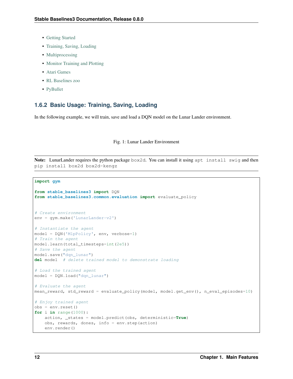- [Getting Started](https://colab.research.google.com/github/Stable-Baselines-Team/rl-colab-notebooks/blob/sb3/stable_baselines_getting_started.ipynb)
- [Training, Saving, Loading](https://colab.research.google.com/github/Stable-Baselines-Team/rl-colab-notebooks/blob/sb3/saving_loading_dqn.ipynb)
- [Multiprocessing](https://colab.research.google.com/github/Stable-Baselines-Team/rl-colab-notebooks/blob/sb3/multiprocessing_rl.ipynb)
- [Monitor Training and Plotting](https://colab.research.google.com/github/Stable-Baselines-Team/rl-colab-notebooks/blob/sb3/monitor_training.ipynb)
- [Atari Games](https://colab.research.google.com/github/Stable-Baselines-Team/rl-colab-notebooks/blob/sb3/atari_games.ipynb)
- [RL Baselines zoo](https://colab.research.google.com/github/Stable-Baselines-Team/rl-colab-notebooks/blob/sb3/rl-baselines-zoo.ipynb)
- [PyBullet](https://colab.research.google.com/github/Stable-Baselines-Team/rl-colab-notebooks/blob/sb3/pybullet.ipynb)

## **1.6.2 Basic Usage: Training, Saving, Loading**

In the following example, we will train, save and load a DQN model on the Lunar Lander environment.

#### Fig. 1: Lunar Lander Environment

Note: LunarLander requires the python package box2d. You can install it using apt install swig and then pip install box2d box2d-kengz

```
import gym
from stable_baselines3 import DQN
from stable_baselines3.common.evaluation import evaluate_policy
# Create environment
env = gym.make('LunarLander-v2')
# Instantiate the agent
model = DQN('MlpPolicy', env, verbose=1)
# Train the agent
model.learn(total_timesteps=int(2e5))
# Save the agent
model.save("dqn_lunar")
del model # delete trained model to demonstrate loading
# Load the trained agent
model = DQN.load("dqn_lunar")
# Evaluate the agent
mean_reward, std_reward = evaluate_policy(model, model.get_env(), n_eval_episodes=10)
# Enjoy trained agent
obs = env \text{.reset}()for i in range(1000):
    action, _states = model.predict(obs, deterministic=True)
    obs, rewards, dones, info = env.step(action)
    env.render()
```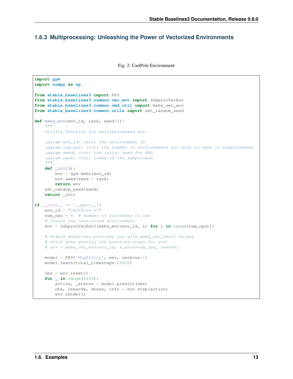# **1.6.3 Multiprocessing: Unleashing the Power of Vectorized Environments**

Fig. 2: CartPole Environment

```
import gym
import numpy as np
from stable_baselines3 import PPO
from stable_baselines3.common.vec_env import SubprocVecEnv
from stable_baselines3.common.cmd_util import make_vec_env
from stable_baselines3.common.utils import set_random_seed
def make_env(env_id, rank, seed=0):
    "''"''"''"Utility function for multiprocessed env.
    :param env_id: (str) the environment ID
    :param num_env: (int) the number of environments you wish to have in subprocesses
    :param seed: (int) the inital seed for RNG
    :param rank: (int) index of the subprocess
    "''"''"''"''"def _init():
        env = gym.make(env_id)
        env.seed(seed + rank)
        return env
    set_random_seed(seed)
    return _init
if __name__ == '__main__':
   env_id = "CartPole-v1"
   num_cpu = 4 # Number of processes to use
   # Create the vectorized environment
   env = SubprocVecEnv([make_env(env_id, i) for i in range(num_cpu)])
    # Stable Baselines provides you with make_vec_env() helper
    # which does exactly the previous steps for you:
    # env = make_vec_env(env_id, n_envs=num_cpu, seed=0)
   model = PPO('MlpPolicy', env, verbose=1)
   model.learn(total_timesteps=25000)
   obs = env{\text{.reset}}()for _ in range(1000):
        action, _states = model.predict(obs)
        obs, rewards, dones, info = env.step(action)
        env.render()
```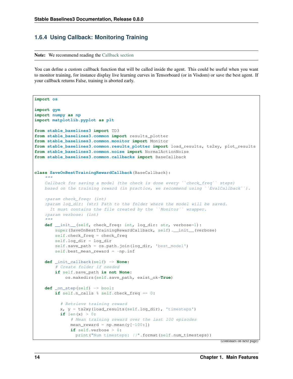# **1.6.4 Using Callback: Monitoring Training**

Note: We recommend reading the [Callback section](callbacks.html)

You can define a custom callback function that will be called inside the agent. This could be useful when you want to monitor training, for instance display live learning curves in Tensorboard (or in Visdom) or save the best agent. If your callback returns False, training is aborted early.

```
import os
import gym
import numpy as np
import matplotlib.pyplot as plt
from stable_baselines3 import TD3
from stable_baselines3.common import results_plotter
from stable_baselines3.common.monitor import Monitor
from stable_baselines3.common.results_plotter import load_results, ts2xy, plot_results
from stable_baselines3.common.noise import NormalActionNoise
from stable_baselines3.common.callbacks import BaseCallback
class SaveOnBestTrainingRewardCallback(BaseCallback):
    """
    Callback for saving a model (the check is done every ''check_freq'' steps)
   based on the training reward (in practice, we recommend using ``EvalCallback``).
    :param check_freq: (int)
    :param log_dir: (str) Path to the folder where the model will be saved.
     It must contains the file created by the ``Monitor`` wrapper.
    :param verbose: (int)
    "''"''"''"def __init__(self, check_freq: int, log_dir: str, verbose=1):
        super(SaveOnBestTrainingRewardCallback, self).__init__(verbose)
        self.check_freq = check_freq
        self.log_dir = log_dir
        self.save_path = os.path.join(log_dir, 'best_model')
        self.best_mean_reward = -np.inf
   def _init_callback(self) -> None:
        # Create folder if needed
        if self.save_path is not None:
            os.makedirs(self.save_path, exist_ok=True)
   def _on_step(self) -> bool:
        if self.n_calls % self.check_freq == 0:
          # Retrieve training reward
          x, y = ts2xy(load_results(self.log_dir), 'timesteps')
          if len(x) > 0:
              # Mean training reward over the last 100 episodes
              mean reward = np.mean(y[-100:])if self.verbose > 0:
                print("Num timesteps: {}".format(self.num_timesteps))
```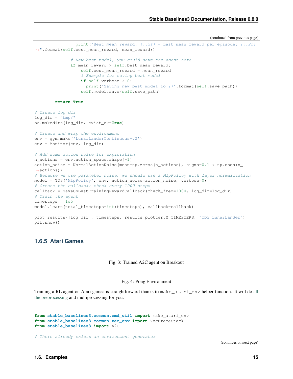```
(continued from previous page)
```

```
print ("Best mean reward: \{f:2f\} - Last mean reward per episode: \{f:2f\}˓→".format(self.best_mean_reward, mean_reward))
               # New best model, you could save the agent here
              if mean_reward > self.best_mean_reward:
                   self.best_mean_reward = mean_reward
                   # Example for saving best model
                   if self.verbose > 0:
                    print("Saving new best model to {}".format(self.save_path))
                   self.model.save(self.save_path)
        return True
# Create log dir
log dir = "tmp/"os.makedirs(log_dir, exist_ok=True)
# Create and wrap the environment
env = gym.make('LunarLanderContinuous-v2')
env = Monitor(env, log_dir)
# Add some action noise for exploration
n_{\text{actions}} = env.\text{action\_space}.\text{shape}[-1]action_noise = NormalActionNoise(mean=np.zeros(n_actions), sigma=0.1 \times np.\text{ones}(n˓→actions))
# Because we use parameter noise, we should use a MlpPolicy with layer normalization
model = TD3('MlpPolicy', env, action_noise=action_noise, verbose=0)
# Create the callback: check every 1000 steps
callback = SaveOnBestTrainingRewardCallback(check_freq=1000, log_dir=log_dir)
# Train the agent
timesteps = 1e5
model.learn(total_timesteps=int(timesteps), callback=callback)
plot_results([log_dir], timesteps, results_plotter.X_TIMESTEPS, "TD3 LunarLander")
plt.show()
```
# **1.6.5 Atari Games**

#### Fig. 3: Trained A2C agent on Breakout

#### Fig. 4: Pong Environment

Training a RL agent on Atari games is straightforward thanks to make\_atari\_env helper function. It will do [all](https://danieltakeshi.github.io/2016/11/25/frame-skipping-and-preprocessing-for-deep-q-networks-on-atari-2600-games/) [the preprocessing](https://danieltakeshi.github.io/2016/11/25/frame-skipping-and-preprocessing-for-deep-q-networks-on-atari-2600-games/) and multiprocessing for you.

```
from stable_baselines3.common.cmd_util import make_atari_env
from stable_baselines3.common.vec_env import VecFrameStack
from stable_baselines3 import A2C
```
# There already exists an environment generator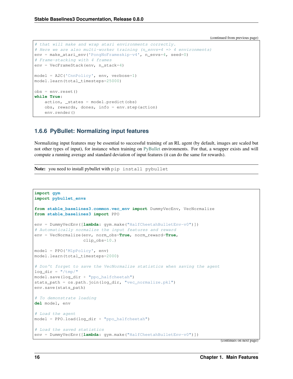```
# that will make and wrap atari environments correctly.
# Here we are also multi-worker training (n_envs=4 => 4 environments)
env = make_atari_env('PongNoFrameskip-v4', n_envs=4, seed=0)
# Frame-stacking with 4 frames
env = VecFrameStack(env, n_stack=4)
model = A2C('CnnPolicy', env, verbose=1)
model.learn(total_timesteps=25000)
obs = env.reset()
while True:
   action, _states = model.predict(obs)obs, rewards, dones, info = env.step(action)
   env.render()
```
# **1.6.6 PyBullet: Normalizing input features**

Normalizing input features may be essential to successful training of an RL agent (by default, images are scaled but not other types of input), for instance when training on [PyBullet](https://github.com/bulletphysics/bullet3/) environments. For that, a wrapper exists and will compute a running average and standard deviation of input features (it can do the same for rewards).

Note: you need to install pybullet with pip install pybullet

```
import gym
import pybullet_envs
from stable_baselines3.common.vec_env import DummyVecEnv, VecNormalize
from stable_baselines3 import PPO
env = DummyVecEnv([lambda: gym.make("HalfCheetahBulletEnv-v0")])
# Automatically normalize the input features and reward
env = VecNormalize(env, norm_obs=True, norm_reward=True,
                   clip_obs=10.)
model = PPO('MlpPolicy', env)
model.learn(total_timesteps=2000)
# Don't forget to save the VecNormalize statistics when saving the agent
log_dir = "/tmp/"model.save(log_dir + "ppo_halfcheetah")
stats_path = os.path.join(log_dir, "vec_normalize.pkl")
env.save(stats_path)
# To demonstrate loading
del model, env
# Load the agent
model = PPO.load(log\_dir + "ppo\_halfcheetah")# Load the saved statistics
env = DummyVecEnv([lambda: gym.make("HalfCheetahBulletEnv-v0")])
```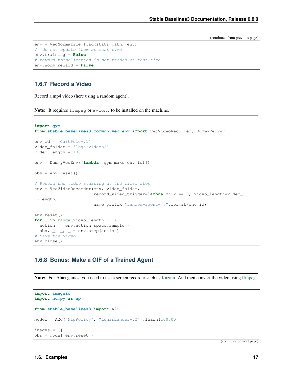```
env = VecNormalize.load(stats_path, env)
# do not update them at test time
env.training = False
# reward normalization is not needed at test time
env.norm_reward = False
```
# **1.6.7 Record a Video**

Record a mp4 video (here using a random agent).

Note: It requires ffmpeg or avconv to be installed on the machine.

```
import gym
from stable_baselines3.common.vec_env import VecVideoRecorder, DummyVecEnv
env_id = 'CartPole-v1'
video_folder = 'logs/videos/'
video_length = 100
env = DummyVecEnv([lambda: gym.make(env_id)])
obs = env{\text{.reset}}()# Record the video starting at the first step
env = VecVideoRecorder(env, video_folder,
                       record_video_trigger=lambda x: x == 0, video_length=video_
˓→length,
                       name_prefix="random-agent-{}".format(env_id))
env.reset()
for _ in range(video_length + 1):
 action = [env.action_space.sample()]
 obs, -, -, - = env. step (action)# Save the video
env.close()
```
### **1.6.8 Bonus: Make a GIF of a Trained Agent**

Note: For Atari games, you need to use a screen recorder such as [Kazam.](https://launchpad.net/kazam) And then convert the video using [ffmpeg](https://superuser.com/questions/556029/how-do-i-convert-a-video-to-gif-using-ffmpeg-with-reasonable-quality)

```
import imageio
import numpy as np
from stable_baselines3 import A2C
model = A2C("M1pPolicy", "LunarLander-v2"). learn (100000)
images = []obs = model.env.reset()
```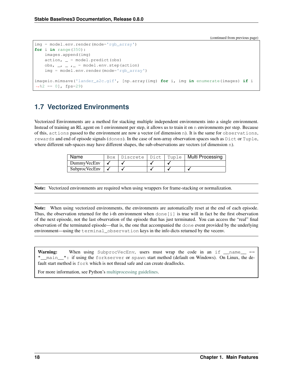```
img = model.env.render(mode='rgb_array')
for i in range(350):
   images.append(img)
    action, \_ = model.predict(obs)obs, -, - , - = model.env.step(action)
    img = model.env.render(mode='rgb_array')
imageio.mimsave('lander_a2c.gif', [np.array(img) for i, img in enumerate(images) if i
\leftrightarrow 82 == 0], fps=29)
```
# <span id="page-21-0"></span>**1.7 Vectorized Environments**

Vectorized Environments are a method for stacking multiple independent environments into a single environment. Instead of training an RL agent on 1 environment per step, it allows us to train it on n environments per step. Because of this, actions passed to the environment are now a vector (of dimension n). It is the same for observations, rewards and end of episode signals (dones). In the case of non-array observation spaces such as Dict or Tuple, where different sub-spaces may have different shapes, the sub-observations are vectors (of dimension n).

| Name           |  |  | Box   Discrete   Dict   Tuple   Multi Processing |
|----------------|--|--|--------------------------------------------------|
| DummyVecEnv    |  |  |                                                  |
| Subproc VecEnv |  |  |                                                  |

Note: Vectorized environments are required when using wrappers for frame-stacking or normalization.

Note: When using vectorized environments, the environments are automatically reset at the end of each episode. Thus, the observation returned for the i-th environment when done[i] is true will in fact be the first observation of the next episode, not the last observation of the episode that has just terminated. You can access the "real" final observation of the terminated episode—that is, the one that accompanied the done event provided by the underlying environment—using the terminal\_observation keys in the info dicts returned by the vecenv.

**Warning:** When using SubprocVecEnv, users must wrap the code in an if  $\text{name}$  == " main ": if using the forkserver or spawn start method (default on Windows). On Linux, the default start method is fork which is not thread safe and can create deadlocks.

For more information, see Python's [multiprocessing guidelines.](https://docs.python.org/3/library/multiprocessing.html#the-spawn-and-forkserver-start-methods)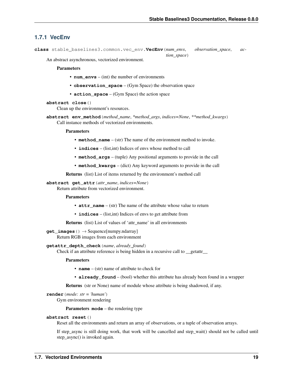*tion\_space*)

# **1.7.1 VecEnv**

**class** stable\_baselines3.common.vec\_env.**VecEnv**(*num\_envs*, *observation\_space*, *ac-*

An abstract asynchronous, vectorized environment.

#### **Parameters**

- **num\_envs** (int) the number of environments
- **observation\_space** (Gym Space) the observation space
- **action\_space** (Gym Space) the action space

#### **abstract close**()

Clean up the environment's resources.

**abstract env\_method**(*method\_name*, *\*method\_args*, *indices=None*, *\*\*method\_kwargs*) Call instance methods of vectorized environments.

#### Parameters

- **method\_name** (str) The name of the environment method to invoke.
- **indices** (list,int) Indices of envs whose method to call
- **method\_args** (tuple) Any positional arguments to provide in the call
- **method\_kwargs** (dict) Any keyword arguments to provide in the call

Returns (list) List of items returned by the environment's method call

#### **abstract get\_attr**(*attr\_name*, *indices=None*)

Return attribute from vectorized environment.

#### Parameters

- **attr\_name** (str) The name of the attribute whose value to return
- **indices** (list,int) Indices of envs to get attribute from

Returns (list) List of values of 'attr\_name' in all environments

#### **get\_images**() → Sequence[numpy.ndarray]

Return RGB images from each environment

#### **getattr\_depth\_check**(*name*, *already\_found*)

Check if an attribute reference is being hidden in a recursive call to \_\_getattr\_\_

#### Parameters

- **name** (str) name of attribute to check for
- **already** found (bool) whether this attribute has already been found in a wrapper

Returns (str or None) name of module whose attribute is being shadowed, if any.

```
render(mode: str = 'human')
    Gym environment rendering
```
Parameters **mode** – the rendering type

#### **abstract reset**()

Reset all the environments and return an array of observations, or a tuple of observation arrays.

If step\_async is still doing work, that work will be cancelled and step\_wait() should not be called until step\_async() is invoked again.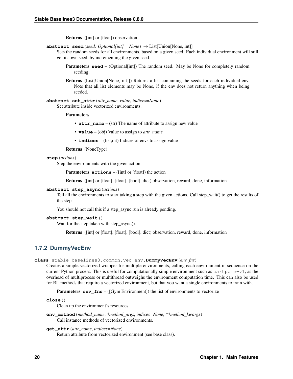Returns ([int] or [float]) observation

**abstract seed** (*seed: Optional[int]* = *None*)  $\rightarrow$  List[Union[None, int]]

Sets the random seeds for all environments, based on a given seed. Each individual environment will still get its own seed, by incrementing the given seed.

- **Parameters seed** (Optional [int]) The random seed. May be None for completely random seeding.
- Returns (List[Union[None, int]]) Returns a list containing the seeds for each individual env. Note that all list elements may be None, if the env does not return anything when being seeded.

**abstract set\_attr**(*attr\_name*, *value*, *indices=None*) Set attribute inside vectorized environments.

#### **Parameters**

- **attr\_name** (str) The name of attribute to assign new value
- **value** (obj) Value to assign to *attr\_name*
- **indices** (list, int) Indices of envs to assign value

Returns (NoneType)

#### **step**(*actions*)

Step the environments with the given action

Parameters **actions** – ([int] or [float]) the action

Returns ([int] or [float], [float], [bool], dict) observation, reward, done, information

#### **abstract step\_async**(*actions*)

Tell all the environments to start taking a step with the given actions. Call step\_wait() to get the results of the step.

You should not call this if a step\_async run is already pending.

#### **abstract step\_wait**()

Wait for the step taken with step\_async().

Returns ([int] or [float], [float], [bool], dict) observation, reward, done, information

### **1.7.2 DummyVecEnv**

```
class stable_baselines3.common.vec_env.DummyVecEnv(env_fns)
```
Creates a simple vectorized wrapper for multiple environments, calling each environment in sequence on the current Python process. This is useful for computationally simple environment such as  $\text{cartpole}-v1$ , as the overhead of multiprocess or multithread outweighs the environment computation time. This can also be used for RL methods that require a vectorized environment, but that you want a single environments to train with.

**Parameters <b>env\_fns** – ([Gym Environment]) the list of environments to vectorize

```
close()
```
Clean up the environment's resources.

**env\_method**(*method\_name*, *\*method\_args*, *indices=None*, *\*\*method\_kwargs*) Call instance methods of vectorized environments.

#### **get\_attr**(*attr\_name*, *indices=None*)

Return attribute from vectorized environment (see base class).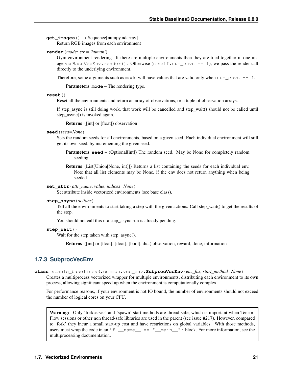**get images** () → Sequence[numpy.ndarray] Return RGB images from each environment

**render**(*mode: str = 'human'*)

Gym environment rendering. If there are multiple environments then they are tiled together in one image via BaseVecEnv.render(). Otherwise (if self.num\_envs == 1), we pass the render call directly to the underlying environment.

Therefore, some arguments such as mode will have values that are valid only when  $num\_envs == 1$ .

Parameters **mode** – The rendering type.

#### **reset**()

Reset all the environments and return an array of observations, or a tuple of observation arrays.

If step\_async is still doing work, that work will be cancelled and step\_wait() should not be called until step\_async() is invoked again.

Returns ([int] or [float]) observation

#### **seed**(*seed=None*)

Sets the random seeds for all environments, based on a given seed. Each individual environment will still get its own seed, by incrementing the given seed.

**Parameters seed** – (Optional[int]) The random seed. May be None for completely random seeding.

Returns (List[Union[None, int]]) Returns a list containing the seeds for each individual env. Note that all list elements may be None, if the env does not return anything when being seeded.

#### **set\_attr**(*attr\_name*, *value*, *indices=None*)

Set attribute inside vectorized environments (see base class).

#### **step\_async**(*actions*)

Tell all the environments to start taking a step with the given actions. Call step\_wait() to get the results of the step.

You should not call this if a step\_async run is already pending.

#### **step\_wait**()

Wait for the step taken with step async().

Returns ([int] or [float], [float], [bool], dict) observation, reward, done, information

### **1.7.3 SubprocVecEnv**

**class** stable\_baselines3.common.vec\_env.**SubprocVecEnv**(*env\_fns*, *start\_method=None*)

Creates a multiprocess vectorized wrapper for multiple environments, distributing each environment to its own process, allowing significant speed up when the environment is computationally complex.

For performance reasons, if your environment is not IO bound, the number of environments should not exceed the number of logical cores on your CPU.

Warning: Only 'forkserver' and 'spawn' start methods are thread-safe, which is important when Tensor-Flow sessions or other non thread-safe libraries are used in the parent (see issue #217). However, compared to 'fork' they incur a small start-up cost and have restrictions on global variables. With those methods, users must wrap the code in an if  $\_\$ name $\_\$  ==  $\$ " $\_\$ main $\_\$ ": block. For more information, see the multiprocessing documentation.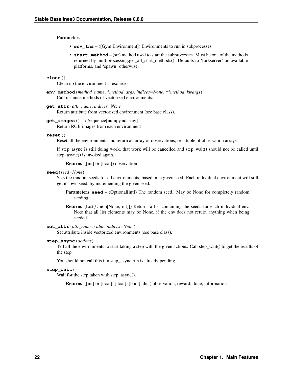#### Parameters

- **env\_fns** ([Gym Environment]) Environments to run in subprocesses
- start\_method (str) method used to start the subprocesses. Must be one of the methods returned by multiprocessing.get\_all\_start\_methods(). Defaults to 'forkserver' on available platforms, and 'spawn' otherwise.

#### **close**()

Clean up the environment's resources.

**env\_method**(*method\_name*, *\*method\_args*, *indices=None*, *\*\*method\_kwargs*) Call instance methods of vectorized environments.

#### **get\_attr**(*attr\_name*, *indices=None*)

Return attribute from vectorized environment (see base class).

### **get\_images**() → Sequence[numpy.ndarray]

Return RGB images from each environment

#### **reset**()

Reset all the environments and return an array of observations, or a tuple of observation arrays.

If step\_async is still doing work, that work will be cancelled and step\_wait() should not be called until step\_async() is invoked again.

Returns ([int] or [float]) observation

#### **seed**(*seed=None*)

Sets the random seeds for all environments, based on a given seed. Each individual environment will still get its own seed, by incrementing the given seed.

**Parameters seed** – (Optional[int]) The random seed. May be None for completely random seeding.

Returns (List[Union[None, int]]) Returns a list containing the seeds for each individual env. Note that all list elements may be None, if the env does not return anything when being seeded.

#### **set\_attr**(*attr\_name*, *value*, *indices=None*)

Set attribute inside vectorized environments (see base class).

#### **step\_async**(*actions*)

Tell all the environments to start taking a step with the given actions. Call step\_wait() to get the results of the step.

You should not call this if a step\_async run is already pending.

#### **step\_wait**()

Wait for the step taken with step async().

Returns ([int] or [float], [float], [bool], dict) observation, reward, done, information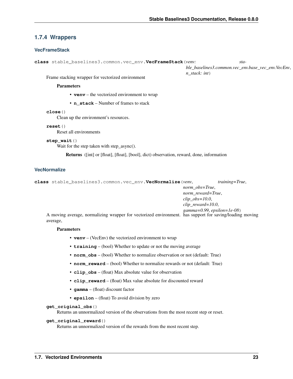# **1.7.4 Wrappers**

#### **VecFrameStack**

**class** stable\_baselines3.common.vec\_env.**VecFrameStack**(*venv: stable\_baselines3.common.vec\_env.base\_vec\_env.VecEnv*, *n\_stack: int*)

Frame stacking wrapper for vectorized environment

#### Parameters

- **venv** the vectorized environment to wrap
- **n\_stack** Number of frames to stack

#### **close**()

Clean up the environment's resources.

#### **reset**()

Reset all environments

#### **step\_wait**()

Wait for the step taken with step\_async().

Returns ([int] or [float], [float], [bool], dict) observation, reward, done, information

#### **VecNormalize**

```
class stable_baselines3.common.vec_env.VecNormalize(venv, training=True,
                                                           norm_obs=True,
                                                           norm_reward=True,
                                                           clip_obs=10.0,
                                                           clip_reward=10.0,
                                                           gamma=0.99, epsilon=1e-08)
```
A moving average, normalizing wrapper for vectorized environment. has support for saving/loading moving average,

#### **Parameters**

- **venv** (VecEnv) the vectorized environment to wrap
- **training** (bool) Whether to update or not the moving average
- **norm\_obs** (bool) Whether to normalize observation or not (default: True)
- **norm\_reward** (bool) Whether to normalize rewards or not (default: True)
- **clip\_obs** (float) Max absolute value for observation
- **clip\_reward** (float) Max value absolute for discounted reward
- **gamma** (float) discount factor
- **epsilon** (float) To avoid division by zero

#### **get\_original\_obs**()

Returns an unnormalized version of the observations from the most recent step or reset.

#### **get\_original\_reward**()

Returns an unnormalized version of the rewards from the most recent step.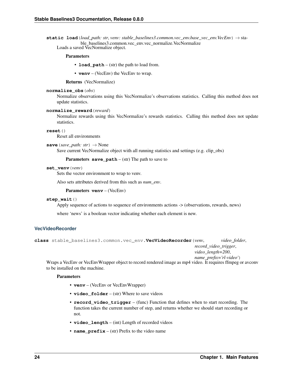static load *(load\_path: str, venv: stable\_baselines3.common.vec\_env.base\_vec\_env.VecEnv*) → stable\_baselines3.common.vec\_env.vec\_normalize.VecNormalize

Loads a saved VecNormalize object.

#### Parameters

- **load\_path** (str) the path to load from.
- **venv** (VecEnv) the VecEnv to wrap.

Returns (VecNormalize)

#### **normalize\_obs**(*obs*)

Normalize observations using this VecNormalize's observations statistics. Calling this method does not update statistics.

#### **normalize\_reward**(*reward*)

Normalize rewards using this VecNormalize's rewards statistics. Calling this method does not update statistics.

**reset**()

Reset all environments

#### **save** (*save\_path: str*)  $\rightarrow$  None

Save current VecNormalize object with all running statistics and settings (e.g. clip\_obs)

**Parameters**  $save\_path - (str)$  **The path to save to** 

#### **set\_venv**(*venv*)

Sets the vector environment to wrap to venv.

Also sets attributes derived from this such as *num\_env*.

Parameters **venv** – (VecEnv)

#### **step\_wait**()

Apply sequence of actions to sequence of environments actions -> (observations, rewards, news)

where 'news' is a boolean vector indicating whether each element is new.

#### **VecVideoRecorder**

```
class stable_baselines3.common.vec_env.VecVideoRecorder(venv, video_folder,
                                                               record_video_trigger,
                                                               video_length=200,
```
*name\_prefix='rl-video'*) Wraps a VecEnv or VecEnvWrapper object to record rendered image as mp4 video. It requires ffmpeg or avconv to be installed on the machine.

#### **Parameters**

- **venv** (VecEnv or VecEnvWrapper)
- **video\_folder** (str) Where to save videos
- **record\_video\_trigger** (func) Function that defines when to start recording. The function takes the current number of step, and returns whether we should start recording or not.
- **video\_length** (int) Length of recorded videos
- **name\_prefix** (str) Prefix to the video name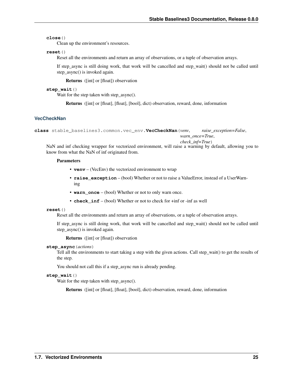#### **close**()

Clean up the environment's resources.

#### **reset**()

Reset all the environments and return an array of observations, or a tuple of observation arrays.

If step async is still doing work, that work will be cancelled and step wait() should not be called until step\_async() is invoked again.

Returns ([int] or [float]) observation

#### **step\_wait**()

Wait for the step taken with step\_async().

Returns ([int] or [float], [float], [bool], dict) observation, reward, done, information

### **VecCheckNan**

```
class stable_baselines3.common.vec_env.VecCheckNan(venv, raise_exception=False,
                                                        warn_once=True,
```
*check\_inf=True*)

NaN and inf checking wrapper for vectorized environment, will raise a warning by default, allowing you to know from what the NaN of inf originated from.

#### **Parameters**

- **venv** (VecEnv) the vectorized environment to wrap
- **raise\_exception** (bool) Whether or not to raise a ValueError, instead of a UserWarning
- **warn\_once** (bool) Whether or not to only warn once.
- **check** inf (bool) Whether or not to check for +inf or -inf as well

#### **reset**()

Reset all the environments and return an array of observations, or a tuple of observation arrays.

If step\_async is still doing work, that work will be cancelled and step\_wait() should not be called until step\_async() is invoked again.

Returns ([int] or [float]) observation

#### **step\_async**(*actions*)

Tell all the environments to start taking a step with the given actions. Call step\_wait() to get the results of the step.

You should not call this if a step async run is already pending.

#### **step\_wait**()

Wait for the step taken with step\_async().

Returns ([int] or [float], [float], [bool], dict) observation, reward, done, information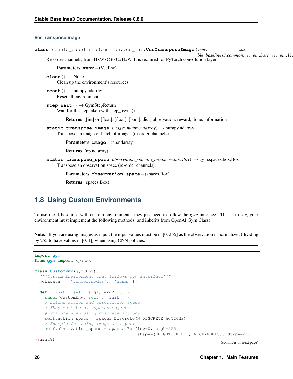#### **VecTransposeImage**

**class** stable\_baselines3.common.vec\_env.**VecTransposeImage**(*venv: stable\_baselines3.common.vec\_env.base\_vec\_env.Vecnerefoldedumenterminedumenterminedumenterminedumenterminedumente* 

Re-order channels, from HxWxC to CxHxW. It is required for PyTorch convolution layers.

```
Parameters venv – (VecEnv)
```

```
close() \rightarrow None
      Clean up the environment's resources.
```

```
reset() → numpy.ndarray
     Reset all environments
```

```
step_wait() → GymStepReturn
     Wait for the step taken with step_async().
```
Returns ([int] or [float], [float], [bool], dict) observation, reward, done, information

**static transpose\_image**(*image: numpy.ndarray*) → numpy.ndarray Transpose an image or batch of images (re-order channels).

Parameters **image** – (np.ndarray)

Returns (np.ndarray)

**static transpose\_space**(*observation\_space: gym.spaces.box.Box*) → gym.spaces.box.Box Transpose an observation space (re-order channels).

Parameters **observation\_space** – (spaces.Box)

Returns (spaces.Box)

# <span id="page-29-0"></span>**1.8 Using Custom Environments**

To use the rl baselines with custom environments, they just need to follow the *gym* interface. That is to say, your environment must implement the following methods (and inherits from OpenAI Gym Class):

Note: If you are using images as input, the input values must be in [0, 255] as the observation is normalized (dividing by 255 to have values in [0, 1]) when using CNN policies.

```
import gym
from gym import spaces
class CustomEnv(gym.Env):
  """Custom Environment that follows gym interface"""
 metadata = {'render.modes': ['human']}
  def __init__(self, arg1, arg2, ...):
   super(CustomEnv, self).__init__()
    # Define action and observation space
    # They must be gym.spaces objects
    # Example when using discrete actions:
    self.action_space = spaces.Discrete(N_DISCRETE_ACTIONS)
    # Example for using image as input:
    self.observation_space = spaces.Box(low=0, high=255,
                                         shape=(HEIGHT, WIDTH, N_CHANNELS), dtype=np.
  \cdotuint8)
```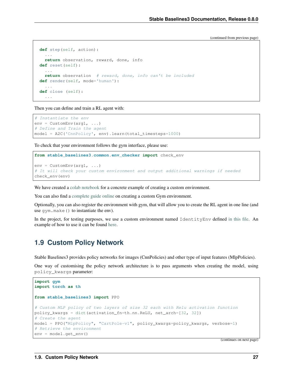```
def step(self, action):
  ...
  return observation, reward, done, info
def reset(self):
  ...
  return observation # reward, done, info can't be included
def render(self, mode='human'):
  ...
def close (self):
  ...
```
Then you can define and train a RL agent with:

```
# Instantiate the env
env = CustomEnv(arg1, ...)
# Define and Train the agent
model = A2C('CnnPolicy', env).learn(total_timesteps=1000)
```
To check that your environment follows the gym interface, please use:

```
from stable_baselines3.common.env_checker import check_env
```

```
env = CustomEnv(arq1, ...)
# It will check your custom environment and output additional warnings if needed
check_env(env)
```
We have created a [colab notebook](https://colab.research.google.com/github/araffin/rl-tutorial-jnrr19/blob/master/5_custom_gym_env.ipynb) for a concrete example of creating a custom environment.

You can also find a [complete guide online](https://github.com/openai/gym/blob/master/docs/creating-environments.md) on creating a custom Gym environment.

Optionally, you can also register the environment with gym, that will allow you to create the RL agent in one line (and use gym.make() to instantiate the env).

In the project, for testing purposes, we use a custom environment named IdentityEnv defined [in this file.](https://github.com/hill-a/stable-baselines/blob/master/stable_baselines/common/identity_env.py) An example of how to use it can be found [here.](https://github.com/hill-a/stable-baselines/blob/master/tests/test_identity.py)

# <span id="page-30-0"></span>**1.9 Custom Policy Network**

Stable Baselines3 provides policy networks for images (CnnPolicies) and other type of input features (MlpPolicies).

One way of customising the policy network architecture is to pass arguments when creating the model, using policy\_kwargs parameter:

```
import gym
import torch as th
from stable_baselines3 import PPO
# Custom MLP policy of two layers of size 32 each with Relu activation function
policy_kwargs = dict(activation_fn=th.nn.ReLU, net_arch=[32, 32])
# Create the agent
model = PPO("MlpPolicy", "CartPole-v1", policy_kwargs=policy_kwargs, verbose=1)
# Retrieve the environment
env = model.get_env()
```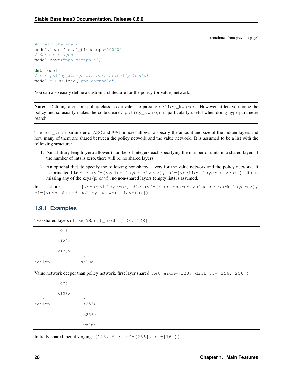```
# Train the agent
model.learn(total_timesteps=100000)
# Save the agent
model.save("ppo-cartpole")
del model
# the policy_kwargs are automatically loaded
model = PPO.load("ppo-cartpole")
```
You can also easily define a custom architecture for the policy (or value) network:

Note: Defining a custom policy class is equivalent to passing policy\_kwargs. However, it lets you name the policy and so usually makes the code clearer. policy\_kwargs is particularly useful when doing hyperparameter search.

The net\_arch parameter of A2C and PPO policies allows to specify the amount and size of the hidden layers and how many of them are shared between the policy network and the value network. It is assumed to be a list with the following structure:

- 1. An arbitrary length (zero allowed) number of integers each specifying the number of units in a shared layer. If the number of ints is zero, there will be no shared layers.
- 2. An optional dict, to specify the following non-shared layers for the value network and the policy network. It is formatted like dict  $(vf=[\text{value layer sizes}]\$ ,  $pi=[\text{spolicy layer sizes}]\$ . If it is missing any of the keys (pi or vf), no non-shared layers (empty list) is assumed.

In short: [<shared layers>, dict(vf=[<non-shared value network layers>], pi=[<non-shared policy network layers>])].

# **1.9.1 Examples**

Two shared layers of size 128: net\_arch=[128, 128]

```
obs
         |
        <128>
         \blacksquare<128>/ \sqrt{ }action value
```

```
Value network deeper than policy network, first layer shared: net\_arch=[128, dict(vf=[256, 256])]
```

|        | obs   |       |
|--------|-------|-------|
|        |       |       |
|        | <128> |       |
|        |       |       |
| action |       | <256> |
|        |       |       |
|        |       | <256> |
|        |       |       |
|        |       | value |

Initially shared then diverging: [128, dict(vf=[256], pi=[16])]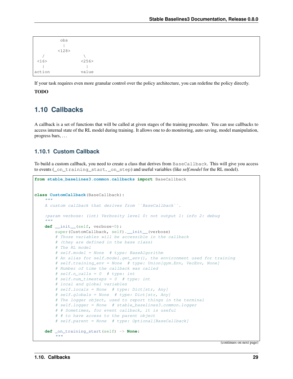|        | obs   |
|--------|-------|
|        |       |
|        | <128> |
|        |       |
| <16>   | <256> |
|        |       |
| action | value |

If your task requires even more granular control over the policy architecture, you can redefine the policy directly.

### TODO

# <span id="page-32-0"></span>**1.10 Callbacks**

A callback is a set of functions that will be called at given stages of the training procedure. You can use callbacks to access internal state of the RL model during training. It allows one to do monitoring, auto saving, model manipulation, progress bars, . . .

# **1.10.1 Custom Callback**

To build a custom callback, you need to create a class that derives from BaseCallback. This will give you access to events (\_on\_training\_start, \_on\_step) and useful variables (like *self.model* for the RL model).

```
from stable_baselines3.common.callbacks import BaseCallback
class CustomCallback(BaseCallback):
    """
    A custom callback that derives from ``BaseCallback``.
    :param verbose: (int) Verbosity level 0: not output 1: info 2: debug
    "''"''"''"def __init__(self, verbose=0):
       super(CustomCallback, self).__init__(verbose)
        # Those variables will be accessible in the callback
        # (they are defined in the base class)
        # The RL model
        # self.model = None # type: BaseAlgorithm
        # An alias for self.model.get_env(), the environment used for training
        # self.training_env = None # type: Union[gym.Env, VecEnv, None]
        # Number of time the callback was called
        # self.n_calls = 0 # type: int
        # self.num_timesteps = 0 # type: int
        # local and global variables
        # self.locals = None # type: Dict[str, Any]
        # self.globals = None # type: Dict[str, Any]
        # The logger object, used to report things in the terminal
        # self.logger = None # stable_baselines3.common.logger
        # # Sometimes, for event callback, it is useful
        # # to have access to the parent object
        # self.parent = None # type: Optional[BaseCallback]
    def _on_training_start(self) -> None:
        "" "
```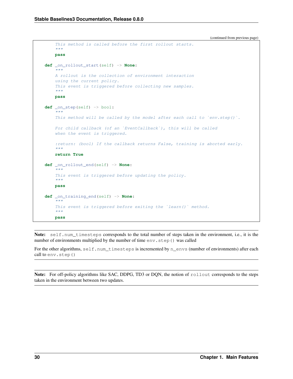```
(continued from previous page)
```

```
This method is called before the first rollout starts.
     "''"''"''"pass
def _on_rollout_start(self) -> None:
     \overline{u}"" \overline{u}A rollout is the collection of environment interaction
     using the current policy.
     This event is triggered before collecting new samples.
     "''"''"''"pass
def _on_step(self) -> bool:
     \boldsymbol{H} . \boldsymbol{H}This method will be called by the model after each call to 'env. step()'.
     For child callback (of an `EventCallback`), this will be called
     when the event is triggered.
     :return: (bool) If the callback returns False, training is aborted early.
     \boldsymbol{H} . \boldsymbol{H}return True
def _on_rollout_end(self) -> None:
     \boldsymbol{u} \boldsymbol{u} \boldsymbol{u}This event is triggered before updating the policy.
     \boldsymbol{u} \boldsymbol{u} \boldsymbol{n}pass
def _on_training_end(self) -> None:
     "''"This event is triggered before exiting the `learn()` method.
     \bar{n} \bar{n} \bar{n}pass
```
Note: self.num\_timesteps corresponds to the total number of steps taken in the environment, i.e., it is the number of environments multiplied by the number of time env. step() was called

For the other algorithms,  $self.num_timesteps$  is incremented by n\_envs (number of environments) after each call to env. step()

Note: For off-policy algorithms like SAC, DDPG, TD3 or DQN, the notion of rollout corresponds to the steps taken in the environment between two updates.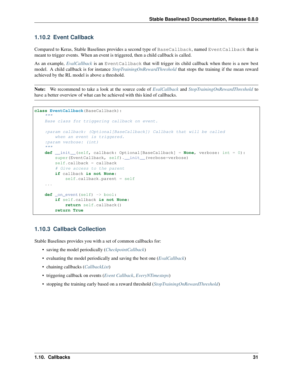# <span id="page-34-0"></span>**1.10.2 Event Callback**

Compared to Keras, Stable Baselines provides a second type of BaseCallback, named EventCallback that is meant to trigger events. When an event is triggered, then a child callback is called.

As an example, *[EvalCallback](#page-35-0)* is an EventCallback that will trigger its child callback when there is a new best model. A child callback is for instance *[StopTrainingOnRewardThreshold](#page-36-0)* that stops the training if the mean reward achieved by the RL model is above a threshold.

Note: We recommend to take a look at the source code of *[EvalCallback](#page-35-0)* and *[StopTrainingOnRewardThreshold](#page-36-0)* to have a better overview of what can be achieved with this kind of callbacks.

```
class EventCallback(BaseCallback):
    "''"Base class for triggering callback on event.
    :param callback: (Optional[BaseCallback]) Callback that will be called
       when an event is triggered.
    :param verbose: (int)
    """
    def __init__(self, callback: Optional[BaseCallback] = None, verbose: int = 0):
       super(EventCallback, self). __init_(verbose=verbose)
        self.callback = callback
        # Give access to the parent
       if callback is not None:
            self.callback.parent = self
    ...
    def _on_event(self) -> bool:
        if self.callback is not None:
           return self.callback()
        return True
```
# **1.10.3 Callback Collection**

Stable Baselines provides you with a set of common callbacks for:

- saving the model periodically (*[CheckpointCallback](#page-35-1)*)
- evaluating the model periodically and saving the best one (*[EvalCallback](#page-35-0)*)
- chaining callbacks (*[CallbackList](#page-35-2)*)
- triggering callback on events (*[Event Callback](#page-34-0)*, *[EveryNTimesteps](#page-36-1)*)
- stopping the training early based on a reward threshold (*[StopTrainingOnRewardThreshold](#page-36-0)*)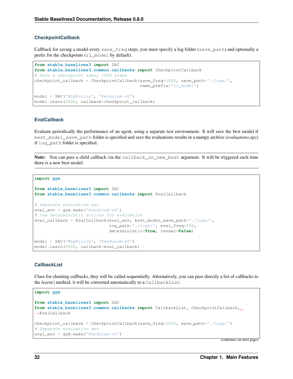#### <span id="page-35-1"></span>**CheckpointCallback**

Callback for saving a model every save\_freq steps, you must specify a log folder (save\_path) and optionally a prefix for the checkpoints (rl\_model by default).

```
from stable_baselines3 import SAC
from stable_baselines3.common.callbacks import CheckpointCallback
# Save a checkpoint every 1000 steps
checkpoint_callback = CheckpointCallback(save_freq=1000, save_path='./logs/',
                                         name_prefix='rl_model')
model = SAC('MlpPolicy', 'Pendulum-v0')
model.learn(2000, callback=checkpoint_callback)
```
#### <span id="page-35-0"></span>**EvalCallback**

Evaluate periodically the performance of an agent, using a separate test environment. It will save the best model if best\_model\_save\_path folder is specified and save the evaluations results in a numpy archive (*evaluations.npz*) if log\_path folder is specified.

Note: You can pass a child callback via the callback\_on\_new\_best argument. It will be triggered each time there is a new best model.

```
import gym
```

```
from stable_baselines3 import SAC
from stable_baselines3.common.callbacks import EvalCallback
# Separate evaluation env
eval_env = gym.make('Pendulum-v0')
# Use deterministic actions for evaluation
eval_callback = EvalCallback(eval_env, best_model_save_path='./logs/',
                             log_path='./logs/', eval_freq=500,
                             deterministic=True, render=False)
model = SAC('MlpPolicy', 'Pendulum-v0')
model.learn(5000, callback=eval_callback)
```
#### <span id="page-35-2"></span>**CallbackList**

Class for chaining callbacks, they will be called sequentially. Alternatively, you can pass directly a list of callbacks to the *learn()* method, it will be converted automatically to a CallbackList.

```
import gym
from stable_baselines3 import SAC
from stable_baselines3.common.callbacks import CallbackList, CheckpointCallback,
˓→EvalCallback
checkpoint_callback = CheckpointCallback(save_freq=1000, save_path='./logs/')
# Separate evaluation env
eval_env = gym.make('Pendulum-v0')
```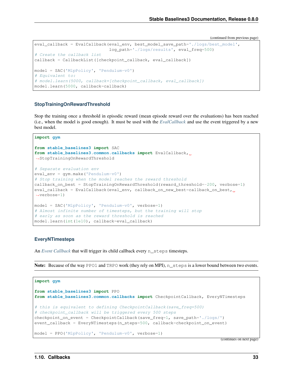(continued from previous page)

```
eval_callback = EvalCallback(eval_env, best_model_save_path='./logs/best_model',
                             log_path='./logs/results', eval_freq=500)
# Create the callback list
callback = CallbackList([checkpoint_callback, eval_callback])
model = SAC('MlpPolicy', 'Pendulum-v0')
# Equivalent to:
# model.learn(5000, callback=[checkpoint_callback, eval_callback])
model.learn(5000, callback=callback)
```
### **StopTrainingOnRewardThreshold**

Stop the training once a threshold in episodic reward (mean episode reward over the evaluations) has been reached (i.e., when the model is good enough). It must be used with the *[EvalCallback](#page-35-0)* and use the event triggered by a new best model.

**import gym**

```
from stable_baselines3 import SAC
from stable_baselines3.common.callbacks import EvalCallback,
˓→StopTrainingOnRewardThreshold
# Separate evaluation env
eval_env = gym.make('Pendulum-v0')
# Stop training when the model reaches the reward threshold
\text{callback\_on\_best} = StopTrainingOnRewardThreshold(reward_threshold=-200, verbose=1)
eval_callback = EvalCallback(eval_env, callback_on_new_best=callback_on_best,
˓→verbose=1)
model = SAC('MlpPolicy', 'Pendulum-v0', verbose=1)
# Almost infinite number of timesteps, but the training will stop
# early as soon as the reward threshold is reached
model.learn(int(1e10), callback=eval_callback)
```
### **EveryNTimesteps**

An *[Event Callback](#page-34-0)* that will trigger its child callback every n\_steps timesteps.

Note: Because of the way PPO1 and TRPO work (they rely on MPI), n\_steps is a lower bound between two events.

```
import gym
from stable_baselines3 import PPO
from stable_baselines3.common.callbacks import CheckpointCallback, EveryNTimesteps
# this is equivalent to defining CheckpointCallback(save_freq=500)
# checkpoint_callback will be triggered every 500 steps
checkpoint_on_event = CheckpointCallback(save_freq=1, save_path='./logs/')
event_callback = EveryNTimesteps(n_steps=500, callback=checkpoint_on_event)
model = PPO('MlpPolicy', 'Pendulum-v0', verbose=1)
```
(continues on next page)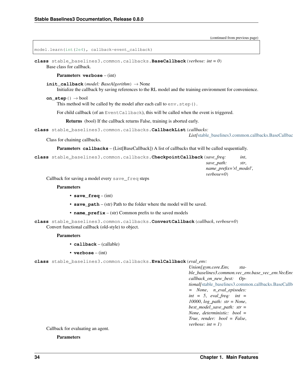(continued from previous page)

```
model.learn(int(2e4), callback=event_callback)
```
<span id="page-37-0"></span>**class** stable\_baselines3.common.callbacks.**BaseCallback**(*verbose: int = 0*) Base class for callback.

#### Parameters **verbose** – (int)

**init\_callback**(*model: BaseAlgorithm*) → None

Initialize the callback by saving references to the RL model and the training environment for convenience.

```
on step() \rightarrow bool
```
This method will be called by the model after each call to  $env$ .  $step()$ .

For child callback (of an EventCallback), this will be called when the event is triggered.

Returns (bool) If the callback returns False, training is aborted early.

**class** stable\_baselines3.common.callbacks.**CallbackList**(*callbacks:*

List[stable\_baselines3.common.callbacks.BaseCallbac

Class for chaining callbacks.

Parameters **callbacks** – (List[BaseCallback]) A list of callbacks that will be called sequentially.

**class** stable\_baselines3.common.callbacks.**CheckpointCallback**(*save\_freq: int*, *save\_path: str*, *name\_prefix='rl\_model'*,

*verbose=0*)

Callback for saving a model every save\_freq steps

#### **Parameters**

- **save\_freq** (int)
- **save\_path** (str) Path to the folder where the model will be saved.
- **name\_prefix** (str) Common prefix to the saved models
- **class** stable\_baselines3.common.callbacks.**ConvertCallback**(*callback*, *verbose=0*) Convert functional callback (old-style) to object.

#### Parameters

- **callback** (callable)
- **verbose** (int)

**class** stable\_baselines3.common.callbacks.**EvalCallback**(*eval\_env:*

*Union[gym.core.Env, stable\_baselines3.common.vec\_env.base\_vec\_env.VecEnv]*, *callback\_on\_new\_best: Optional[*[stable\\_baselines3.common.callbacks.BaseCallback](#page-37-0)*] = None*, *n\_eval\_episodes: int = 5*, *eval\_freq: int = 10000*, *log\_path: str = None*, *best\_model\_save\_path: str = None*, *deterministic: bool = True*, *render: bool = False*, *verbose: int = 1*)

Callback for evaluating an agent.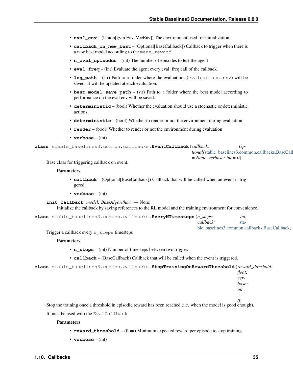- **eval env** (Union[gym.Env, VecEnv]) The environment used for initialization
- **callback\_on\_new\_best** (Optional[BaseCallback]) Callback to trigger when there is a new best model according to the mean\_reward
- **n\_eval\_episodes** (int) The number of episodes to test the agent
- **eval freq** (int) Evaluate the agent every eval freq call of the callback.
- **log\_path** (str) Path to a folder where the evaluations (evaluations.npz) will be saved. It will be updated at each evaluation.
- **best\_model\_save\_path** (str) Path to a folder where the best model according to performance on the eval env will be saved.
- **deterministic** (bool) Whether the evaluation should use a stochastic or deterministic actions.
- **deterministic** (bool) Whether to render or not the environment during evaluation
- **render** (bool) Whether to render or not the environment during evaluation
- **verbose** (int)

```
class stable_baselines3.common.callbacks.EventCallback(callback: Op-
                                                           tional[stable\_baseline3.common.callbacks.BaseCall
```
 $= None$ , *verbose: int*  $= 0$ )

Base class for triggering callback on event.

### Parameters

- **callback** (Optional[BaseCallback]) Callback that will be called when an event is triggered.
- **verbose** (int)

```
init_callback(model: BaseAlgorithm) → None
```
Initialize the callback by saving references to the RL model and the training environment for convenience.

```
class stable_baselines3.common.callbacks.EveryNTimesteps(n_steps: int,
```

| callback:                                         |
|---------------------------------------------------|
| <br>ble baselines3.common.callbacks.BaseCallback) |

Trigger a callback every n\_steps timesteps

### **Parameters**

- **n\_steps** (int) Number of timesteps between two trigger.
- **callback** (BaseCallback) Callback that will be called when the event is triggered.

```
class stable_baselines3.common.callbacks.StopTrainingOnRewardThreshold(reward_threshold:
```

| float, |  |
|--------|--|
| ver-   |  |
| bose:  |  |
| int    |  |
| =      |  |
| O)     |  |

Stop the training once a threshold in episodic reward has been reached (i.e. when the model is good enough). It must be used with the EvalCallback.

- **reward threshold** (float) Minimum expected reward per episode to stop training.
- **verbose** (int)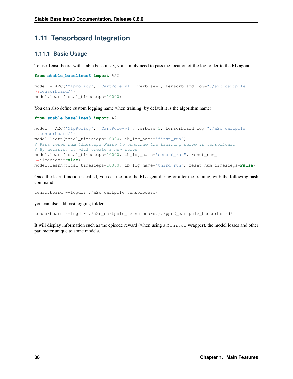# **1.11 Tensorboard Integration**

# **1.11.1 Basic Usage**

To use Tensorboard with stable baselines3, you simply need to pass the location of the log folder to the RL agent:

```
from stable_baselines3 import A2C
model = A2C('MlpPolicy', 'CartPole-v1', verbose=1, tensorboard_log="./a2c_cartpole_
˓→tensorboard/")
model.learn(total_timesteps=10000)
```
You can also define custom logging name when training (by default it is the algorithm name)

```
from stable_baselines3 import A2C
model = A2C('MlpPolicy', 'CartPole-v1', verbose=1, tensorboard_log="./a2c_cartpole_
˓→tensorboard/")
model.learn(total_timesteps=10000, tb_log_name="first_run")
# Pass reset_num_timesteps=False to continue the training curve in tensorboard
# By default, it will create a new curve
model.learn(total_timesteps=10000, tb_log_name="second_run", reset_num_
˓→timesteps=False)
model.learn(total_timesteps=10000, tb_log_name="third_run", reset_num_timesteps=False)
```
Once the learn function is called, you can monitor the RL agent during or after the training, with the following bash command:

tensorboard --logdir ./a2c\_cartpole\_tensorboard/

you can also add past logging folders:

tensorboard --logdir ./a2c\_cartpole\_tensorboard/;./ppo2\_cartpole\_tensorboard/

It will display information such as the episode reward (when using a Monitor wrapper), the model losses and other parameter unique to some models.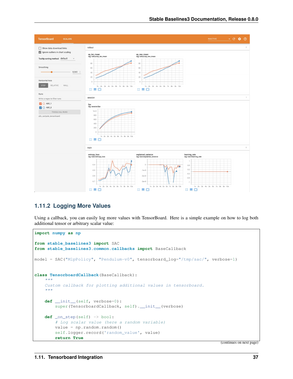

# **1.11.2 Logging More Values**

Using a callback, you can easily log more values with TensorBoard. Here is a simple example on how to log both additional tensor or arbitrary scalar value:

```
import numpy as np
from stable_baselines3 import SAC
from stable_baselines3.common.callbacks import BaseCallback
model = SAC("MlpPolicy", "Pendulum-v0", tensorboard_log="/tmp/sac/", verbose=1)
class TensorboardCallback(BaseCallback):
    "''"''"''"Custom callback for plotting additional values in tensorboard.
    "''"def __init__(self, verbose=0):
        super(TensorboardCallback, self). __init_(verbose)
    def _on_step(self) -> bool:
        # Log scalar value (here a random variable)
        value = np.random.random()self.logger.record('random_value', value)
        return True
```
(continues on next page)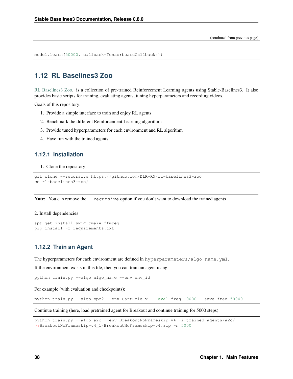(continued from previous page)

```
model.learn(50000, callback=TensorboardCallback())
```
# **1.12 RL Baselines3 Zoo**

[RL Baselines3 Zoo.](https://github.com/DLR-RM/rl-baselines3-zoo) is a collection of pre-trained Reinforcement Learning agents using Stable-Baselines3. It also provides basic scripts for training, evaluating agents, tuning hyperparameters and recording videos.

Goals of this repository:

- 1. Provide a simple interface to train and enjoy RL agents
- 2. Benchmark the different Reinforcement Learning algorithms
- 3. Provide tuned hyperparameters for each environment and RL algorithm
- 4. Have fun with the trained agents!

### **1.12.1 Installation**

1. Clone the repository:

```
git clone --recursive https://github.com/DLR-RM/rl-baselines3-zoo
cd rl-baselines3-zoo/
```
**Note:** You can remove the  $-\text{recursive option if you don't want to download the trained agents$ 

#### 2. Install dependencies

```
apt-get install swig cmake ffmpeg
pip install -r requirements.txt
```
## **1.12.2 Train an Agent**

The hyperparameters for each environment are defined in hyperparameters/algo\_name.yml.

If the environment exists in this file, then you can train an agent using:

python train.py --algo algo\_name --env env\_id

For example (with evaluation and checkpoints):

python train.py --algo ppo2 --env CartPole-v1 --eval-freq 10000 --save-freq 50000

Continue training (here, load pretrained agent for Breakout and continue training for 5000 steps):

```
python train.py --algo a2c --env BreakoutNoFrameskip-v4 -i trained_agents/a2c/
˓→BreakoutNoFrameskip-v4_1/BreakoutNoFrameskip-v4.zip -n 5000
```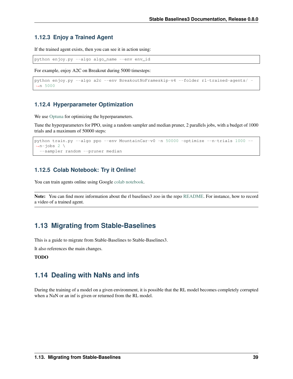# **1.12.3 Enjoy a Trained Agent**

If the trained agent exists, then you can see it in action using:

python enjoy.py --algo algo\_name --env env\_id

For example, enjoy A2C on Breakout during 5000 timesteps:

```
python enjoy.py --algo a2c --env BreakoutNoFrameskip-v4 --folder rl-trained-agents/ -
˓→n 5000
```
# **1.12.4 Hyperparameter Optimization**

We use [Optuna](https://optuna.org/) for optimizing the hyperparameters.

Tune the hyperparameters for PPO, using a random sampler and median pruner, 2 parallels jobs, with a budget of 1000 trials and a maximum of 50000 steps:

```
python train.py --algo ppo --env MountainCar-v0 -n 50000 -optimize --n-trials 1000 --
\rightarrown-jobs 2 \
  --sampler random --pruner median
```
# **1.12.5 Colab Notebook: Try it Online!**

You can train agents online using Google [colab notebook.](https://colab.research.google.com/github/Stable-Baselines-Team/rl-colab-notebooks/blob/sb3/rl-baselines-zoo.ipynb)

Note: You can find more information about the rl baselines3 zoo in the repo [README.](https://github.com/DLR-RM/rl-baselines3-zoo) For instance, how to record a video of a trained agent.

# **1.13 Migrating from Stable-Baselines**

This is a guide to migrate from Stable-Baselines to Stable-Baselines3.

It also references the main changes.

### TODO

# **1.14 Dealing with NaNs and infs**

During the training of a model on a given environment, it is possible that the RL model becomes completely corrupted when a NaN or an inf is given or returned from the RL model.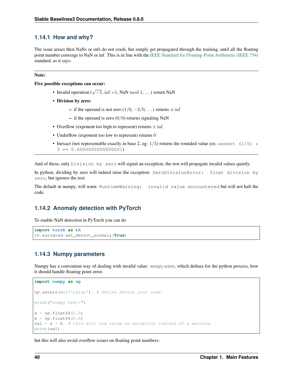# **1.14.1 How and why?**

The issue arises then NaNs or infs do not crash, but simply get propagated through the training, until all the floating point number converge to NaN or inf. This is in line with the [IEEE Standard for Floating-Point Arithmetic \(IEEE 754\)](https://ieeexplore.ieee.org/document/4610935) standard, as it says:

### Note:

### Five possible exceptions can occur:

- Invalid operation ( $\sqrt{-1}$ , inf ×1, NaN mod 1, ...) return NaN
- Division by zero:
	- if the operand is not zero  $(1/0, -2/0, ...)$  returns  $\pm$  inf
	- if the operand is zero  $(0/0)$  returns signaling NaN
- Overflow (exponent too high to represent) returns  $\pm$  inf
- Underflow (exponent too low to represent) returns 0
- Inexact (not representable exactly in base 2, eg:  $1/5$ ) returns the rounded value (ex: assert (1/5)  $\star$  $3 == 0.6000000000000001$

And of these, only Division by zero will signal an exception, the rest will propagate invalid values quietly.

In python, dividing by zero will indeed raise the exception: ZeroDivisionError: float division by zero, but ignores the rest.

The default in numpy, will warn: RuntimeWarning: invalid value encountered but will not halt the code.

# **1.14.2 Anomaly detection with PyTorch**

To enable NaN detection in PyTorch you can do

```
import torch as th
th.autograd.set_detect_anomaly(True)
```
# **1.14.3 Numpy parameters**

Numpy has a convenient way of dealing with invalid value: [numpy.seterr,](https://docs.scipy.org/doc/numpy/reference/generated/numpy.seterr.html) which defines for the python process, how it should handle floating point error.

```
import numpy as np
np.seterr(all='raise') # define before your code.
print("numpy test:")
a = np.fload(1.0)b = np.fload(0.0)val = a / b # this will now raise an exception instead of a warning.
print(val)
```
but this will also avoid overflow issues on floating point numbers: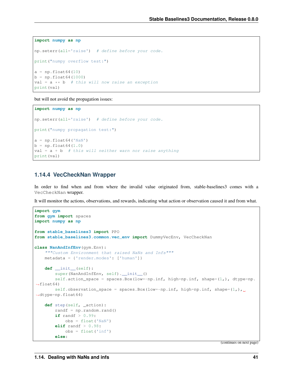```
import numpy as np
np.seterr(all='raise') # define before your code.
print("numpy overflow test:")
a = np.fload64(10)b = np.fload64(1000)val = a * b # this will now raise an exception
print(val)
```
but will not avoid the propagation issues:

```
import numpy as np
np.seterr(all='raise') # define before your code.
print("numpy propagation test:")
a = np.fload64('NaN')b = np.fload64(1.0)val = a + b # this will neither warn nor raise anything
print(val)
```
### **1.14.4 VecCheckNan Wrapper**

In order to find when and from where the invalid value originated from, stable-baselines3 comes with a VecCheckNan wrapper.

It will monitor the actions, observations, and rewards, indicating what action or observation caused it and from what.

```
import gym
from gym import spaces
import numpy as np
from stable_baselines3 import PPO
from stable_baselines3.common.vec_env import DummyVecEnv, VecCheckNan
class NanAndInfEnv(gym.Env):
    """Custom Environment that raised NaNs and Infs"""
    metadata = {'render.modes': ['human']}
    def __init__(self):
        super(NanAndInfEnv, self).__init__()
        self.action_space = spaces.Box(low=-np.inf, high=np.inf, shape=(1, ), dtype=np.
\rightarrowfloat64)
        self.observation_space = spaces.Box(low=-np.inf, high=np.inf, shape=(1,)_{, \square}˓→dtype=np.float64)
    def step(self, _action):
        randf = np.random.rand()
        if randf > 0.99:
            obs = float('NaN')elif randf > 0.98:
            obs = float('inf')
        else:
```
(continues on next page)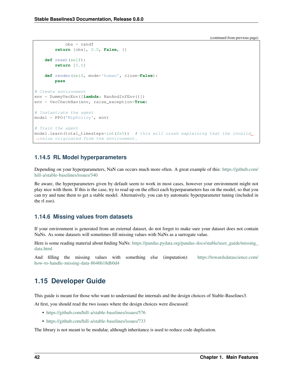(continued from previous page)

```
obs = randf
        return [obs], 0.0, False, {}
    def reset(self):
        return [0.0]
    def render(self, mode='human', close=False):
        pass
# Create environment
env = DummyVecEnv([lambda: NanAndInfEnv()])
env = VecCheckNan(env, raise_exception=True)
# Instantiate the agent
model = PPO('MlpPolicy', env)
# Train the agent
model.length (total_time steps=int(2e5)) # this will crash explaining that the invalid,
˓→value originated from the environment.
```
# **1.14.5 RL Model hyperparameters**

Depending on your hyperparameters, NaN can occurs much more often. A great example of this: [https://github.com/](https://github.com/hill-a/stable-baselines/issues/340) [hill-a/stable-baselines/issues/340](https://github.com/hill-a/stable-baselines/issues/340)

Be aware, the hyperparameters given by default seem to work in most cases, however your environment might not play nice with them. If this is the case, try to read up on the effect each hyperparameters has on the model, so that you can try and tune them to get a stable model. Alternatively, you can try automatic hyperparameter tuning (included in the rl zoo).

# **1.14.6 Missing values from datasets**

If your environment is generated from an external dataset, do not forget to make sure your dataset does not contain NaNs. As some datasets will sometimes fill missing values with NaNs as a surrogate value.

Here is some reading material about finding NaNs: [https://pandas.pydata.org/pandas-docs/stable/user\\_guide/missing\\_](https://pandas.pydata.org/pandas-docs/stable/user_guide/missing_data.html) [data.html](https://pandas.pydata.org/pandas-docs/stable/user_guide/missing_data.html)

And filling the missing values with something else (imputation): [https://towardsdatascience.com/](https://towardsdatascience.com/how-to-handle-missing-data-8646b18db0d4) [how-to-handle-missing-data-8646b18db0d4](https://towardsdatascience.com/how-to-handle-missing-data-8646b18db0d4)

# **1.15 Developer Guide**

This guide is meant for those who want to understand the internals and the design choices of Stable-Baselines3.

At first, you should read the two issues where the design choices were discussed:

- <https://github.com/hill-a/stable-baselines/issues/576>
- <https://github.com/hill-a/stable-baselines/issues/733>

The library is not meant to be modular, although inheritance is used to reduce code duplication.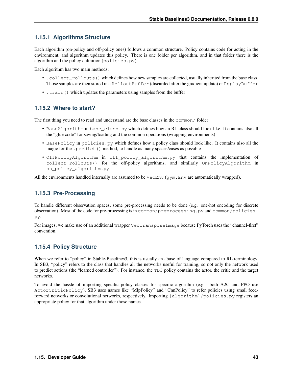# **1.15.1 Algorithms Structure**

Each algorithm (on-policy and off-policy ones) follows a common structure. Policy contains code for acting in the environment, and algorithm updates this policy. There is one folder per algorithm, and in that folder there is the algorithm and the policy definition (policies.py).

Each algorithm has two main methods:

- . collect rollouts () which defines how new samples are collected, usually inherited from the base class. Those samples are then stored in a RolloutBuffer (discarded after the gradient update) or ReplayBuffer
- .train() which updates the parameters using samples from the buffer

# **1.15.2 Where to start?**

The first thing you need to read and understand are the base classes in the common/ folder:

- BaseAlgorithm in base\_class.py which defines how an RL class should look like. It contains also all the "glue code" for saving/loading and the common operations (wrapping environments)
- BasePolicy in policies.py which defines how a policy class should look like. It contains also all the magic for the .predict() method, to handle as many spaces/cases as possible
- OffPolicyAlgorithm in off\_policy\_algorithm.py that contains the implementation of collect\_rollouts() for the off-policy algorithms, and similarly OnPolicyAlgorithm in on\_policy\_algorithm.py.

All the environments handled internally are assumed to be  $VeCEnv$  (gym. Env are automatically wrapped).

# **1.15.3 Pre-Processing**

To handle different observation spaces, some pre-processing needs to be done (e.g. one-hot encoding for discrete observation). Most of the code for pre-processing is in common/preprocessing.py and common/policies. py.

For images, we make use of an additional wrapper VecTransposeImage because PyTorch uses the "channel-first" convention.

# **1.15.4 Policy Structure**

When we refer to "policy" in Stable-Baselines3, this is usually an abuse of language compared to RL terminology. In SB3, "policy" refers to the class that handles all the networks useful for training, so not only the network used to predict actions (the "learned controller"). For instance, the TD3 policy contains the actor, the critic and the target networks.

To avoid the hassle of importing specific policy classes for specific algorithm (e.g. both A2C and PPO use ActorCriticPolicy), SB3 uses names like "MlpPolicy" and "CnnPolicy" to refer policies using small feedforward networks or convolutional networks, respectively. Importing [algorithm]/policies.py registers an appropriate policy for that algorithm under those names.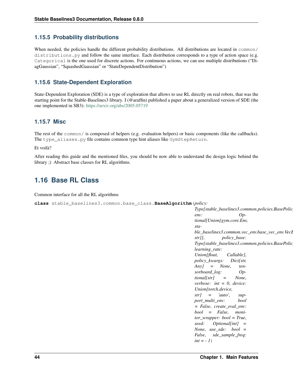# **1.15.5 Probability distributions**

When needed, the policies handle the different probability distributions. All distributions are located in  $common/$ distributions.py and follow the same interface. Each distribution corresponds to a type of action space (e.g. Categorical is the one used for discrete actions. For continuous actions, we can use multiple distributions ("DiagGaussian", "SquashedGaussian" or "StateDependentDistribution")

# **1.15.6 State-Dependent Exploration**

State-Dependent Exploration (SDE) is a type of exploration that allows to use RL directly on real robots, that was the starting point for the Stable-Baselines3 library. I (@araffin) published a paper about a generalized version of SDE (the one implemented in SB3): <https://arxiv.org/abs/2005.05719>

# **1.15.7 Misc**

The rest of the common/ is composed of helpers (e.g. evaluation helpers) or basic components (like the callbacks). The type\_aliases.py file contains common type hint aliases like GymStepReturn.

Et voilà?

After reading this guide and the mentioned files, you should be now able to understand the design logic behind the library ;) Abstract base classes for RL algorithms.

# **1.16 Base RL Class**

Common interface for all the RL algorithms

<span id="page-47-0"></span>**class** stable\_baselines3.common.base\_class.**BaseAlgorithm**(*policy:*

*Type[stable\_baselines3.common.policies.BasePolicy]*, *env: Optional[Union[gym.core.Env, stable\_baselines3.common.vec\_env.base\_vec\_env.Vecl str]]*, *policy\_base: Type[stable\_baselines3.common.policies.BasePolicy]*, *learning\_rate: Union[float, Callable]*, *policy\_kwargs: Dict[str, Any] = None*, *tensorboard\_log: Optional[str] = None*, *verbose: int = 0*, *device: Union[torch.device, str] = 'auto'*, *support\_multi\_env: bool = False*, *create\_eval\_env: bool = False*, *monitor\_wrapper: bool = True*, *seed: Optional[int] = None*, *use\_sde: bool = False*, *sde\_sample\_freq:*  $int = -1$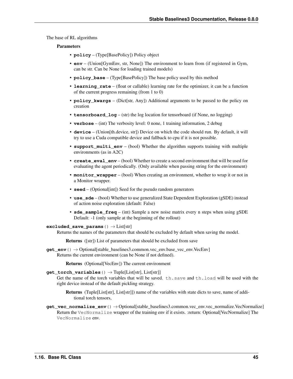The base of RL algorithms

### Parameters

- **policy** (Type[BasePolicy]) Policy object
- **env** (Union[GymEnv, str, None]) The environment to learn from (if registered in Gym, can be str. Can be None for loading trained models)
- **policy\_base** (Type[BasePolicy]) The base policy used by this method
- **learning\_rate** (float or callable) learning rate for the optimizer, it can be a function of the current progress remaining (from 1 to 0)
- **policy\_kwargs** (Dict[str, Any]) Additional arguments to be passed to the policy on creation
- **tensorboard**  $\log (\text{str})$  the log location for tensorboard (if None, no logging)
- **verbose** (int) The verbosity level: 0 none, 1 training information, 2 debug
- **device** (Union[th.device, str]) Device on which the code should run. By default, it will try to use a Cuda compatible device and fallback to cpu if it is not possible.
- **support\_multi\_env** (bool) Whether the algorithm supports training with multiple environments (as in A2C)
- **create\_eval\_env** (bool) Whether to create a second environment that will be used for evaluating the agent periodically. (Only available when passing string for the environment)
- **monitor\_wrapper** (bool) When creating an environment, whether to wrap it or not in a Monitor wrapper.
- **seed** (Optional[int]) Seed for the pseudo random generators
- **use\_sde** (bool) Whether to use generalized State Dependent Exploration (gSDE) instead of action noise exploration (default: False)
- **sde** sample  $freq (int)$  Sample a new noise matrix every n steps when using  $gSDE$ Default: -1 (only sample at the beginning of the rollout)

### **excluded\_save\_params**() → List[str]

Returns the names of the parameters that should be excluded by default when saving the model.

Returns ([str]) List of parameters that should be excluded from save

**get\_env**() → Optional[stable\_baselines3.common.vec\_env.base\_vec\_env.VecEnv] Returns the current environment (can be None if not defined).

Returns (Optional[VecEnv]) The current environment

#### $get\_torch\_variables$  ()  $\rightarrow$  Tuple[List[str], List[str]]

Get the name of the torch variables that will be saved. th.save and th.load will be used with the right device instead of the default pickling strategy.

Returns (Tuple[List[str], List[str]]) name of the variables with state dicts to save, name of additional torch tensors,

**get\_vec\_normalize\_env**() → Optional[stable\_baselines3.common.vec\_env.vec\_normalize.VecNormalize] Return the VecNormalize wrapper of the training env if it exists. :return: Optional[VecNormalize] The VecNormalize env.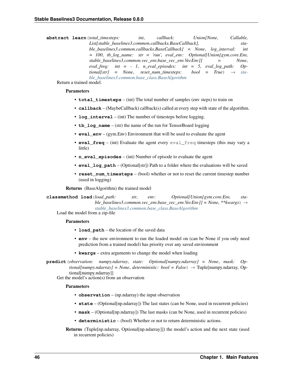**abstract learn**(*total\_timesteps: int*, *callback: Union[None, Callable, List[stable\_baselines3.common.callbacks.BaseCallback], stable\_baselines3.common.callbacks.BaseCallback] = None*, *log\_interval: int = 100*, *tb\_log\_name: str = 'run'*, *eval\_env: Optional[Union[gym.core.Env, stable\_baselines3.common.vec\_env.base\_vec\_env.VecEnv]] = None*, *eval freq: int = - 1, n eval episodes: int = 5, eval log path: Op* $tional[str] = None$ , reset num timesteps: bool = True  $\rightarrow$  [sta](#page-47-0)*[ble\\_baselines3.common.base\\_class.BaseAlgorithm](#page-47-0)*

Return a trained model.

### Parameters

- **total\_timesteps** (int) The total number of samples (env steps) to train on
- **callback** (MaybeCallback) callback(s) called at every step with state of the algorithm.
- **log\_interval** (int) The number of timesteps before logging.
- **tb** log name (str) the name of the run for TensorBoard logging
- **eval env** (gym.Env) Environment that will be used to evaluate the agent
- **eval\_freq** (int) Evaluate the agent every eval\_freq timesteps (this may vary a little)
- **n** eval episodes (int) Number of episode to evaluate the agent
- **eval log path** (Optional[str]) Path to a folder where the evaluations will be saved
- **reset\_num\_timesteps** (bool) whether or not to reset the current timestep number (used in logging)

Returns (BaseAlgorithm) the trained model

**classmethod load**(*load\_path: str*, *env: Optional[Union[gym.core.Env, stable\_baselines3.common.vec\_env.base\_vec\_env.VecEnv]] = None*, *\*\*kwargs*) → *[stable\\_baselines3.common.base\\_class.BaseAlgorithm](#page-47-0)*

Load the model from a zip-file

### **Parameters**

- **load path** the location of the saved data
- **env** the new environment to run the loaded model on (can be None if you only need prediction from a trained model) has priority over any saved environment
- **kwargs** extra arguments to change the model when loading
- **predict**(*observation: numpy.ndarray*, *state: Optional[numpy.ndarray] = None*, *mask: Optional[numpy.ndarray] = None*, *deterministic: bool = False*) → Tuple[numpy.ndarray, Optional[numpy.ndarray]]

Get the model's action(s) from an observation

- **observation** (np.ndarray) the input observation
- **state** (Optional[np.ndarray]) The last states (can be None, used in recurrent policies)
- **mask** (Optional[np.ndarray]) The last masks (can be None, used in recurrent policies)
- **deterministic** (bool) Whether or not to return deterministic actions.
- Returns (Tuple[np.ndarray, Optional[np.ndarray]]) the model's action and the next state (used in recurrent policies)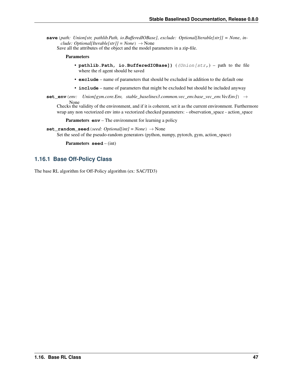**save**(*path: Union[str, pathlib.Path, io.BufferedIOBase]*, *exclude: Optional[Iterable[str]] = None*, *include: Optional[Iterable[str]]* =  $None$ )  $\rightarrow$  None

Save all the attributes of the object and the model parameters in a zip-file.

#### Parameters

- **pathlib.Path, io.BufferedIOBase])** ((Union[str,) path to the file where the rl agent should be saved
- **exclude** name of parameters that should be excluded in addition to the default one
- **include** name of parameters that might be excluded but should be included anyway
- **set\_env**(*env: Union[gym.core.Env, stable\_baselines3.common.vec\_env.base\_vec\_env.VecEnv]*) →

None Checks the validity of the environment, and if it is coherent, set it as the current environment. Furthermore wrap any non vectorized env into a vectorized checked parameters: - observation\_space - action\_space

**Parameters <b>env** – The environment for learning a policy

**set\_random\_seed**(*seed: Optional[int] = None*) → None Set the seed of the pseudo-random generators (python, numpy, pytorch, gym, action space)

Parameters **seed** – (int)

### **1.16.1 Base Off-Policy Class**

<span id="page-50-0"></span>The base RL algorithm for Off-Policy algorithm (ex: SAC/TD3)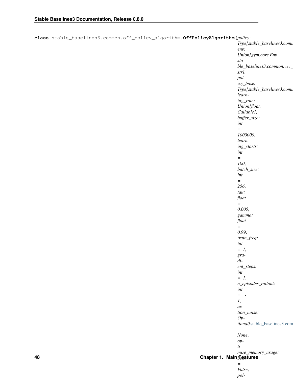| class stable_baselines3.common.off_policy_algorithm.OffPolicyAlgorithm(policy: |                              |
|--------------------------------------------------------------------------------|------------------------------|
|                                                                                | Type[stable_baselines3.comn  |
|                                                                                | env:                         |
|                                                                                | Union[gym.core.Env,          |
|                                                                                | $sta-$                       |
|                                                                                | ble_baselines3.common.vec_   |
|                                                                                | str],                        |
|                                                                                | pol-                         |
|                                                                                | icy_base:                    |
|                                                                                | Type[stable_baselines3.comn  |
|                                                                                | learn-                       |
|                                                                                | ing_rate:                    |
|                                                                                | Union[float,                 |
|                                                                                | Callable],                   |
|                                                                                | buffer_size:                 |
|                                                                                | int                          |
|                                                                                | $\equiv$                     |
|                                                                                | 1000000,                     |
|                                                                                | learn-                       |
|                                                                                | ing_starts:                  |
|                                                                                | int                          |
|                                                                                | $\equiv$                     |
|                                                                                | 100,                         |
|                                                                                | batch_size:                  |
|                                                                                | int                          |
|                                                                                | $\equiv$                     |
|                                                                                | 256,                         |
|                                                                                | tau:                         |
|                                                                                | float                        |
|                                                                                | $\equiv$                     |
|                                                                                | 0.005,                       |
|                                                                                | gamma:                       |
|                                                                                | float                        |
|                                                                                | $\equiv$                     |
|                                                                                | 0.99,                        |
|                                                                                | train_freq:                  |
|                                                                                | int                          |
|                                                                                | $= 1$ ,                      |
|                                                                                | $gra-$                       |
|                                                                                | $di-$                        |
|                                                                                | ent_steps:                   |
|                                                                                | int                          |
|                                                                                | $= 1$ ,                      |
|                                                                                | n_episodes_rollout:          |
|                                                                                | int                          |
|                                                                                | $=$ $-$                      |
|                                                                                | $\mathcal{I},$               |
|                                                                                | $ac-$                        |
|                                                                                | $tion\_noise$ :              |
|                                                                                | $Op-$                        |
|                                                                                | tional[stable_baselines3.com |
|                                                                                | $\equiv$                     |
|                                                                                | None,                        |
|                                                                                | $op-$                        |
|                                                                                | $ti-$                        |
|                                                                                | mize_memory_usage:           |

### *bool* **48 Chapter 1. Main Features**

*=*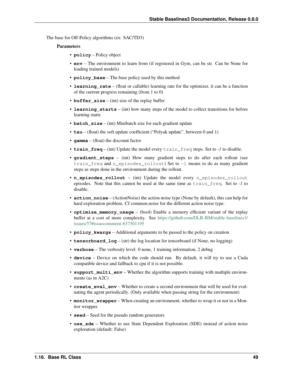The base for Off-Policy algorithms (ex: SAC/TD3)

- **policy** Policy object
- **env** The environment to learn from (if registered in Gym, can be str. Can be None for loading trained models)
- **policy\_base** The base policy used by this method
- **learning\_rate** (float or callable) learning rate for the optimizer, it can be a function of the current progress remaining (from 1 to 0)
- **buffer\_size** (int) size of the replay buffer
- **learning\_starts** (int) how many steps of the model to collect transitions for before learning starts
- **batch\_size** (int) Minibatch size for each gradient update
- **tau** (float) the soft update coefficient ("Polyak update", between 0 and 1)
- **gamma** (float) the discount factor
- **train\_freq** (int) Update the model every train\_freq steps. Set to *-1* to disable.
- **gradient\_steps** (int) How many gradient steps to do after each rollout (see train\_freq and n\_episodes\_rollout) Set to -1 means to do as many gradient steps as steps done in the environment during the rollout.
- **n** episodes rollout (int) Update the model every n episodes rollout episodes. Note that this cannot be used at the same time as train\_freq. Set to *-1* to disable.
- **action\_noise** (ActionNoise) the action noise type (None by default), this can help for hard exploration problem. Cf common.noise for the different action noise type.
- **optimize\_memory\_usage** (bool) Enable a memory efficient variant of the replay buffer at a cost of more complexity. See [https://github.com/DLR-RM/stable-baselines3/](https://github.com/DLR-RM/stable-baselines3/issues/37#issuecomment-637501195) [issues/37#issuecomment-637501195](https://github.com/DLR-RM/stable-baselines3/issues/37#issuecomment-637501195)
- **policy** kwargs Additional arguments to be passed to the policy on creation
- **tensorboard\_log** (str) the log location for tensorboard (if None, no logging)
- **verbose** The verbosity level: 0 none, 1 training information, 2 debug
- **device** Device on which the code should run. By default, it will try to use a Cuda compatible device and fallback to cpu if it is not possible.
- **support\_multi\_env** Whether the algorithm supports training with multiple environments (as in A2C)
- **create\_eval\_env** Whether to create a second environment that will be used for evaluating the agent periodically. (Only available when passing string for the environment)
- **monitor\_wrapper** When creating an environment, whether to wrap it or not in a Monitor wrapper.
- **seed** Seed for the pseudo random generators
- **use\_sde** Whether to use State Dependent Exploration (SDE) instead of action noise exploration (default: False)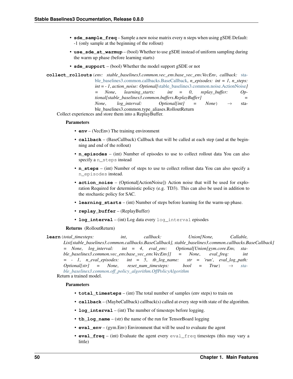- **sde\_sample\_freq** Sample a new noise matrix every n steps when using gSDE Default: -1 (only sample at the beginning of the rollout)
- **use\_sde\_at\_warmup** (bool) Whether to use gSDE instead of uniform sampling during the warm up phase (before learning starts)
- **sde\_support** (bool) Whether the model support gSDE or not

**collect\_rollouts**(*env: stable\_baselines3.common.vec\_env.base\_vec\_env.VecEnv*, *callback:* [sta](#page-37-0)[ble\\_baselines3.common.callbacks.BaseCallback,](#page-37-0) *n\_episodes: int = 1*, *n\_steps: int = - 1*, *action\_noise: Optional[*[stable\\_baselines3.common.noise.ActionNoise](#page-107-0)*] = None*, *learning\_starts: int = 0*, *replay\_buffer: Optional[stable\_baselines3.common.buffers.ReplayBuffer] = None*, *log* interval: Optional[int] = None)  $\rightarrow$  stable\_baselines3.common.type\_aliases.RolloutReturn

Collect experiences and store them into a ReplayBuffer.

### Parameters

- **env** (VecEnv) The training environment
- **callback** (BaseCallback) Callback that will be called at each step (and at the beginning and end of the rollout)
- **n** episodes (int) Number of episodes to use to collect rollout data You can also specify a n\_steps instead
- **n\_steps** (int) Number of steps to use to collect rollout data You can also specify a n\_episodes instead.
- **action noise** (Optional[ActionNoise]) Action noise that will be used for exploration Required for deterministic policy (e.g. TD3). This can also be used in addition to the stochastic policy for SAC.
- **learning\_starts** (int) Number of steps before learning for the warm-up phase.
- **replay\_buffer** (ReplayBuffer)
- **log\_interval** (int) Log data every log\_interval episodes

#### Returns (RolloutReturn)

**learn**(*total\_timesteps: int*, *callback: Union[None, Callable, List[stable\_baselines3.common.callbacks.BaseCallback], stable\_baselines3.common.callbacks.BaseCallback] = None*, *log\_interval: int = 4*, *eval\_env: Optional[Union[gym.core.Env, stable\_baselines3.common.vec\_env.base\_vec\_env.VecEnv]] = None*, *eval\_freq: int = - 1*, *n\_eval\_episodes: int = 5*, *tb\_log\_name: str = 'run'*, *eval\_log\_path:*  $Optional[str] = None,$  *reset num timesteps: bool* = True)  $\rightarrow$  *[sta](#page-50-0)[ble\\_baselines3.common.off\\_policy\\_algorithm.OffPolicyAlgorithm](#page-50-0)* Return a trained model.

- **total timesteps** (int) The total number of samples (env steps) to train on
- **callback** (MaybeCallback) callback(s) called at every step with state of the algorithm.
- **log\_interval** (int) The number of timesteps before logging.
- **tb\_log\_name** (str) the name of the run for TensorBoard logging
- **eval\_env** (gym.Env) Environment that will be used to evaluate the agent
- **eval\_freq** (int) Evaluate the agent every eval\_freq timesteps (this may vary a little)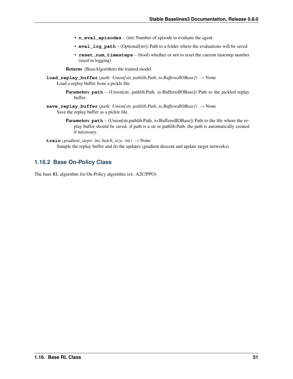- **n\_eval\_episodes** (int) Number of episode to evaluate the agent
- **eval\_log\_path** (Optional[str]) Path to a folder where the evaluations will be saved
- **reset\_num\_timesteps** (bool) whether or not to reset the current timestep number (used in logging)

Returns (BaseAlgorithm) the trained model

- **load\_replay\_buffer**(*path: Union[str, pathlib.Path, io.BufferedIOBase]*) → None Load a replay buffer from a pickle file.
	- Parameters **path** (Union[str, pathlib.Path, io.BufferedIOBase]) Path to the pickled replay buffer.
- **save\_replay\_buffer**(*path: Union[str, pathlib.Path, io.BufferedIOBase]*) → None Save the replay buffer as a pickle file.
	- **Parameters path** (Union[str,pathlib.Path, io.BufferedIOBase]) Path to the file where the replay buffer should be saved. if path is a str or pathlib.Path, the path is automatically created if necessary.
- **train**(*gradient\_steps: int, batch\_size: int*)  $\rightarrow$  None Sample the replay buffer and do the updates (gradient descent and update target networks)

# **1.16.2 Base On-Policy Class**

<span id="page-54-0"></span>The base RL algorithm for On-Policy algorithm (ex: A2C/PPO)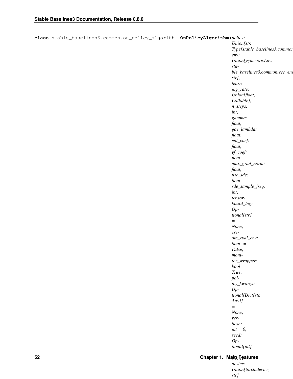| class stable_baselines3.common.on_policy_algorithm.OnPolicyAlgorithm(policy: |                               |
|------------------------------------------------------------------------------|-------------------------------|
|                                                                              | Union[str,                    |
|                                                                              | Type[stable_baselines3.commor |
|                                                                              | env:                          |
|                                                                              | Union[gym.core.Env,           |
|                                                                              | $sta-$                        |
|                                                                              | ble_baselines3.common.vec_env |
|                                                                              | str],                         |
|                                                                              | $learn-$                      |
|                                                                              | ing_rate:                     |
|                                                                              | Union[float,                  |
|                                                                              | Callable],                    |
|                                                                              |                               |
|                                                                              | $n\_steps$ :                  |
|                                                                              | int,                          |
|                                                                              | gamma:                        |
|                                                                              | float,                        |
|                                                                              | gae_lambda:                   |
|                                                                              | float,                        |
|                                                                              | $ent\_coef:$                  |
|                                                                              | float,                        |
|                                                                              | $vf\_coeff:$                  |
|                                                                              | float,                        |
|                                                                              | max_grad_norm:                |
|                                                                              | float,                        |
|                                                                              | use_sde:                      |
|                                                                              | bool,                         |
|                                                                              |                               |
|                                                                              | sde_sample_freq:              |
|                                                                              | int,                          |
|                                                                              | $tensor-$                     |
|                                                                              | board_log:                    |
|                                                                              | $Op-$                         |
|                                                                              | tional[str]                   |
|                                                                              | $\equiv$                      |
|                                                                              | None,                         |
|                                                                              | $cre-$                        |
|                                                                              | $ate\_eval\_env$ :            |
|                                                                              | $bool =$                      |
|                                                                              | False,                        |
|                                                                              | $\it moni$ -                  |
|                                                                              |                               |
|                                                                              | $tor\_wrapper:$               |
|                                                                              | $bool =$                      |
|                                                                              | True,                         |
|                                                                              | pol-                          |
|                                                                              | icy_kwargs:                   |
|                                                                              | $Op-$                         |
|                                                                              | tional[Dict[str,              |
|                                                                              | Anyjj                         |
|                                                                              | $=$ $\,$                      |
|                                                                              | None,                         |
|                                                                              | $ver\hbox{-}$                 |
|                                                                              | bose:                         |
|                                                                              | $int = 0$ ,                   |
|                                                                              | seed:                         |
|                                                                              | $Op-$                         |
|                                                                              |                               |

### *= None*, **52 Chapter 1. Main Features**

*tional[int]*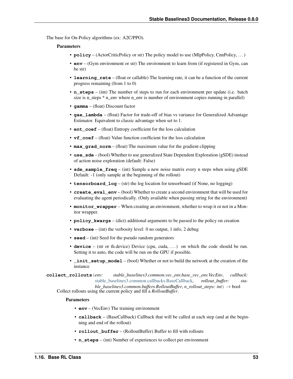The base for On-Policy algorithms (ex: A2C/PPO).

### Parameters

- **policy** (ActorCriticPolicy or str) The policy model to use (MlpPolicy, CnnPolicy, ...)
- **env** (Gym environment or str) The environment to learn from (if registered in Gym, can be str)
- **learning\_rate** (float or callable) The learning rate, it can be a function of the current progress remaining (from 1 to 0)
- **n\_steps** (int) The number of steps to run for each environment per update (i.e. batch size is n\_steps \* n\_env where n\_env is number of environment copies running in parallel)
- **gamma** (float) Discount factor
- **gae** lambda (float) Factor for trade-off of bias vs variance for Generalized Advantage Estimator. Equivalent to classic advantage when set to 1.
- **ent\_coef** (float) Entropy coefficient for the loss calculation
- **vf** coef (float) Value function coefficient for the loss calculation
- **max** grad norm (float) The maximum value for the gradient clipping
- **use\_sde** (bool) Whether to use generalized State Dependent Exploration (gSDE) instead of action noise exploration (default: False)
- **sde sample freq** (int) Sample a new noise matrix every n steps when using gSDE Default: -1 (only sample at the beginning of the rollout)
- **tensorboard\_log** (str) the log location for tensorboard (if None, no logging)
- **create\_eval\_env** (bool) Whether to create a second environment that will be used for evaluating the agent periodically. (Only available when passing string for the environment)
- **monitor\_wrapper** When creating an environment, whether to wrap it or not in a Monitor wrapper.
- **policy\_kwargs** (dict) additional arguments to be passed to the policy on creation
- **verbose** (int) the verbosity level: 0 no output, 1 info, 2 debug
- **seed** (int) Seed for the pseudo random generators
- **device** (str or th.device) Device (cpu, cuda, ...) on which the code should be run. Setting it to auto, the code will be run on the GPU if possible.
- **\_init\_setup\_model** (bool) Whether or not to build the network at the creation of the instance

**collect\_rollouts**(*env: stable\_baselines3.common.vec\_env.base\_vec\_env.VecEnv*, *callback:* [stable\\_baselines3.common.callbacks.BaseCallback,](#page-37-0) *rollout\_buffer: stable\_baselines3.common.buffers.RolloutBuffer*, *n\_rollout\_steps: int*) → bool

Collect rollouts using the current policy and fill a *RolloutBuffer*.

- **env** (VecEnv) The training environment
- **callback** (BaseCallback) Callback that will be called at each step (and at the beginning and end of the rollout)
- **rollout\_buffer** (RolloutBuffer) Buffer to fill with rollouts
- **n\_steps** (int) Number of experiences to collect per environment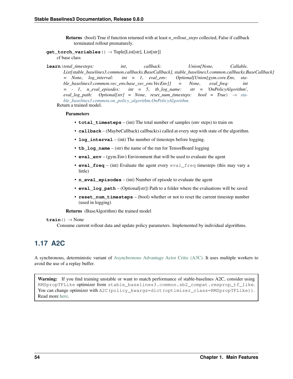Returns (bool) True if function returned with at least *n\_rollout\_steps* collected, False if callback terminated rollout prematurely.

**get\_torch\_variables**() → Tuple[List[str], List[str]]

cf base class

**learn**(*total\_timesteps: int*, *callback: Union[None, Callable, List[stable\_baselines3.common.callbacks.BaseCallback], stable\_baselines3.common.callbacks.BaseCallback] = None*, *log\_interval: int = 1*, *eval\_env: Optional[Union[gym.core.Env, stable\_baselines3.common.vec\_env.base\_vec\_env.VecEnv]] = None*, *eval\_freq: int = - 1*, *n\_eval\_episodes: int = 5*, *tb\_log\_name: str = 'OnPolicyAlgorithm'*,  $eval\_log\_path:$   $Optional[str] = None$ ,  $reset\_num\_timesteps:$   $bool = True$ )  $\rightarrow$   $sta$ *[ble\\_baselines3.common.on\\_policy\\_algorithm.OnPolicyAlgorithm](#page-54-0)* Return a trained model.

### Parameters

- **total timesteps** (int) The total number of samples (env steps) to train on
- **callback** (MaybeCallback) callback(s) called at every step with state of the algorithm.
- **log\_interval** (int) The number of timesteps before logging.
- **tb** log name (str) the name of the run for TensorBoard logging
- **eval env** (gym.Env) Environment that will be used to evaluate the agent
- **eval\_freq** (int) Evaluate the agent every eval\_freq timesteps (this may vary a little)
- **n** eval episodes (int) Number of episode to evaluate the agent
- **eval log path** (Optional[str]) Path to a folder where the evaluations will be saved
- **reset\_num\_timesteps** (bool) whether or not to reset the current timestep number (used in logging)

Returns (BaseAlgorithm) the trained model

 $\text{train}() \rightarrow \text{None}$ 

Consume current rollout data and update policy parameters. Implemented by individual algorithms.

# **1.17 A2C**

A synchronous, deterministic variant of [Asynchronous Advantage Actor Critic \(A3C\).](https://arxiv.org/abs/1602.01783) It uses multiple workers to avoid the use of a replay buffer.

Warning: If you find training unstable or want to match performance of stable-baselines A2C, consider using RMSpropTFLike optimizer from stable\_baselines3.common.sb2\_compat.rmsprop\_tf\_like. You can change optimizer with A2C (policy kwargs=dict (optimizer class=RMSpropTFLike)). Read more [here.](https://github.com/DLR-RM/stable-baselines3/pull/110#issuecomment-663255241)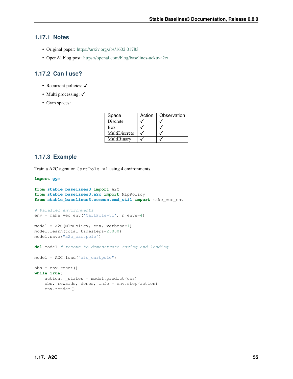# **1.17.1 Notes**

- Original paper: <https://arxiv.org/abs/1602.01783>
- OpenAI blog post: <https://openai.com/blog/baselines-acktr-a2c/>

# **1.17.2 Can I use?**

- Recurrent policies:  $\checkmark$
- Multi processing:  $\checkmark$
- Gym spaces:

| Space         | Action | Observation |
|---------------|--------|-------------|
| Discrete      |        |             |
| Box           |        |             |
| MultiDiscrete |        |             |
| MultiBinary   |        |             |

# **1.17.3 Example**

Train a A2C agent on CartPole-v1 using 4 environments.

```
import gym
from stable_baselines3 import A2C
from stable_baselines3.a2c import MlpPolicy
from stable_baselines3.common.cmd_util import make_vec_env
# Parallel environments
env = make_vec_env('CartPole-v1', n_envs=4)
model = A2C(MlpPolicy, env, verbose=1)model.learn(total_timesteps=25000)
model.save("a2c_cartpole")
del model # remove to demonstrate saving and loading
model = A2C.load("a2c_cartpole")
obs = env{\text{.reset}}()while True:
   action, _states = model.predict(obs)
    obs, rewards, dones, info = env.step(action)
    env.render()
```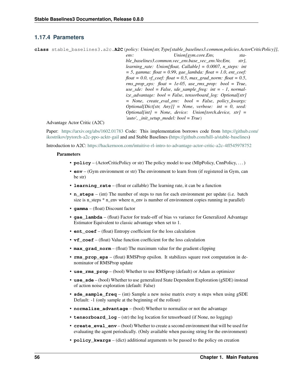# **1.17.4 Parameters**

**class** stable\_baselines3.a2c.**A2C**(*policy: Union[str, Type[stable\_baselines3.common.policies.ActorCriticPolicy]]*,

*env: Union[gym.core.Env, stable\_baselines3.common.vec\_env.base\_vec\_env.VecEnv, str]*, *learning\_rate: Union[float, Callable] = 0.0007*, *n\_steps: int = 5*, *gamma: float = 0.99*, *gae\_lambda: float = 1.0*, *ent\_coef: float = 0.0*, *vf\_coef: float = 0.5*, *max\_grad\_norm: float = 0.5*, *rms\_prop\_eps: float = 1e-05*, *use\_rms\_prop: bool = True*, *use\_sde: bool = False*, *sde\_sample\_freq: int = - 1*, *normalize\_advantage: bool = False*, *tensorboard\_log: Optional[str] = None*, *create\_eval\_env: bool = False*, *policy\_kwargs: Optional[Dict[str, Any]] = None*, *verbose: int = 0*, *seed: Optional[int] = None*, *device: Union[torch.device, str] = 'auto'*, *\_init\_setup\_model: bool = True*)

### Advantage Actor Critic (A2C)

Paper: <https://arxiv.org/abs/1602.01783> Code: This implementation borrows code from [https://github.com/](https://github.com/ikostrikov/pytorch-a2c-ppo-acktr-gail) [ikostrikov/pytorch-a2c-ppo-acktr-gail](https://github.com/ikostrikov/pytorch-a2c-ppo-acktr-gail) and and Stable Baselines [\(https://github.com/hill-a/stable-baselines\)](https://github.com/hill-a/stable-baselines)

Introduction to A2C: <https://hackernoon.com/intuitive-rl-intro-to-advantage-actor-critic-a2c-4ff545978752>

- **policy** (ActorCriticPolicy or str) The policy model to use (MlpPolicy, CnnPolicy, ...)
- **env** (Gym environment or str) The environment to learn from (if registered in Gym, can be str)
- **learning rate** (float or callable) The learning rate, it can be a function
- **n\_steps** (int) The number of steps to run for each environment per update (i.e. batch size is n\_steps \* n\_env where n\_env is number of environment copies running in parallel)
- **gamma** (float) Discount factor
- **gae** lambda (float) Factor for trade-off of bias vs variance for Generalized Advantage Estimator Equivalent to classic advantage when set to 1.
- **ent\_coef** (float) Entropy coefficient for the loss calculation
- **vf** coef (float) Value function coefficient for the loss calculation
- **max** grad norm (float) The maximum value for the gradient clipping
- **rms\_prop\_eps** (float) RMSProp epsilon. It stabilizes square root computation in denominator of RMSProp update
- **use\_rms\_prop** (bool) Whether to use RMSprop (default) or Adam as optimizer
- **use**  $sde$  (bool) Whether to use generalized State Dependent Exploration (gSDE) instead of action noise exploration (default: False)
- **sde\_sample\_freq** (int) Sample a new noise matrix every n steps when using gSDE Default: -1 (only sample at the beginning of the rollout)
- **normalize\_advantage** (bool) Whether to normalize or not the advantage
- **tensorboard**  $\log$  (str) the log location for tensorboard (if None, no logging)
- **create eval env** (bool) Whether to create a second environment that will be used for evaluating the agent periodically. (Only available when passing string for the environment)
- **policy\_kwargs** (dict) additional arguments to be passed to the policy on creation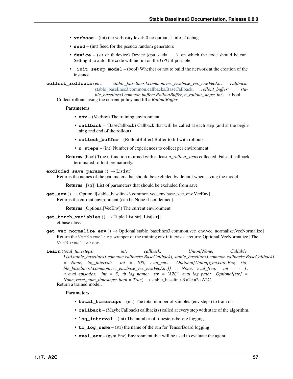- **verbose** (int) the verbosity level: 0 no output, 1 info, 2 debug
- **seed** (int) Seed for the pseudo random generators
- **device** (str or th.device) Device (cpu, cuda, ...) on which the code should be run. Setting it to auto, the code will be run on the GPU if possible.
- **init setup model** (bool) Whether or not to build the network at the creation of the instance

**collect\_rollouts**(*env: stable\_baselines3.common.vec\_env.base\_vec\_env.VecEnv*, *callback:* [stable\\_baselines3.common.callbacks.BaseCallback,](#page-37-0) *rollout\_buffer: sta-*

*ble\_baselines3.common.buffers.RolloutBuffer*, *n\_rollout\_steps: int*) → bool Collect rollouts using the current policy and fill a *RolloutBuffer*.

#### Parameters

- **env** (VecEnv) The training environment
- **callback** (BaseCallback) Callback that will be called at each step (and at the beginning and end of the rollout)
- **rollout\_buffer** (RolloutBuffer) Buffer to fill with rollouts
- **n** steps (int) Number of experiences to collect per environment

Returns (bool) True if function returned with at least *n\_rollout\_steps* collected, False if callback terminated rollout prematurely.

### **excluded\_save\_params**() → List[str]

Returns the names of the parameters that should be excluded by default when saving the model.

Returns ([str]) List of parameters that should be excluded from save

**get\_env**() → Optional[stable\_baselines3.common.vec\_env.base\_vec\_env.VecEnv] Returns the current environment (can be None if not defined).

Returns (Optional[VecEnv]) The current environment

- **get\_torch\_variables**()  $\rightarrow$  Tuple[List[str], List[str]] cf base class
- **get vec normalize env**() → Optional[stable baselines3.common.vec env.vec normalize.VecNormalize] Return the VecNormalize wrapper of the training env if it exists. :return: Optional[VecNormalize] The VecNormalize env.

**learn**(*total\_timesteps: int*, *callback: Union[None, Callable, List[stable\_baselines3.common.callbacks.BaseCallback], stable\_baselines3.common.callbacks.BaseCallback] = None*, *log\_interval: int = 100*, *eval\_env: Optional[Union[gym.core.Env, stable\_baselines3.common.vec\_env.base\_vec\_env.VecEnv]] = None*, *eval\_freq: int = - 1*, *n\_eval\_episodes: int = 5*, *tb\_log\_name: str = 'A2C'*, *eval\_log\_path: Optional[str] = None*, *reset* num timesteps:  $bool = True$ )  $\rightarrow$  stable baselines3.a2c.a2c.A2C Return a trained model.

- **total\_timesteps** (int) The total number of samples (env steps) to train on
- **callback** (MaybeCallback) callback(s) called at every step with state of the algorithm.
- **log\_interval** (int) The number of timesteps before logging.
- **tb** log name (str) the name of the run for TensorBoard logging
- **eval**  $env (gym,Env)$  Environment that will be used to evaluate the agent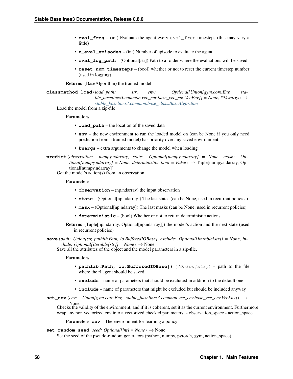- **eval freq** (int) Evaluate the agent every eval freq timesteps (this may vary a little)
- **n** eval episodes (int) Number of episode to evaluate the agent
- **eval log path** (Optional[str]) Path to a folder where the evaluations will be saved
- **reset num timesteps** (bool) whether or not to reset the current timestep number (used in logging)

Returns (BaseAlgorithm) the trained model

**classmethod load**(*load\_path: str*, *env: Optional[Union[gym.core.Env, stable\_baselines3.common.vec\_env.base\_vec\_env.VecEnv]] = None*, *\*\*kwargs*) → *[stable\\_baselines3.common.base\\_class.BaseAlgorithm](#page-47-0)*

Load the model from a zip-file

#### Parameters

- **load path** the location of the saved data
- **env** the new environment to run the loaded model on (can be None if you only need prediction from a trained model) has priority over any saved environment
- **kwargs** extra arguments to change the model when loading

**predict**(*observation: numpy.ndarray*, *state: Optional[numpy.ndarray] = None*, *mask: Optional[numpy.ndarray] = None*, *deterministic: bool = False*) → Tuple[numpy.ndarray, Optional[numpy.ndarray]]

Get the model's action(s) from an observation

#### **Parameters**

- **observation** (np.ndarray) the input observation
- **state** (Optional[np.ndarray]) The last states (can be None, used in recurrent policies)
- **mask** (Optional[np.ndarray]) The last masks (can be None, used in recurrent policies)
- **deterministic** (bool) Whether or not to return deterministic actions.
- Returns (Tuple[np.ndarray, Optional[np.ndarray]]) the model's action and the next state (used in recurrent policies)

**save**(*path: Union[str, pathlib.Path, io.BufferedIOBase]*, *exclude: Optional[Iterable[str]] = None*, *include: Optional[Iterable[str]] = None*)  $\rightarrow$  None

Save all the attributes of the object and the model parameters in a zip-file.

### Parameters

- **pathlib.Path, io.BufferedIOBase])** ((Union[str,) path to the file where the rl agent should be saved
- **exclude** name of parameters that should be excluded in addition to the default one
- **include** name of parameters that might be excluded but should be included anyway
- **set\_env**(*env: Union[gym.core.Env, stable\_baselines3.common.vec\_env.base\_vec\_env.VecEnv]*) → None

Checks the validity of the environment, and if it is coherent, set it as the current environment. Furthermore wrap any non vectorized env into a vectorized checked parameters: - observation\_space - action\_space

**Parameters <b>env** – The environment for learning a policy

#### **set random seed** (*seed: Optional[int] = None*)  $\rightarrow$  None

Set the seed of the pseudo-random generators (python, numpy, pytorch, gym, action space)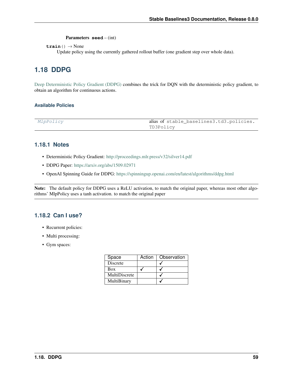Parameters **seed** – (int)

 $\texttt{train}() \rightarrow \text{None}$ 

Update policy using the currently gathered rollout buffer (one gradient step over whole data).

# **1.18 DDPG**

[Deep Deterministic Policy Gradient \(DDPG\)](https://spinningup.openai.com/en/latest/algorithms/ddpg.html) combines the trick for DQN with the deterministic policy gradient, to obtain an algorithm for continuous actions.

### **Available Policies**

| MlpPolicy | alias of stable_baselines3.td3.policies. |
|-----------|------------------------------------------|
|           | TD3Policy                                |

## **1.18.1 Notes**

- Deterministic Policy Gradient: <http://proceedings.mlr.press/v32/silver14.pdf>
- DDPG Paper: <https://arxiv.org/abs/1509.02971>
- OpenAI Spinning Guide for DDPG: <https://spinningup.openai.com/en/latest/algorithms/ddpg.html>

Note: The default policy for DDPG uses a ReLU activation, to match the original paper, whereas most other algorithms' MlpPolicy uses a tanh activation. to match the original paper

# **1.18.2 Can I use?**

- Recurrent policies:
- Multi processing:
- Gym spaces:

| Space           | Action | Observation |
|-----------------|--------|-------------|
| <b>Discrete</b> |        |             |
| Box             |        |             |
| MultiDiscrete   |        |             |
| MultiBinary     |        |             |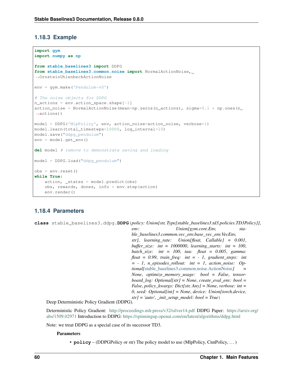# **1.18.3 Example**

```
import gym
import numpy as np
from stable_baselines3 import DDPG
from stable_baselines3.common.noise import NormalActionNoise,
˓→OrnsteinUhlenbeckActionNoise
env = gym.make('Pendulum-v0')
# The noise objects for DDPG
n_actions = env.action_space.shape[-1]
action_noise = NormalActionNoise(mean=np.zeros(n_actions), sigma=0.1 \star np.ones(n_
˓→actions))
model = DDPG('MlpPolicy', env, action_noise=action_noise, verbose=1)
model.learn(total_timesteps=10000, log_interval=10)
model.save("ddpg_pendulum")
env = model.get_env()
del model # remove to demonstrate saving and loading
model = DDPG.load("ddpg_pendulum")
obs = env.reset()
while True:
    action, _states = model.predict(obs)
    obs, rewards, dones, info = env.step(action)
    env.render()
```
# **1.18.4 Parameters**

**class** stable\_baselines3.ddpg.**DDPG**(*policy: Union[str, Type[stable\_baselines3.td3.policies.TD3Policy]]*,

*env: Union[gym.core.Env, stable\_baselines3.common.vec\_env.base\_vec\_env.VecEnv, str]*, *learning\_rate: Union[float, Callable] = 0.001*, *buffer\_size: int = 1000000*, *learning\_starts: int = 100*, *batch\_size: int = 100*, *tau: float = 0.005*, *gamma: float = 0.99*, *train\_freq: int = - 1*, *gradient\_steps: int = - 1*, *n\_episodes\_rollout: int = 1*, *action\_noise: Optional[*[stable\\_baselines3.common.noise.ActionNoise](#page-107-0)*] = None*, *optimize\_memory\_usage: bool = False*, *tensorboard\_log: Optional[str] = None*, *create\_eval\_env: bool = False*, *policy\_kwargs: Dict[str, Any] = None*, *verbose: int = 0*, *seed: Optional[int] = None*, *device: Union[torch.device, str] = 'auto'*, *\_init\_setup\_model: bool = True*)

Deep Deterministic Policy Gradient (DDPG).

Deterministic Policy Gradient: <http://proceedings.mlr.press/v32/silver14.pdf> DDPG Paper: [https://arxiv.org/](https://arxiv.org/abs/1509.02971) [abs/1509.02971](https://arxiv.org/abs/1509.02971) Introduction to DDPG: <https://spinningup.openai.com/en/latest/algorithms/ddpg.html>

Note: we treat DDPG as a special case of its successor TD3.

### **Parameters**

• **policy** – (DDPGPolicy or str) The policy model to use (MlpPolicy, CnnPolicy, . . . )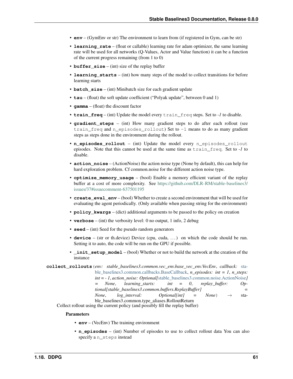- **env** (GymEnv or str) The environment to learn from (if registered in Gym, can be str)
- **learning\_rate** (float or callable) learning rate for adam optimizer, the same learning rate will be used for all networks (Q-Values, Actor and Value function) it can be a function of the current progress remaining (from 1 to 0)
- **buffer** size (int) size of the replay buffer
- **learning\_starts** (int) how many steps of the model to collect transitions for before learning starts
- **batch\_size** (int) Minibatch size for each gradient update
- **tau** (float) the soft update coefficient ("Polyak update", between 0 and 1)
- **gamma** (float) the discount factor
- **train freq** (int) Update the model every train freq steps. Set to *-1* to disable.
- **gradient\_steps** (int) How many gradient steps to do after each rollout (see train\_freq and n\_episodes\_rollout) Set to -1 means to do as many gradient steps as steps done in the environment during the rollout.
- **n\_episodes\_rollout** (int) Update the model every n\_episodes\_rollout episodes. Note that this cannot be used at the same time as train\_freq. Set to *-1* to disable.
- **action\_noise** (ActionNoise) the action noise type (None by default), this can help for hard exploration problem. Cf common.noise for the different action noise type.
- **optimize memory usage** (bool) Enable a memory efficient variant of the replay buffer at a cost of more complexity. See [https://github.com/DLR-RM/stable-baselines3/](https://github.com/DLR-RM/stable-baselines3/issues/37#issuecomment-637501195) [issues/37#issuecomment-637501195](https://github.com/DLR-RM/stable-baselines3/issues/37#issuecomment-637501195)
- **create\_eval\_env** (bool) Whether to create a second environment that will be used for evaluating the agent periodically. (Only available when passing string for the environment)
- **policy** kwargs (dict) additional arguments to be passed to the policy on creation
- **verbose** (int) the verbosity level: 0 no output, 1 info, 2 debug
- **seed** (int) Seed for the pseudo random generators
- **device** (str or th.device) Device (cpu, cuda, ...) on which the code should be run. Setting it to auto, the code will be run on the GPU if possible.
- **\_init\_setup\_model** (bool) Whether or not to build the network at the creation of the instance

**collect\_rollouts**(*env: stable\_baselines3.common.vec\_env.base\_vec\_env.VecEnv*, *callback:* [sta](#page-37-0)[ble\\_baselines3.common.callbacks.BaseCallback,](#page-37-0) *n\_episodes: int = 1*, *n\_steps: int = - 1*, *action\_noise: Optional[*[stable\\_baselines3.common.noise.ActionNoise](#page-107-0)*] = None*, *learning\_starts: int = 0*, *replay\_buffer: Optional[stable\_baselines3.common.buffers.ReplayBuffer] = None*,  $log\_interval$ : *Optional[int]* = *None*)  $\rightarrow$  stable\_baselines3.common.type\_aliases.RolloutReturn

Collect rollout using the current policy (and possibly fill the replay buffer)

- **env** (VecEnv) The training environment
- **n\_episodes** (int) Number of episodes to use to collect rollout data You can also specify a n\_steps instead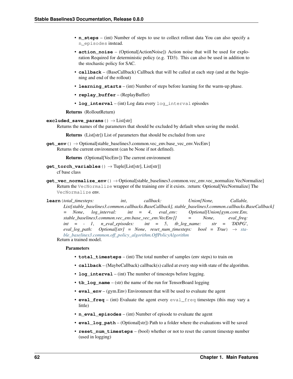- **n** steps (int) Number of steps to use to collect rollout data You can also specify a n\_episodes instead.
- **action\_noise** (Optional[ActionNoise]) Action noise that will be used for exploration Required for deterministic policy (e.g. TD3). This can also be used in addition to the stochastic policy for SAC.
- **callback** (BaseCallback) Callback that will be called at each step (and at the beginning and end of the rollout)
- **learning\_starts** (int) Number of steps before learning for the warm-up phase.
- **replay\_buffer** (ReplayBuffer)
- **log\_interval** (int) Log data every log\_interval episodes

Returns (RolloutReturn)

### **excluded\_save\_params**() → List[str]

Returns the names of the parameters that should be excluded by default when saving the model.

Returns (List[str]) List of parameters that should be excluded from save

**get\_env**() → Optional[stable\_baselines3.common.vec\_env.base\_vec\_env.VecEnv] Returns the current environment (can be None if not defined).

Returns (Optional[VecEnv]) The current environment

- **get torch variables** ()  $\rightarrow$  Tuple[List[str], List[str]] cf base class
- **get\_vec\_normalize\_env**() → Optional[stable\_baselines3.common.vec\_env.vec\_normalize.VecNormalize] Return the VecNormalize wrapper of the training env if it exists. :return: Optional[VecNormalize] The VecNormalize env.

**learn**(*total\_timesteps: int*, *callback: Union[None, Callable, List[stable\_baselines3.common.callbacks.BaseCallback], stable\_baselines3.common.callbacks.BaseCallback] = None*, *log\_interval: int = 4*, *eval\_env: Optional[Union[gym.core.Env, stable\_baselines3.common.vec\_env.base\_vec\_env.VecEnv]] = None*, *eval\_freq:*  $int = -1$ , *n\_eval\_episodes:* int = 5, *tb\_log\_name: str = 'DDPG'*,  $eval_log\_path:$   $Optional[str] = None$ ,  $reset\_num\_timesteps:$   $bool = True$ )  $\rightarrow$   $sta$ *[ble\\_baselines3.common.off\\_policy\\_algorithm.OffPolicyAlgorithm](#page-50-0)* Return a trained model.

- **total\_timesteps** (int) The total number of samples (env steps) to train on
- **callback** (MaybeCallback) callback(s) called at every step with state of the algorithm.
- **log\_interval** (int) The number of timesteps before logging.
- **tb** log name (str) the name of the run for TensorBoard logging
- **eval\_env** (gym.Env) Environment that will be used to evaluate the agent
- **eval\_freq** (int) Evaluate the agent every eval\_freq timesteps (this may vary a little)
- **n\_eval\_episodes** (int) Number of episode to evaluate the agent
- **eval\_log\_path** (Optional[str]) Path to a folder where the evaluations will be saved
- **reset\_num\_timesteps** (bool) whether or not to reset the current timestep number (used in logging)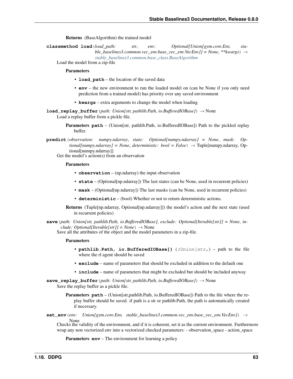Returns (BaseAlgorithm) the trained model

**classmethod load**(*load\_path: str*, *env: Optional[Union[gym.core.Env, stable\_baselines3.common.vec\_env.base\_vec\_env.VecEnv]] = None*, *\*\*kwargs*) → *[stable\\_baselines3.common.base\\_class.BaseAlgorithm](#page-47-0)*

Load the model from a zip-file

**Parameters** 

- **load path** the location of the saved data
- **env** the new environment to run the loaded model on (can be None if you only need prediction from a trained model) has priority over any saved environment
- **kwargs** extra arguments to change the model when loading

**load\_replay\_buffer**(*path: Union[str, pathlib.Path, io.BufferedIOBase]*) → None Load a replay buffer from a pickle file.

- **Parameters path** (Union[str, pathlib.Path, io.BufferedIOBase]) Path to the pickled replay buffer.
- **predict**(*observation: numpy.ndarray*, *state: Optional[numpy.ndarray] = None*, *mask: Op* $tional(numpy,ndarray] = None$ ,  $deterministic: bool = False$ )  $\rightarrow$  Tuple[numpy.ndarray, Optional[numpy.ndarray]]

Get the model's action(s) from an observation

#### **Parameters**

- **observation** (np.ndarray) the input observation
- **state** (Optional[np.ndarray]) The last states (can be None, used in recurrent policies)
- **mask** (Optional[np.ndarray]) The last masks (can be None, used in recurrent policies)
- **deterministic** (bool) Whether or not to return deterministic actions.
- Returns (Tuple[np.ndarray, Optional[np.ndarray]]) the model's action and the next state (used in recurrent policies)
- **save**(*path: Union[str, pathlib.Path, io.BufferedIOBase]*, *exclude: Optional[Iterable[str]] = None*, *include: Optional[Iterable[str]] = None*)  $\rightarrow$  None

Save all the attributes of the object and the model parameters in a zip-file.

#### Parameters

- **pathlib.Path, io.BufferedIOBase])** ((*Union[str,*) path to the file where the rl agent should be saved
- **exclude** name of parameters that should be excluded in addition to the default one
- **include** name of parameters that might be excluded but should be included anyway
- **save\_replay\_buffer**(*path: Union[str, pathlib.Path, io.BufferedIOBase]*) → None Save the replay buffer as a pickle file.
	- Parameters **path** (Union[str,pathlib.Path, io.BufferedIOBase]) Path to the file where the replay buffer should be saved. if path is a str or pathlib.Path, the path is automatically created if necessary.
- **set\_env**(*env: Union[gym.core.Env, stable\_baselines3.common.vec\_env.base\_vec\_env.VecEnv]*) →

None Checks the validity of the environment, and if it is coherent, set it as the current environment. Furthermore wrap any non vectorized env into a vectorized checked parameters: - observation space - action space

**Parameters <b>env** – The environment for learning a policy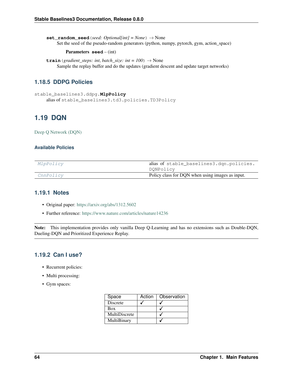**set random seed** (*seed: Optional[int] = None*)  $\rightarrow$  None Set the seed of the pseudo-random generators (python, numpy, pytorch, gym, action\_space)

#### Parameters **seed** – (int)

**train** (*gradient\_steps: int*, *batch\_size: int* =  $100$ )  $\rightarrow$  None Sample the replay buffer and do the updates (gradient descent and update target networks)

# **1.18.5 DDPG Policies**

```
stable_baselines3.ddpg.MlpPolicy
    alias of stable_baselines3.td3.policies.TD3Policy
```
# **1.19 DQN**

[Deep Q Network \(DQN\)](https://arxiv.org/abs/1312.5602)

### **Available Policies**

| MlpPolicy | alias of stable_baselines3.dqn.policies.         |
|-----------|--------------------------------------------------|
|           | DQNPolicy                                        |
| CnnPolicy | Policy class for DQN when using images as input. |

# **1.19.1 Notes**

- Original paper: <https://arxiv.org/abs/1312.5602>
- Further reference: <https://www.nature.com/articles/nature14236>

Note: This implementation provides only vanilla Deep Q-Learning and has no extensions such as Double-DQN, Dueling-DQN and Prioritized Experience Replay.

# **1.19.2 Can I use?**

- Recurrent policies:
- Multi processing:
- Gym spaces:

| Space           | Action | Observation |
|-----------------|--------|-------------|
| <b>Discrete</b> |        |             |
| <b>Box</b>      |        |             |
| MultiDiscrete   |        |             |
| MultiBinary     |        |             |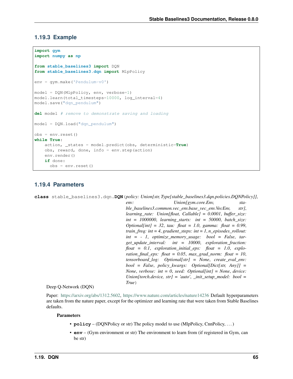### **1.19.3 Example**

```
import gym
import numpy as np
from stable_baselines3 import DQN
from stable_baselines3.dqn import MlpPolicy
env = gym.make('Pendulum-v0')
model = DQN(MlpPolicy, env, verbose=1)
model.learn(total_timesteps=10000, log_interval=4)
model.save("dqn_pendulum")
del model # remove to demonstrate saving and loading
model = DQN.load("dqn_pendulum")
obs = env.reset()
while True:
   action, _states = model.predict(obs, deterministic=True)
   obs, reward, done, info = env.step(action)
   env.render()
    if done:
      obs = env.reset()
```
### **1.19.4 Parameters**

**class** stable\_baselines3.dqn.**DQN**(*policy: Union[str, Type[stable\_baselines3.dqn.policies.DQNPolicy]]*, *env: Union[gym.core.Env, stable\_baselines3.common.vec\_env.base\_vec\_env.VecEnv, str]*, *learning\_rate: Union[float, Callable] = 0.0001*, *buffer\_size: int = 1000000*, *learning\_starts: int = 50000*, *batch\_size: Optional[int] = 32*, *tau: float = 1.0*, *gamma: float = 0.99*, *train freq: int = 4, gradient steps: int = 1, n\_episodes\_rollout: int = - 1*, *optimize\_memory\_usage: bool = False*, *target\_update\_interval: int = 10000*, *exploration\_fraction: float = 0.1*, *exploration\_initial\_eps: float = 1.0*, *exploration* final eps: float = 0.05, *max\_grad\_norm:* float = 10, *tensorboard\_log: Optional[str] = None*, *create\_eval\_env: bool = False*, *policy\_kwargs: Optional[Dict[str, Any]] = None*, *verbose: int = 0*, *seed: Optional[int] = None*, *device: Union[torch.device, str] = 'auto'*, *\_init\_setup\_model: bool = True*)

### Deep Q-Network (DQN)

Paper: [https://arxiv.org/abs/1312.5602,](https://arxiv.org/abs/1312.5602) <https://www.nature.com/articles/nature14236> Default hyperparameters are taken from the nature paper, except for the optimizer and learning rate that were taken from Stable Baselines defaults.

- **policy** (DQNPolicy or str) The policy model to use (MlpPolicy, CnnPolicy, . . . )
- **env** (Gym environment or str) The environment to learn from (if registered in Gym, can be str)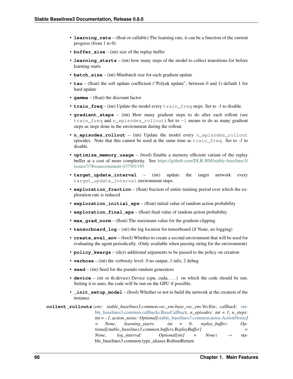- **learning rate** (float or callable) The learning rate, it can be a function of the current progress (from 1 to 0)
- **buffer** size (int) size of the replay buffer
- **learning\_starts** (int) how many steps of the model to collect transitions for before learning starts
- **batch\_size** (int) Minibatch size for each gradient update
- **tau** (float) the soft update coefficient ("Polyak update", between 0 and 1) default 1 for hard update
- **gamma** (float) the discount factor
- **train\_freq** (int) Update the model every train\_freq steps. Set to *-1* to disable.
- **gradient steps** (int) How many gradient steps to do after each rollout (see train\_freq and n\_episodes\_rollout) Set to -1 means to do as many gradient steps as steps done in the environment during the rollout.
- **n** episodes rollout (int) Update the model every n episodes rollout episodes. Note that this cannot be used at the same time as train\_freq. Set to *-1* to disable.
- **optimize\_memory\_usage** (bool) Enable a memory efficient variant of the replay buffer at a cost of more complexity. See [https://github.com/DLR-RM/stable-baselines3/](https://github.com/DLR-RM/stable-baselines3/issues/37#issuecomment-637501195) [issues/37#issuecomment-637501195](https://github.com/DLR-RM/stable-baselines3/issues/37#issuecomment-637501195)
- **target\_update\_interval** (int) update the target network every target\_update\_interval environment steps.
- **exploration\_fraction** (float) fraction of entire training period over which the exploration rate is reduced
- **exploration\_initial\_eps** (float) initial value of random action probability
- **exploration\_final\_eps** (float) final value of random action probability
- **max\_grad\_norm** (float) The maximum value for the gradient clipping
- **tensorboard\_log** (str) the log location for tensorboard (if None, no logging)
- **create eval env** (bool) Whether to create a second environment that will be used for evaluating the agent periodically. (Only available when passing string for the environment)
- **policy\_kwargs** (dict) additional arguments to be passed to the policy on creation
- **verbose** (int) the verbosity level: 0 no output, 1 info, 2 debug
- **seed** (int) Seed for the pseudo random generators
- **device** (str or th.device) Device (cpu, cuda, ...) on which the code should be run. Setting it to auto, the code will be run on the GPU if possible.
- **\_init\_setup\_model** (bool) Whether or not to build the network at the creation of the instance

**collect\_rollouts**(*env: stable\_baselines3.common.vec\_env.base\_vec\_env.VecEnv*, *callback:* [sta](#page-37-0)[ble\\_baselines3.common.callbacks.BaseCallback,](#page-37-0) *n\_episodes: int = 1*, *n\_steps: int = - 1*, *action\_noise: Optional[*[stable\\_baselines3.common.noise.ActionNoise](#page-107-0)*] = None*, *learning\_starts: int = 0*, *replay\_buffer: Optional[stable\_baselines3.common.buffers.ReplayBuffer] = None*, *log interval:* Optional[int] = None)  $\rightarrow$  stable\_baselines3.common.type\_aliases.RolloutReturn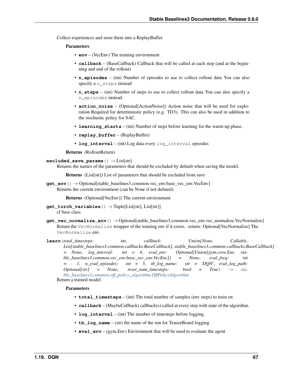Collect experiences and store them into a ReplayBuffer.

### Parameters

- **env** (VecEnv) The training environment
- **callback** (BaseCallback) Callback that will be called at each step (and at the beginning and end of the rollout)
- **n\_episodes** (int) Number of episodes to use to collect rollout data You can also specify a n\_steps instead
- **n\_steps** (int) Number of steps to use to collect rollout data You can also specify a n\_episodes instead.
- **action\_noise** (Optional[ActionNoise]) Action noise that will be used for exploration Required for deterministic policy (e.g. TD3). This can also be used in addition to the stochastic policy for SAC.
- **learning\_starts** (int) Number of steps before learning for the warm-up phase.
- **replay buffer** (ReplayBuffer)
- **log\_interval** (int) Log data every log\_interval episodes

Returns (RolloutReturn)

### **excluded\_save\_params**() → List[str]

Returns the names of the parameters that should be excluded by default when saving the model.

Returns (List[str]) List of parameters that should be excluded from save

**get\_env**() → Optional[stable\_baselines3.common.vec\_env.base\_vec\_env.VecEnv] Returns the current environment (can be None if not defined).

Returns (Optional[VecEnv]) The current environment

- $get\_torch\_variables$  ()  $\rightarrow$  Tuple[List[str], List[str]] cf base class
- **get\_vec\_normalize\_env**() → Optional[stable\_baselines3.common.vec\_env.vec\_normalize.VecNormalize] Return the VecNormalize wrapper of the training env if it exists. :return: Optional[VecNormalize] The VecNormalize env.
- **learn**(*total\_timesteps: int*, *callback: Union[None, Callable, List[stable\_baselines3.common.callbacks.BaseCallback], stable\_baselines3.common.callbacks.BaseCallback] = None*, *log\_interval: int = 4*, *eval\_env: Optional[Union[gym.core.Env, stable\_baselines3.common.vec\_env.base\_vec\_env.VecEnv]] = None*, *eval\_freq: int*  $= -1$ , *n\_eval\_episodes:* int  $= 5$ , *tb\_log\_name: str = 'DQN'*, *eval\_log\_path:*  $Optional[str] = None,$  *reset num timesteps: bool* = True)  $\rightarrow$  *[sta](#page-50-0)[ble\\_baselines3.common.off\\_policy\\_algorithm.OffPolicyAlgorithm](#page-50-0)* Return a trained model.

- **total\_timesteps** (int) The total number of samples (env steps) to train on
- **callback** (MaybeCallback) callback(s) called at every step with state of the algorithm.
- **log\_interval** (int) The number of timesteps before logging.
- **tb\_log\_name** (str) the name of the run for TensorBoard logging
- **eval env** (gym.Env) Environment that will be used to evaluate the agent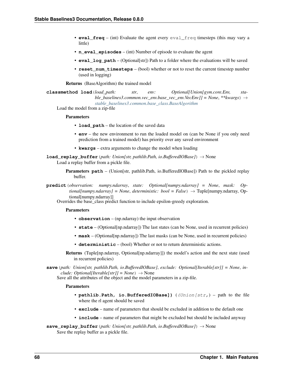- **eval freq** (int) Evaluate the agent every eval freq timesteps (this may vary a little)
- **n** eval episodes (int) Number of episode to evaluate the agent
- **eval\_log\_path** (Optional[str]) Path to a folder where the evaluations will be saved
- **reset num timesteps** (bool) whether or not to reset the current timestep number (used in logging)

Returns (BaseAlgorithm) the trained model

**classmethod load**(*load\_path: str*, *env: Optional[Union[gym.core.Env, stable\_baselines3.common.vec\_env.base\_vec\_env.VecEnv]] = None*, *\*\*kwargs*) → *[stable\\_baselines3.common.base\\_class.BaseAlgorithm](#page-47-0)*

Load the model from a zip-file

#### Parameters

- **load path** the location of the saved data
- **env** the new environment to run the loaded model on (can be None if you only need prediction from a trained model) has priority over any saved environment
- **kwargs** extra arguments to change the model when loading

**load replay buffer** (*path: Union[str, pathlib.Path, io.BufferedIOBase]*)  $\rightarrow$  None Load a replay buffer from a pickle file.

- Parameters **path** (Union[str, pathlib.Path, io.BufferedIOBase]) Path to the pickled replay buffer.
- **predict**(*observation: numpy.ndarray*, *state: Optional[numpy.ndarray] = None*, *mask: Optional[numpy.ndarray] = None*, *deterministic: bool = False*) → Tuple[numpy.ndarray, Optional[numpy.ndarray]]

Overrides the base\_class predict function to include epsilon-greedy exploration.

### **Parameters**

- **observation** (np.ndarray) the input observation
- **state** (Optional[np.ndarray]) The last states (can be None, used in recurrent policies)
- **mask** (Optional[np.ndarray]) The last masks (can be None, used in recurrent policies)
- **deterministic** (bool) Whether or not to return deterministic actions.
- Returns (Tuple[np.ndarray, Optional[np.ndarray]]) the model's action and the next state (used in recurrent policies)

**save**(*path: Union[str, pathlib.Path, io.BufferedIOBase]*, *exclude: Optional[Iterable[str]] = None*, *include: Optional[Iterable[str]] = None*)  $\rightarrow$  None

Save all the attributes of the object and the model parameters in a zip-file.

### Parameters

- **pathlib.Path, io.BufferedIOBase])** ((Union[str,) path to the file where the rl agent should be saved
- **exclude** name of parameters that should be excluded in addition to the default one
- **include** name of parameters that might be excluded but should be included anyway

**save\_replay\_buffer**(*path: Union[str, pathlib.Path, io.BufferedIOBase]*) → None Save the replay buffer as a pickle file.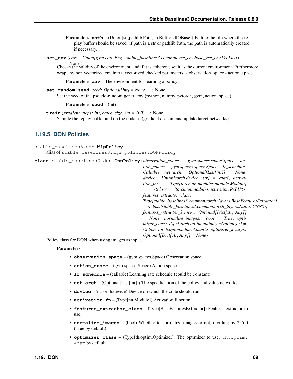**Parameters path** – (Union[str,pathlib.Path, io.BufferedIOBase]) Path to the file where the replay buffer should be saved. if path is a str or pathlib.Path, the path is automatically created if necessary.

**set\_env**(*env: Union[gym.core.Env, stable\_baselines3.common.vec\_env.base\_vec\_env.VecEnv]*) →

None Checks the validity of the environment, and if it is coherent, set it as the current environment. Furthermore wrap any non vectorized env into a vectorized checked parameters: - observation\_space - action\_space

**Parameters <b>env** – The environment for learning a policy

**set random seed** (*seed: Optional[int] = None*)  $\rightarrow$  None Set the seed of the pseudo-random generators (python, numpy, pytorch, gym, action space)

Parameters **seed** – (int)

**train** (*gradient\_steps: int*, *batch\_size: int* =  $100$ )  $\rightarrow$  None Sample the replay buffer and do the updates (gradient descent and update target networks)

# **1.19.5 DQN Policies**

```
stable_baselines3.dqn.MlpPolicy
    alias of stable_baselines3.dqn.policies.DQNPolicy
```
**class** stable\_baselines3.dqn.**CnnPolicy**(*observation\_space: gym.spaces.space.Space*, *ac-*

*tion\_space: gym.spaces.space.Space*, *lr\_schedule: Callable*, *net\_arch: Optional[List[int]] = None*, *device: Union[torch.device*, *str] = 'auto'*, *activation\_fn: Type[torch.nn.modules.module.Module] = <class 'torch.nn.modules.activation.ReLU'>*, *features\_extractor\_class: Type[stable\_baselines3.common.torch\_layers.BaseFeaturesExtractor] = <class 'stable\_baselines3.common.torch\_layers.NatureCNN'>*, *features\_extractor\_kwargs: Optional[Dict[str*, *Any]] = None*, *normalize\_images: bool = True*, *optimizer\_class: Type[torch.optim.optimizer.Optimizer] = <class 'torch.optim.adam.Adam'>*, *optimizer\_kwargs: Optional[Dict[str*, *Any]] = None*)

Policy class for DQN when using images as input.

- **observation\_space** (gym.spaces.Space) Observation space
- **action\_space** (gym.spaces.Space) Action space
- **lr\_schedule** (callable) Learning rate schedule (could be constant)
- **net arch** (Optional[List[int]]) The specification of the policy and value networks.
- **device** (str or th.device) Device on which the code should run.
- **activation\_fn** (Type[nn.Module]) Activation function
- **features\_extractor\_class** (Type[BaseFeaturesExtractor]) Features extractor to use.
- **normalize\_images** (bool) Whether to normalize images or not, dividing by 255.0 (True by default)
- **optimizer\_class** (Type[th.optim.Optimizer]) The optimizer to use, th.optim. Adam by default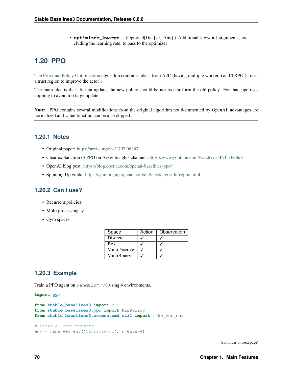• **optimizer kwargs** – (Optional[Dict[str, Any]]) Additional keyword arguments, excluding the learning rate, to pass to the optimizer

# **1.20 PPO**

The [Proximal Policy Optimization](https://arxiv.org/abs/1707.06347) algorithm combines ideas from A2C (having multiple workers) and TRPO (it uses a trust region to improve the actor).

The main idea is that after an update, the new policy should be not too far form the old policy. For that, ppo uses clipping to avoid too large update.

Note: PPO contains several modifications from the original algorithm not documented by OpenAI: advantages are normalized and value function can be also clipped .

# **1.20.1 Notes**

- Original paper: <https://arxiv.org/abs/1707.06347>
- Clear explanation of PPO on Arxiv Insights channel: <https://www.youtube.com/watch?v=5P7I-xPq8u8>
- OpenAI blog post: <https://blog.openai.com/openai-baselines-ppo/>
- Spinning Up guide: <https://spinningup.openai.com/en/latest/algorithms/ppo.html>

# **1.20.2 Can I use?**

- Recurrent policies:
- Multi processing:  $\checkmark$
- Gym spaces:

| Space         | Action | Observation |  |
|---------------|--------|-------------|--|
| Discrete      |        |             |  |
| Box           |        |             |  |
| MultiDiscrete |        |             |  |
| MultiBinary   |        |             |  |

# **1.20.3 Example**

Train a PPO agent on Pendulum-v0 using 4 environments.

```
import gym
from stable_baselines3 import PPO
from stable_baselines3.ppo import MlpPolicy
from stable_baselines3.common.cmd_util import make_vec_env
# Parallel environments
env = make_vec_env('CartPole-v1', n_envs=4)
```
(continues on next page)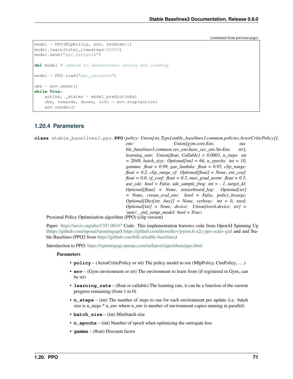(continued from previous page)

```
model = PPO(MlpPolicy, env, verbose=1)
model.learn(total_timesteps=25000)
model.save("ppo_cartpole")
del model # remove to demonstrate saving and loading
model = PPO.load("ppo_cartpole")
obs = env.reset()
while True:
   action, _states = model.predict(obs)
    obs, rewards, dones, info = env.step(action)
    env.render()
```
# **1.20.4 Parameters**

**class** stable\_baselines3.ppo.**PPO**(*policy: Union[str, Type[stable\_baselines3.common.policies.ActorCriticPolicy]]*,

*env: Union[gym.core.Env, stable\_baselines3.common.vec\_env.base\_vec\_env.VecEnv, str]*, *learning\_rate: Union[float, Callable] = 0.0003*, *n\_steps: int = 2048*, *batch\_size: Optional[int] = 64*, *n\_epochs: int = 10*, *gamma: float = 0.99*, *gae\_lambda: float = 0.95*, *clip\_range: float = 0.2*, *clip\_range\_vf: Optional[float] = None*, *ent\_coef: float* = 0.0, *vf coef: float* = 0.5, *max grad norm: float* = 0.5, *use\_sde: bool = False*, *sde\_sample\_freq: int = - 1*, *target\_kl: Optional[float] = None*, *tensorboard\_log: Optional[str] = None*, *create\_eval\_env: bool = False*, *policy\_kwargs: Optional[Dict[str, Any]] = None*, *verbose: int = 0*, *seed: Optional[int] = None*, *device: Union[torch.device, str] =* '*auto'*, *init setup model: bool = True*)

Proximal Policy Optimization algorithm (PPO) (clip version)

Paper: <https://arxiv.org/abs/1707.06347> Code: This implementation borrows code from OpenAI Spinning Up [\(https://github.com/openai/spinningup/\)](https://github.com/openai/spinningup/) <https://github.com/ikostrikov/pytorch-a2c-ppo-acktr-gail> and and Stable Baselines (PPO2 from [https://github.com/hill-a/stable-baselines\)](https://github.com/hill-a/stable-baselines)

Introduction to PPO: <https://spinningup.openai.com/en/latest/algorithms/ppo.html>

- **policy** (ActorCriticPolicy or str) The policy model to use (MlpPolicy, CnnPolicy, ...)
- **env** (Gym environment or str) The environment to learn from (if registered in Gym, can be str)
- **learning rate** (float or callable) The learning rate, it can be a function of the current progress remaining (from 1 to 0)
- **n\_steps** (int) The number of steps to run for each environment per update (i.e. batch size is n\_steps \* n\_env where n\_env is number of environment copies running in parallel)
- **batch** size (int) Minibatch size
- **n\_epochs** (int) Number of epoch when optimizing the surrogate loss
- **gamma** (float) Discount factor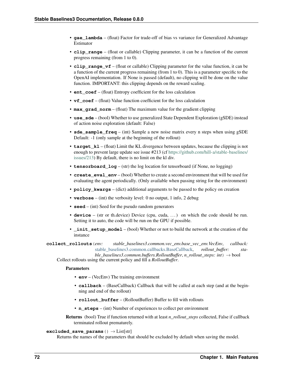- **gae** lambda (float) Factor for trade-off of bias vs variance for Generalized Advantage Estimator
- **clip\_range** (float or callable) Clipping parameter, it can be a function of the current progress remaining (from 1 to 0).
- **clip\_range\_vf** (float or callable) Clipping parameter for the value function, it can be a function of the current progress remaining (from 1 to 0). This is a parameter specific to the OpenAI implementation. If None is passed (default), no clipping will be done on the value function. IMPORTANT: this clipping depends on the reward scaling.
- **ent\_coef** (float) Entropy coefficient for the loss calculation
- **vf\_coef** (float) Value function coefficient for the loss calculation
- **max\_grad\_norm** (float) The maximum value for the gradient clipping
- **use\_sde** (bool) Whether to use generalized State Dependent Exploration (gSDE) instead of action noise exploration (default: False)
- **sde\_sample\_freq** (int) Sample a new noise matrix every n steps when using gSDE Default: -1 (only sample at the beginning of the rollout)
- **target** k1 (float) Limit the KL divergence between updates, because the clipping is not enough to prevent large update see issue #213 (cf [https://github.com/hill-a/stable-baselines/](https://github.com/hill-a/stable-baselines/issues/213) [issues/213\)](https://github.com/hill-a/stable-baselines/issues/213) By default, there is no limit on the kl div.
- **tensorboard**  $\log$  (str) the log location for tensorboard (if None, no logging)
- **create eval env** (bool) Whether to create a second environment that will be used for evaluating the agent periodically. (Only available when passing string for the environment)
- **policy\_kwargs** (dict) additional arguments to be passed to the policy on creation
- **verbose** (int) the verbosity level: 0 no output, 1 info, 2 debug
- **seed** (int) Seed for the pseudo random generators
- **device** (str or th.device) Device (cpu, cuda, ...) on which the code should be run. Setting it to auto, the code will be run on the GPU if possible.
- **\_init\_setup\_model** (bool) Whether or not to build the network at the creation of the instance

**collect\_rollouts**(*env: stable\_baselines3.common.vec\_env.base\_vec\_env.VecEnv*, *callback:* [stable\\_baselines3.common.callbacks.BaseCallback,](#page-37-0) *rollout\_buffer: sta-*

*ble\_baselines3.common.buffers.RolloutBuffer, n\_rollout\_steps: int*)  $\rightarrow$  bool Collect rollouts using the current policy and fill a *RolloutBuffer*.

## Parameters

- **env** (VecEnv) The training environment
- **callback** (BaseCallback) Callback that will be called at each step (and at the beginning and end of the rollout)
- **rollout\_buffer** (RolloutBuffer) Buffer to fill with rollouts
- **n\_steps** (int) Number of experiences to collect per environment

Returns (bool) True if function returned with at least *n\_rollout\_steps* collected, False if callback terminated rollout prematurely.

## **excluded\_save\_params**() → List[str]

Returns the names of the parameters that should be excluded by default when saving the model.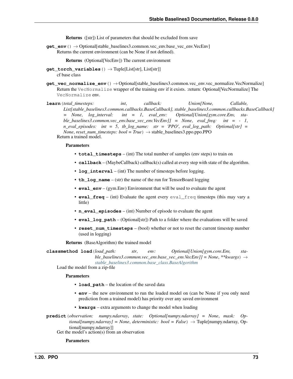Returns ([str]) List of parameters that should be excluded from save

**get env**()  $\rightarrow$  Optional [stable baselines3.common.vec env.base vec env. VecEnv] Returns the current environment (can be None if not defined).

Returns (Optional[VecEnv]) The current environment

- **get torch variables** ()  $\rightarrow$  Tuple[List[str], List[str]] cf base class
- **get\_vec\_normalize\_env**() → Optional[stable\_baselines3.common.vec\_env.vec\_normalize.VecNormalize] Return the VecNormalize wrapper of the training env if it exists. :return: Optional[VecNormalize] The VecNormalize env.
- **learn**(*total\_timesteps: int*, *callback: Union[None, Callable, List[stable\_baselines3.common.callbacks.BaseCallback], stable\_baselines3.common.callbacks.BaseCallback] = None*, *log\_interval: int = 1*, *eval\_env: Optional[Union[gym.core.Env, stable\_baselines3.common.vec\_env.base\_vec\_env.VecEnv]] = None*, *eval\_freq: int = - 1*, *n\_eval\_episodes: int = 5*, *tb\_log\_name: str = 'PPO'*, *eval\_log\_path: Optional[str] = None*, *reset\_num\_timesteps: bool* = *True*  $\rangle \rightarrow$  stable\_baselines3.ppo.ppo.PPO Return a trained model.

### Parameters

- **total timesteps** (int) The total number of samples (env steps) to train on
- **callback** (MaybeCallback) callback(s) called at every step with state of the algorithm.
- **log\_interval** (int) The number of timesteps before logging.
- **tb** log name (str) the name of the run for TensorBoard logging
- **eval env** (gym.Env) Environment that will be used to evaluate the agent
- **eval\_freq** (int) Evaluate the agent every eval\_freq timesteps (this may vary a little)
- **n\_eval\_episodes** (int) Number of episode to evaluate the agent
- **eval\_log\_path** (Optional[str]) Path to a folder where the evaluations will be saved
- **reset\_num\_timesteps** (bool) whether or not to reset the current timestep number (used in logging)

Returns (BaseAlgorithm) the trained model

**classmethod load**(*load\_path: str*, *env: Optional[Union[gym.core.Env, stable\_baselines3.common.vec\_env.base\_vec\_env.VecEnv]] = None*, *\*\*kwargs*) → *[stable\\_baselines3.common.base\\_class.BaseAlgorithm](#page-47-0)*

Load the model from a zip-file

# Parameters

- **load\_path** the location of the saved data
- **env** the new environment to run the loaded model on (can be None if you only need prediction from a trained model) has priority over any saved environment
- **kwargs** extra arguments to change the model when loading
- **predict**(*observation: numpy.ndarray*, *state: Optional[numpy.ndarray] = None*, *mask: Optional[numpy.ndarray] = None, deterministic: bool = False*)  $\rightarrow$  Tuple[numpy.ndarray, Optional[numpy.ndarray]]

Get the model's action(s) from an observation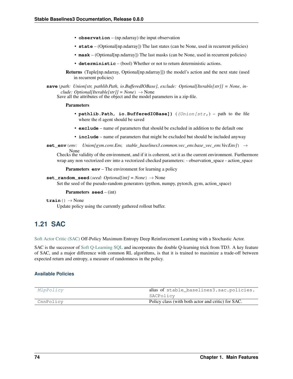- **observation** (np.ndarray) the input observation
- **state** (Optional[np.ndarray]) The last states (can be None, used in recurrent policies)
- **mask** (Optional[np.ndarray]) The last masks (can be None, used in recurrent policies)
- **deterministic** (bool) Whether or not to return deterministic actions.
- Returns (Tuple[np.ndarray, Optional[np.ndarray]]) the model's action and the next state (used in recurrent policies)
- **save**(*path: Union[str, pathlib.Path, io.BufferedIOBase]*, *exclude: Optional[Iterable[str]] = None*, *include: Optional[Iterable[str]] = None*)  $\rightarrow$  None

Save all the attributes of the object and the model parameters in a zip-file.

## Parameters

- **pathlib.Path, io.BufferedIOBase])** ((*Union[str,*) path to the file where the rl agent should be saved
- **exclude** name of parameters that should be excluded in addition to the default one
- **include** name of parameters that might be excluded but should be included anyway
- **set\_env**(*env: Union*[gym.core.Env, stable\_baselines3.common.vec\_env.base\_vec\_env.VecEnv]) → None

Checks the validity of the environment, and if it is coherent, set it as the current environment. Furthermore wrap any non vectorized env into a vectorized checked parameters: - observation\_space - action\_space

**Parameters <b>env** – The environment for learning a policy

#### **set random seed** (*seed: Optional[int] = None*)  $\rightarrow$  None

Set the seed of the pseudo-random generators (python, numpy, pytorch, gym, action space)

## Parameters **seed** – (int)

### $\texttt{train}() \rightarrow \text{None}$

Update policy using the currently gathered rollout buffer.

# **1.21 SAC**

[Soft Actor Critic \(SAC\)](https://spinningup.openai.com/en/latest/algorithms/sac.html) Off-Policy Maximum Entropy Deep Reinforcement Learning with a Stochastic Actor.

SAC is the successor of [Soft Q-Learning SQL](https://arxiv.org/abs/1702.08165) and incorporates the double Q-learning trick from TD3. A key feature of SAC, and a major difference with common RL algorithms, is that it is trained to maximize a trade-off between expected return and entropy, a measure of randomness in the policy.

# **Available Policies**

| MlpPolicy | alias of stable_baselines3.sac.policies.           |
|-----------|----------------------------------------------------|
|           | SACPolicy                                          |
| CnnPolicy | Policy class (with both actor and critic) for SAC. |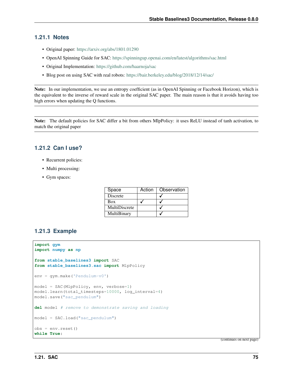# **1.21.1 Notes**

- Original paper: <https://arxiv.org/abs/1801.01290>
- OpenAI Spinning Guide for SAC: <https://spinningup.openai.com/en/latest/algorithms/sac.html>
- Original Implementation: <https://github.com/haarnoja/sac>
- Blog post on using SAC with real robots: <https://bair.berkeley.edu/blog/2018/12/14/sac/>

Note: In our implementation, we use an entropy coefficient (as in OpenAI Spinning or Facebook Horizon), which is the equivalent to the inverse of reward scale in the original SAC paper. The main reason is that it avoids having too high errors when updating the Q functions.

Note: The default policies for SAC differ a bit from others MlpPolicy: it uses ReLU instead of tanh activation, to match the original paper

# **1.21.2 Can I use?**

- Recurrent policies:
- Multi processing:
- Gym spaces:

| Space           | Action | Observation |
|-----------------|--------|-------------|
| <b>Discrete</b> |        |             |
| Box             |        |             |
| MultiDiscrete   |        |             |
| MultiBinary     |        |             |

# **1.21.3 Example**

```
import gym
import numpy as np
from stable_baselines3 import SAC
from stable_baselines3.sac import MlpPolicy
env = gym.make('Pendulum-v0')
model = SAC(MlpPolicy, env, verbose=1)
model.learn(total_timesteps=10000, log_interval=4)
model.save("sac_pendulum")
del model # remove to demonstrate saving and loading
model = SAC.load("sac_pendulum")
obs = env{\text{.reset}}()while True:
```
(continues on next page)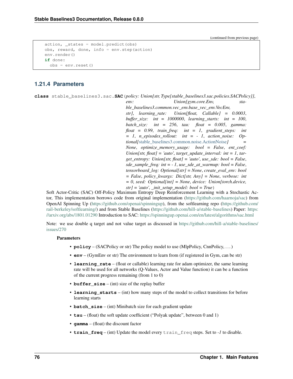(continued from previous page)

```
action, _states = model.predict(obs)obs, reward, done, info = env.step(action)
env.render()
if done:
  obs = env.reset()
```
# **1.21.4 Parameters**

**class** stable\_baselines3.sac.**SAC**(*policy: Union[str, Type[stable\_baselines3.sac.policies.SACPolicy]]*, *env: Union[gym.core.Env, stable\_baselines3.common.vec\_env.base\_vec\_env.VecEnv, str]*, *learning\_rate: Union[float, Callable] = 0.0003*, *buffer\_size: int = 1000000*, *learning\_starts: int = 100*, *batch\_size: int = 256*, *tau: float = 0.005*, *gamma: float = 0.99*, *train\_freq: int = 1*, *gradient\_steps: int = 1*, *n\_episodes\_rollout: int = - 1*, *action\_noise: Optional[*[stable\\_baselines3.common.noise.ActionNoise](#page-107-0)*] = None*, *optimize\_memory\_usage: bool = False*, *ent\_coef: Union[str, float] = 'auto'*, *target\_update\_interval: int = 1*, *target\_entropy: Union[str, float] = 'auto'*, *use\_sde: bool = False*, *sde\_sample\_freq: int = - 1*, *use\_sde\_at\_warmup: bool = False*, *tensorboard\_log: Optional[str] = None*, *create\_eval\_env: bool = False*, *policy\_kwargs: Dict[str, Any] = None*, *verbose: int = 0*, *seed: Optional[int] = None*, *device: Union[torch.device,*  $str$ *] = 'auto'*, *init setup model: bool = True*)

Soft Actor-Critic (SAC) Off-Policy Maximum Entropy Deep Reinforcement Learning with a Stochastic Actor, This implementation borrows code from original implementation [\(https://github.com/haarnoja/sac\)](https://github.com/haarnoja/sac) from OpenAI Spinning Up [\(https://github.com/openai/spinningup\)](https://github.com/openai/spinningup), from the softlearning repo [\(https://github.com/](https://github.com/rail-berkeley/softlearning/) [rail-berkeley/softlearning/\)](https://github.com/rail-berkeley/softlearning/) and from Stable Baselines [\(https://github.com/hill-a/stable-baselines\)](https://github.com/hill-a/stable-baselines) Paper: [https:](https://arxiv.org/abs/1801.01290) [//arxiv.org/abs/1801.01290](https://arxiv.org/abs/1801.01290) Introduction to SAC: <https://spinningup.openai.com/en/latest/algorithms/sac.html>

Note: we use double q target and not value target as discussed in [https://github.com/hill-a/stable-baselines/](https://github.com/hill-a/stable-baselines/issues/270) [issues/270](https://github.com/hill-a/stable-baselines/issues/270)

- **policy** (SACPolicy or str) The policy model to use (MlpPolicy, CnnPolicy, ...)
- **env** (GymEnv or str) The environment to learn from (if registered in Gym, can be str)
- **learning rate** (float or callable) learning rate for adam optimizer, the same learning rate will be used for all networks (Q-Values, Actor and Value function) it can be a function of the current progress remaining (from 1 to 0)
- **buffer\_size** (int) size of the replay buffer
- **learning\_starts** (int) how many steps of the model to collect transitions for before learning starts
- **batch** size (int) Minibatch size for each gradient update
- **tau** (float) the soft update coefficient ("Polyak update", between 0 and 1)
- **gamma** (float) the discount factor
- **train\_freq** (int) Update the model every train\_freq steps. Set to *-1* to disable.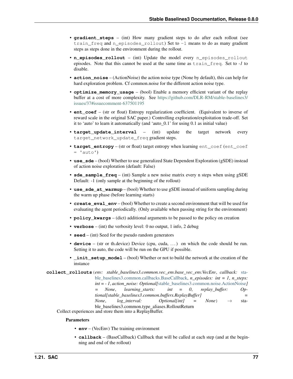- **gradient steps** (int) How many gradient steps to do after each rollout (see train\_freq and n\_episodes\_rollout) Set to -1 means to do as many gradient steps as steps done in the environment during the rollout.
- **n\_episodes\_rollout** (int) Update the model every n\_episodes\_rollout episodes. Note that this cannot be used at the same time as train\_freq. Set to *-1* to disable.
- **action\_noise** (ActionNoise) the action noise type (None by default), this can help for hard exploration problem. Cf common.noise for the different action noise type.
- **optimize\_memory\_usage** (bool) Enable a memory efficient variant of the replay buffer at a cost of more complexity. See [https://github.com/DLR-RM/stable-baselines3/](https://github.com/DLR-RM/stable-baselines3/issues/37#issuecomment-637501195) [issues/37#issuecomment-637501195](https://github.com/DLR-RM/stable-baselines3/issues/37#issuecomment-637501195)
- **ent\_coef** (str or float) Entropy regularization coefficient. (Equivalent to inverse of reward scale in the original SAC paper.) Controlling exploration/exploitation trade-off. Set it to 'auto' to learn it automatically (and 'auto\_0.1' for using 0.1 as initial value)
- **target\_update\_interval** (int) update the target network every target\_network\_update\_freq gradient steps.
- **target entropy** (str or float) target entropy when learning ent coef (ent coef  $= 'auto')$
- **use\_sde** (bool) Whether to use generalized State Dependent Exploration (gSDE) instead of action noise exploration (default: False)
- **sde\_sample\_freq** (int) Sample a new noise matrix every n steps when using gSDE Default: -1 (only sample at the beginning of the rollout)
- **use\_sde\_at\_warmup** (bool) Whether to use gSDE instead of uniform sampling during the warm up phase (before learning starts)
- **create\_eval\_env** (bool) Whether to create a second environment that will be used for evaluating the agent periodically. (Only available when passing string for the environment)
- **policy\_kwargs** (dict) additional arguments to be passed to the policy on creation
- **verbose** (int) the verbosity level: 0 no output, 1 info, 2 debug
- **seed** (int) Seed for the pseudo random generators
- **device** (str or th.device) Device (cpu, cuda, ...) on which the code should be run. Setting it to auto, the code will be run on the GPU if possible.
- **\_init\_setup\_model** (bool) Whether or not to build the network at the creation of the instance

**collect\_rollouts**(*env: stable\_baselines3.common.vec\_env.base\_vec\_env.VecEnv*, *callback:* [sta](#page-37-0)[ble\\_baselines3.common.callbacks.BaseCallback,](#page-37-0) *n\_episodes: int = 1*, *n\_steps: int = - 1*, *action\_noise: Optional[*[stable\\_baselines3.common.noise.ActionNoise](#page-107-0)*] = None*, *learning\_starts: int = 0*, *replay\_buffer: Optional[stable\_baselines3.common.buffers.ReplayBuffer] = None*,  $log\_interval$ : *Optional[int]* = *None*)  $\rightarrow$  stable\_baselines3.common.type\_aliases.RolloutReturn

Collect experiences and store them into a ReplayBuffer.

- **env** (VecEnv) The training environment
- **callback** (BaseCallback) Callback that will be called at each step (and at the beginning and end of the rollout)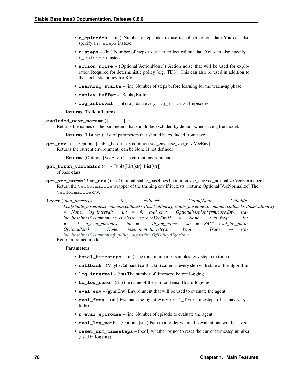- **n** episodes (int) Number of episodes to use to collect rollout data You can also specify a n\_steps instead
- **n\_steps** (int) Number of steps to use to collect rollout data You can also specify a n\_episodes instead.
- **action noise** (Optional[ActionNoise]) Action noise that will be used for exploration Required for deterministic policy (e.g. TD3). This can also be used in addition to the stochastic policy for SAC.
- **learning\_starts** (int) Number of steps before learning for the warm-up phase.
- **replay\_buffer** (ReplayBuffer)
- **log\_interval** (int) Log data every log\_interval episodes

Returns (RolloutReturn)

### **excluded\_save\_params**() → List[str]

Returns the names of the parameters that should be excluded by default when saving the model.

Returns (List[str]) List of parameters that should be excluded from save

**get\_env**() → Optional[stable\_baselines3.common.vec\_env.base\_vec\_env.VecEnv] Returns the current environment (can be None if not defined).

Returns (Optional[VecEnv]) The current environment

- **get torch variables** ()  $\rightarrow$  Tuple[List[str], List[str]] cf base class
- **get\_vec\_normalize\_env**() → Optional[stable\_baselines3.common.vec\_env.vec\_normalize.VecNormalize] Return the VecNormalize wrapper of the training env if it exists. :return: Optional[VecNormalize] The VecNormalize env.

**learn**(*total\_timesteps: int*, *callback: Union[None, Callable, List[stable\_baselines3.common.callbacks.BaseCallback], stable\_baselines3.common.callbacks.BaseCallback] = None*, *log\_interval: int = 4*, *eval\_env: Optional[Union[gym.core.Env, stable\_baselines3.common.vec\_env.base\_vec\_env.VecEnv]] = None*, *eval\_freq: int = - 1*, *n\_eval\_episodes: int = 5*, *tb\_log\_name: str = 'SAC'*, *eval\_log\_path:*  $Optional[str] = None, reset_number$   $hood = True) \rightarrow sta$ *[ble\\_baselines3.common.off\\_policy\\_algorithm.OffPolicyAlgorithm](#page-50-0)* Return a trained model.

- **total\_timesteps** (int) The total number of samples (env steps) to train on
- **callback** (MaybeCallback) callback(s) called at every step with state of the algorithm.
- **log\_interval** (int) The number of timesteps before logging.
- **tb** log name (str) the name of the run for TensorBoard logging
- **eval\_env** (gym.Env) Environment that will be used to evaluate the agent
- **eval\_freq** (int) Evaluate the agent every eval\_freq timesteps (this may vary a little)
- **n\_eval\_episodes** (int) Number of episode to evaluate the agent
- **eval\_log\_path** (Optional[str]) Path to a folder where the evaluations will be saved
- **reset\_num\_timesteps** (bool) whether or not to reset the current timestep number (used in logging)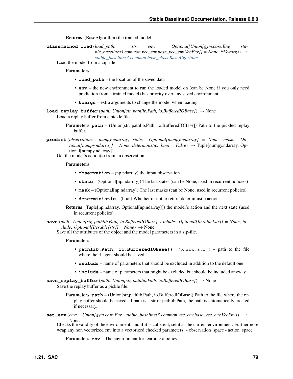Returns (BaseAlgorithm) the trained model

**classmethod load**(*load\_path: str*, *env: Optional[Union[gym.core.Env, stable\_baselines3.common.vec\_env.base\_vec\_env.VecEnv]] = None*, *\*\*kwargs*) → *[stable\\_baselines3.common.base\\_class.BaseAlgorithm](#page-47-0)*

Load the model from a zip-file

**Parameters** 

- **load path** the location of the saved data
- **env** the new environment to run the loaded model on (can be None if you only need prediction from a trained model) has priority over any saved environment
- **kwargs** extra arguments to change the model when loading

**load\_replay\_buffer**(*path: Union[str, pathlib.Path, io.BufferedIOBase]*) → None Load a replay buffer from a pickle file.

- **Parameters path** (Union[str, pathlib.Path, io.BufferedIOBase]) Path to the pickled replay buffer.
- **predict**(*observation: numpy.ndarray*, *state: Optional[numpy.ndarray] = None*, *mask: Op* $tional(numpy,ndarray] = None$ ,  $deterministic: bool = False$ )  $\rightarrow$  Tuple[numpy.ndarray, Optional[numpy.ndarray]]

Get the model's action(s) from an observation

### **Parameters**

- **observation** (np.ndarray) the input observation
- **state** (Optional[np.ndarray]) The last states (can be None, used in recurrent policies)
- **mask** (Optional[np.ndarray]) The last masks (can be None, used in recurrent policies)
- **deterministic** (bool) Whether or not to return deterministic actions.
- Returns (Tuple[np.ndarray, Optional[np.ndarray]]) the model's action and the next state (used in recurrent policies)
- **save**(*path: Union[str, pathlib.Path, io.BufferedIOBase]*, *exclude: Optional[Iterable[str]] = None*, *include: Optional[Iterable[str]] = None*  $) \rightarrow$  None

Save all the attributes of the object and the model parameters in a zip-file.

#### Parameters

- **pathlib.Path, io.BufferedIOBase])** ((*Union[str,*) path to the file where the rl agent should be saved
- **exclude** name of parameters that should be excluded in addition to the default one
- **include** name of parameters that might be excluded but should be included anyway
- **save\_replay\_buffer**(*path: Union[str, pathlib.Path, io.BufferedIOBase]*) → None Save the replay buffer as a pickle file.
	- Parameters **path** (Union[str,pathlib.Path, io.BufferedIOBase]) Path to the file where the replay buffer should be saved. if path is a str or pathlib.Path, the path is automatically created if necessary.
- **set\_env**(*env: Union[gym.core.Env, stable\_baselines3.common.vec\_env.base\_vec\_env.VecEnv]*) →

None Checks the validity of the environment, and if it is coherent, set it as the current environment. Furthermore wrap any non vectorized env into a vectorized checked parameters: - observation space - action space

**Parameters <b>env** – The environment for learning a policy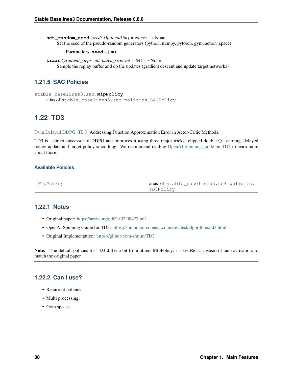**set random seed** (*seed: Optional[int] = None*)  $\rightarrow$  None Set the seed of the pseudo-random generators (python, numpy, pytorch, gym, action\_space)

### Parameters **seed** – (int)

**train** (*gradient\_steps: int*, *batch\_size: int* = 64)  $\rightarrow$  None Sample the replay buffer and do the updates (gradient descent and update target networks)

# **1.21.5 SAC Policies**

```
stable_baselines3.sac.MlpPolicy
    alias of stable_baselines3.sac.policies.SACPolicy
```
# **1.22 TD3**

[Twin Delayed DDPG \(TD3\)](https://spinningup.openai.com/en/latest/algorithms/td3.html) Addressing Function Approximation Error in Actor-Critic Methods.

TD3 is a direct successor of DDPG and improves it using three major tricks: clipped double Q-Learning, delayed policy update and target policy smoothing. We recommend reading [OpenAI Spinning guide on TD3](https://spinningup.openai.com/en/latest/algorithms/td3.html) to learn more about those.

# **Available Policies**

| <i>MlpPolicy</i> | alias of stable_baselines3.td3.policies. |
|------------------|------------------------------------------|
|                  | TD3Policy                                |

# **1.22.1 Notes**

- Original paper: <https://arxiv.org/pdf/1802.09477.pdf>
- OpenAI Spinning Guide for TD3: <https://spinningup.openai.com/en/latest/algorithms/td3.html>
- Original Implementation: <https://github.com/sfujim/TD3>

Note: The default policies for TD3 differ a bit from others MlpPolicy: it uses ReLU instead of tanh activation, to match the original paper

# **1.22.2 Can I use?**

- Recurrent policies:
- Multi processing:
- Gym spaces: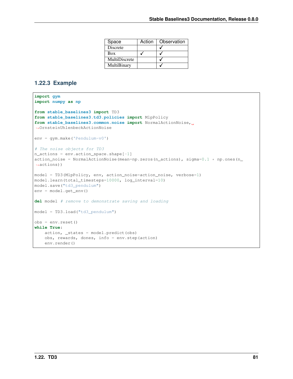| Space         | Action | Observation |
|---------------|--------|-------------|
| Discrete      |        |             |
| Box           |        |             |
| MultiDiscrete |        |             |
| MultiBinary   |        |             |

# **1.22.3 Example**

```
import gym
import numpy as np
from stable_baselines3 import TD3
from stable_baselines3.td3.policies import MlpPolicy
from stable_baselines3.common.noise import NormalActionNoise,
˓→OrnsteinUhlenbeckActionNoise
env = gym.make('Pendulum-v0')
# The noise objects for TD3
n actions = env.action space.shape[-1]action_noise = NormalActionNoise(mean=np.zeros(n_actions), sigma=0.1 \times np.\text{ones}(n˓→actions))
model = TD3(MlpPolicy, env, action_noise=action_noise, verbose=1)
model.learn(total_timesteps=10000, log_interval=10)
model.save("td3_pendulum")
env = model.get_env()
del model # remove to demonstrate saving and loading
model = TD3.load("td3_pendulum")
obs = env.reset()
while True:
    action, _states = model.predict(obs)
    obs, rewards, dones, info = env.step(action)
    env.render()
```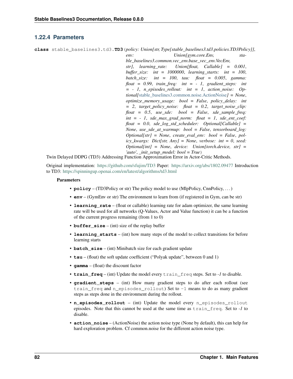# **1.22.4 Parameters**

**class** stable\_baselines3.td3.**TD3**(*policy: Union[str, Type[stable\_baselines3.td3.policies.TD3Policy]]*,

*env: Union[gym.core.Env, stable\_baselines3.common.vec\_env.base\_vec\_env.VecEnv, str]*, *learning\_rate: Union[float, Callable] = 0.001*, *buffer\_size: int = 1000000*, *learning\_starts: int = 100*, *batch\_size: int = 100*, *tau: float = 0.005*, *gamma: float = 0.99*, *train\_freq: int = - 1*, *gradient\_steps: int = - 1*, *n\_episodes\_rollout: int = 1*, *action\_noise: Optional[*[stable\\_baselines3.common.noise.ActionNoise](#page-107-0)*] = None*, *optimize\_memory\_usage: bool = False*, *policy\_delay: int = 2*, *target\_policy\_noise: float = 0.2*, *target\_noise\_clip: float = 0.5*, *use\_sde: bool = False*, *sde\_sample\_freq: int = - 1*, *sde\_max\_grad\_norm: float = 1*, *sde\_ent\_coef: float = 0.0*, *sde\_log\_std\_scheduler: Optional[Callable] = None*, *use\_sde\_at\_warmup: bool = False*, *tensorboard\_log: Optional[str] = None*, *create\_eval\_env: bool = False*, *policy\_kwargs: Dict[str, Any] = None*, *verbose: int = 0*, *seed: Optional[int] = None*, *device: Union[torch.device, str] = 'auto'*, *\_init\_setup\_model: bool = True*)

Twin Delayed DDPG (TD3) Addressing Function Approximation Error in Actor-Critic Methods.

Original implementation: <https://github.com/sfujim/TD3> Paper: <https://arxiv.org/abs/1802.09477> Introduction to TD3: <https://spinningup.openai.com/en/latest/algorithms/td3.html>

- **policy** (TD3Policy or str) The policy model to use (MlpPolicy, CnnPolicy, ...)
- **env** (GymEnv or str) The environment to learn from (if registered in Gym, can be str)
- **learning\_rate** (float or callable) learning rate for adam optimizer, the same learning rate will be used for all networks (Q-Values, Actor and Value function) it can be a function of the current progress remaining (from 1 to 0)
- **buffer\_size** (int) size of the replay buffer
- **learning\_starts** (int) how many steps of the model to collect transitions for before learning starts
- **batch** size (int) Minibatch size for each gradient update
- **tau** (float) the soft update coefficient ("Polyak update", between 0 and 1)
- **gamma** (float) the discount factor
- **train\_freq** (int) Update the model every train\_freq steps. Set to *-1* to disable.
- **gradient steps** (int) How many gradient steps to do after each rollout (see train\_freq and n\_episodes\_rollout) Set to -1 means to do as many gradient steps as steps done in the environment during the rollout.
- **n\_episodes\_rollout** (int) Update the model every n\_episodes\_rollout episodes. Note that this cannot be used at the same time as train\_freq. Set to *-1* to disable.
- **action\_noise** (ActionNoise) the action noise type (None by default), this can help for hard exploration problem. Cf common.noise for the different action noise type.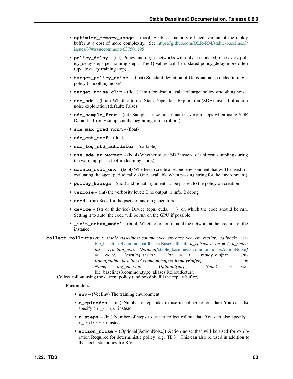- **optimize memory usage** (bool) Enable a memory efficient variant of the replay buffer at a cost of more complexity. See [https://github.com/DLR-RM/stable-baselines3/](https://github.com/DLR-RM/stable-baselines3/issues/37#issuecomment-637501195) [issues/37#issuecomment-637501195](https://github.com/DLR-RM/stable-baselines3/issues/37#issuecomment-637501195)
- **policy\_delay** (int) Policy and target networks will only be updated once every policy\_delay steps per training steps. The Q values will be updated policy\_delay more often (update every training step).
- **target\_policy\_noise** (float) Standard deviation of Gaussian noise added to target policy (smoothing noise)
- **target\_noise\_clip** (float) Limit for absolute value of target policy smoothing noise.
- **use\_sde** (bool) Whether to use State Dependent Exploration (SDE) instead of action noise exploration (default: False)
- **sde** sample  $freq (int)$  Sample a new noise matrix every n steps when using SDE Default: -1 (only sample at the beginning of the rollout)
- **sde\_max\_grad\_norm** (float)
- **sde ent coef** (float)
- **sde\_log\_std\_scheduler** (callable)
- **use\_sde\_at\_warmup** (bool) Whether to use SDE instead of uniform sampling during the warm up phase (before learning starts)
- **create** eval env (bool) Whether to create a second environment that will be used for evaluating the agent periodically. (Only available when passing string for the environment)
- **policy\_kwargs** (dict) additional arguments to be passed to the policy on creation
- **verbose** (int) the verbosity level: 0 no output, 1 info, 2 debug
- **seed** (int) Seed for the pseudo random generators
- **device** (str or th.device) Device (cpu, cuda, ...) on which the code should be run. Setting it to auto, the code will be run on the GPU if possible.
- **\_init\_setup\_model** (bool) Whether or not to build the network at the creation of the instance
- **collect\_rollouts**(*env: stable\_baselines3.common.vec\_env.base\_vec\_env.VecEnv*, *callback:* [sta](#page-37-0)[ble\\_baselines3.common.callbacks.BaseCallback,](#page-37-0) *n\_episodes: int = 1*, *n\_steps: int = - 1*, *action\_noise: Optional[*[stable\\_baselines3.common.noise.ActionNoise](#page-107-0)*] None*, *learning starts: int* = 0, *replay buffer: Optional[stable\_baselines3.common.buffers.ReplayBuffer] = None*, *log interval:* Optional[int] = None)  $\rightarrow$  stable\_baselines3.common.type\_aliases.RolloutReturn

Collect rollout using the current policy (and possibly fill the replay buffer)

- **env** (VecEnv) The training environment
- **n\_episodes** (int) Number of episodes to use to collect rollout data You can also specify a n\_steps instead
- **n\_steps** (int) Number of steps to use to collect rollout data You can also specify a n\_episodes instead.
- **action\_noise** (Optional[ActionNoise]) Action noise that will be used for exploration Required for deterministic policy (e.g. TD3). This can also be used in addition to the stochastic policy for SAC.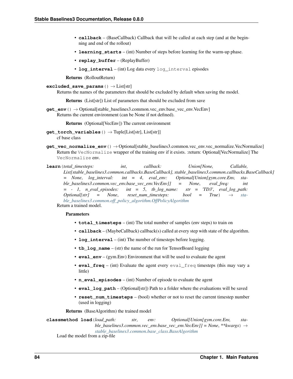- **callback** (BaseCallback) Callback that will be called at each step (and at the beginning and end of the rollout)
- **learning\_starts** (int) Number of steps before learning for the warm-up phase.
- **replay\_buffer** (ReplayBuffer)
- **log\_interval** (int) Log data every log\_interval episodes

Returns (RolloutReturn)

**excluded\_save\_params**() → List[str]

Returns the names of the parameters that should be excluded by default when saving the model.

Returns (List[str]) List of parameters that should be excluded from save

**get\_env**() → Optional[stable\_baselines3.common.vec\_env.base\_vec\_env.VecEnv] Returns the current environment (can be None if not defined).

Returns (Optional[VecEnv]) The current environment

- **get\_torch\_variables**() → Tuple[List[str], List[str]] cf base class
- **get vec normalize env**()  $\rightarrow$  Optional stable baselines3.common.vec env.vec normalize. VecNormalize Return the VecNormalize wrapper of the training env if it exists. :return: Optional[VecNormalize] The VecNormalize env.
- **learn**(*total\_timesteps: int*, *callback: Union[None, Callable, List[stable\_baselines3.common.callbacks.BaseCallback], stable\_baselines3.common.callbacks.BaseCallback] = None*, *log\_interval: int = 4*, *eval\_env: Optional[Union[gym.core.Env, stable\_baselines3.common.vec\_env.base\_vec\_env.VecEnv]] = None*, *eval\_freq: int = - 1*, *n\_eval\_episodes: int = 5*, *tb\_log\_name: str = 'TD3'*, *eval\_log\_path: Optional[str] = None*, *reset\_num\_timesteps: bool = True*) → *[sta](#page-50-0)[ble\\_baselines3.common.off\\_policy\\_algorithm.OffPolicyAlgorithm](#page-50-0)* Return a trained model.

# Parameters

- **total\_timesteps** (int) The total number of samples (env steps) to train on
- **callback** (MaybeCallback) callback(s) called at every step with state of the algorithm.
- **log\_interval** (int) The number of timesteps before logging.
- **tb\_log\_name** (str) the name of the run for TensorBoard logging
- **eval env** (gym.Env) Environment that will be used to evaluate the agent
- **eval\_freq** (int) Evaluate the agent every eval\_freq timesteps (this may vary a little)
- **n** eval episodes (int) Number of episode to evaluate the agent
- **eval\_log\_path** (Optional[str]) Path to a folder where the evaluations will be saved
- **reset\_num\_timesteps** (bool) whether or not to reset the current timestep number (used in logging)

Returns (BaseAlgorithm) the trained model

**classmethod load**(*load\_path: str*, *env: Optional[Union[gym.core.Env, stable\_baselines3.common.vec\_env.base\_vec\_env.VecEnv]] = None*, *\*\*kwargs*) → *[stable\\_baselines3.common.base\\_class.BaseAlgorithm](#page-47-0)*

Load the model from a zip-file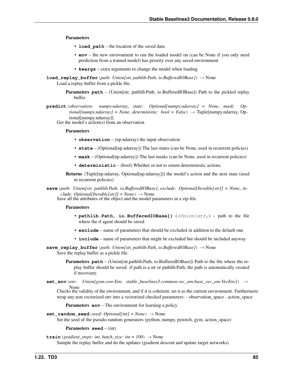### Parameters

- **load path** the location of the saved data
- **env** the new environment to run the loaded model on (can be None if you only need prediction from a trained model) has priority over any saved environment
- **kwargs** extra arguments to change the model when loading
- **load\_replay\_buffer**(*path: Union[str, pathlib.Path, io.BufferedIOBase]*) → None Load a replay buffer from a pickle file.
	- Parameters **path** (Union[str, pathlib.Path, io.BufferedIOBase]) Path to the pickled replay buffer.
- **predict**(*observation: numpy.ndarray*, *state: Optional[numpy.ndarray] = None*, *mask: Optional[numpy.ndarray] = None*, *deterministic: bool = False*) → Tuple[numpy.ndarray, Optional[numpy.ndarray]]

Get the model's action(s) from an observation

### Parameters

- **observation** (np.ndarray) the input observation
- **state** (Optional[np.ndarray]) The last states (can be None, used in recurrent policies)
- **mask** (Optional[np.ndarray]) The last masks (can be None, used in recurrent policies)
- **deterministic** (bool) Whether or not to return deterministic actions.
- Returns (Tuple[np.ndarray, Optional[np.ndarray]]) the model's action and the next state (used in recurrent policies)

**save**(*path: Union[str, pathlib.Path, io.BufferedIOBase]*, *exclude: Optional[Iterable[str]] = None*, *include: Optional[Iterable[str]]* = *None*)  $\rightarrow$  None

Save all the attributes of the object and the model parameters in a zip-file.

### Parameters

- **pathlib.Path, io.BufferedIOBase])** ((Union[str,) path to the file where the rl agent should be saved
- **exclude** name of parameters that should be excluded in addition to the default one
- **include** name of parameters that might be excluded but should be included anyway
- **save\_replay\_buffer**(*path: Union[str, pathlib.Path, io.BufferedIOBase]*) → None Save the replay buffer as a pickle file.

**Parameters path** – (Union[str,pathlib.Path, io.BufferedIOBase]) Path to the file where the replay buffer should be saved. if path is a str or pathlib.Path, the path is automatically created if necessary.

**set\_env**(*env: Union[gym.core.Env, stable\_baselines3.common.vec\_env.base\_vec\_env.VecEnv]*) →

None Checks the validity of the environment, and if it is coherent, set it as the current environment. Furthermore wrap any non vectorized env into a vectorized checked parameters: - observation space - action space

**Parameters <b>env** – The environment for learning a policy

**set random seed** (*seed: Optional[int] = None*)  $\rightarrow$  None

Set the seed of the pseudo-random generators (python, numpy, pytorch, gym, action space)

Parameters **seed** – (int)

**train** (*gradient\_steps: int*, *batch\_size: int* =  $100$ )  $\rightarrow$  None

Sample the replay buffer and do the updates (gradient descent and update target networks)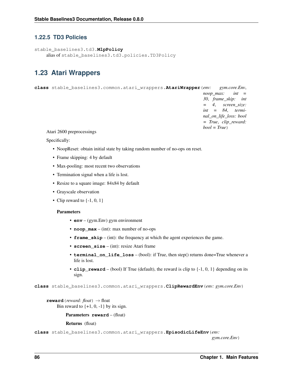# **1.22.5 TD3 Policies**

```
stable_baselines3.td3.MlpPolicy
    alias of stable_baselines3.td3.policies.TD3Policy
```
# **1.23 Atari Wrappers**

**class** stable\_baselines3.common.atari\_wrappers.**AtariWrapper**(*env: gym.core.Env*, *noop\_max: int = 30*, *frame\_skip: int = 4*, *screen\_size: int = 84*, *terminal\_on\_life\_loss: bool = True*, *clip\_reward: bool = True*)

Atari 2600 preprocessings

Specifically:

- NoopReset: obtain initial state by taking random number of no-ops on reset.
- Frame skipping: 4 by default
- Max-pooling: most recent two observations
- Termination signal when a life is lost.
- Resize to a square image: 84x84 by default
- Grayscale observation
- Clip reward to  $\{-1, 0, 1\}$

## **Parameters**

- **env** (gym.Env) gym environment
- **noop\_max** (int): max number of no-ops
- **frame\_skip** (int): the frequency at which the agent experiences the game.
- **screen** size (int): resize Atari frame
- **terminal\_on\_life\_loss** (bool): if True, then step() returns done=True whenever a life is lost.
- **clip** reward (bool) If True (default), the reward is clip to  $\{-1, 0, 1\}$  depending on its sign.

**class** stable\_baselines3.common.atari\_wrappers.**ClipRewardEnv**(*env: gym.core.Env*)

**reward** (*reward: float*)  $\rightarrow$  float Bin reward to  $\{+1, 0, -1\}$  by its sign.

Parameters **reward** – (float)

Returns (float)

**class** stable\_baselines3.common.atari\_wrappers.**EpisodicLifeEnv**(*env:*

*gym.core.Env*)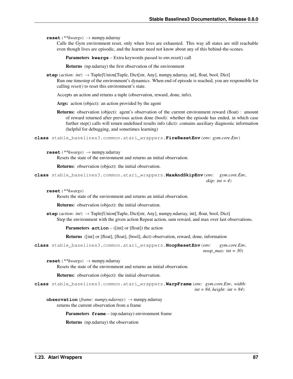**reset**(*\*\*kwargs*) → numpy.ndarray

Calls the Gym environment reset, only when lives are exhausted. This way all states are still reachable even though lives are episodic, and the learner need not know about any of this behind-the-scenes.

Parameters **kwargs** – Extra keywords passed to env.reset() call

Returns (np.ndarray) the first observation of the environment

**step**(*action: int*) → Tuple[Union[Tuple, Dict[str, Any], numpy.ndarray, int], float, bool, Dict] Run one timestep of the environment's dynamics. When end of episode is reached, you are responsible for calling *reset()* to reset this environment's state.

Accepts an action and returns a tuple (observation, reward, done, info).

Args: action (object): an action provided by the agent

Returns: observation (object): agent's observation of the current environment reward (float) : amount of reward returned after previous action done (bool): whether the episode has ended, in which case further step() calls will return undefined results info (dict): contains auxiliary diagnostic information (helpful for debugging, and sometimes learning)

**class** stable\_baselines3.common.atari\_wrappers.**FireResetEnv**(*env: gym.core.Env*)

**reset**(*\*\*kwargs*) → numpy.ndarray

Resets the state of the environment and returns an initial observation.

Returns: observation (object): the initial observation.

```
class stable_baselines3.common.atari_wrappers.MaxAndSkipEnv(env: gym.core.Env,
                                                                   skip: int = 4)
```
**reset**(*\*\*kwargs*)

Resets the state of the environment and returns an initial observation.

Returns: observation (object): the initial observation.

**step**(*action: int*) → Tuple[Union[Tuple, Dict[str, Any], numpy.ndarray, int], float, bool, Dict] Step the environment with the given action Repeat action, sum reward, and max over last observations.

**Parameters**  $\text{action} - (\text{int} | \text{or} | \text{float}|)$  **the action** 

Returns ([int] or [float], [float], [bool], dict) observation, reward, done, information

**class** stable\_baselines3.common.atari\_wrappers.**NoopResetEnv**(*env: gym.core.Env*, *noop\_max: int = 30*)

**reset**(*\*\*kwargs*) → numpy.ndarray

Resets the state of the environment and returns an initial observation.

Returns: observation (object): the initial observation.

**class** stable\_baselines3.common.atari\_wrappers.**WarpFrame**(*env: gym.core.Env*, *width: int = 84*, *height: int = 84*)

**observation**(*frame: numpy.ndarray*) → numpy.ndarray returns the current observation from a frame

Parameters **frame** – (np.ndarray) environment frame

Returns (np.ndarray) the observation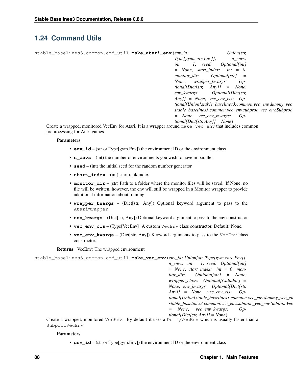# **1.24 Command Utils**

| stable baselines3.common.cmd util.make atari env (env id:                                              | Union[str,                                                                |
|--------------------------------------------------------------------------------------------------------|---------------------------------------------------------------------------|
|                                                                                                        | $Type [gvm.core. Env]$ ,<br>n envs:                                       |
|                                                                                                        | $int = 1$ , seed: Optional[int]                                           |
|                                                                                                        | $= None$ , start_index: int $= 0$ ,                                       |
|                                                                                                        | monitor dir: $Optional[str] =$                                            |
|                                                                                                        | None, wrapper kwargs:<br>$Op-$                                            |
|                                                                                                        | $\text{tional}[\text{Dict}[\text{str}] \quad \text{Any}]\ = \text{None},$ |
|                                                                                                        | env_kwargs: Optional[Dict[str,                                            |
|                                                                                                        | $Any \,    = None, vec\_env\_cls: Op-$                                    |
|                                                                                                        | tional[Union[stable_baselines3.common.vec_env.dummy_vec_                  |
|                                                                                                        | stable_baselines3.common.vec_env.subproc_vec_env.Subproc\                 |
|                                                                                                        | $= None, vec\_env_kwargs: Op-$                                            |
|                                                                                                        | $tional(Dict(str, Any)] = None$                                           |
| Create a wrapped, monitored VecEnv for Atari. It is a wrapper around make_vec_env that includes common |                                                                           |

Create a wrapped, monitored VecEnv for Atari. It is a wrapper around make\_vec\_env that includes common preprocessing for Atari games.

## **Parameters**

- **env\_id** (str or Type[gym.Env]) the environment ID or the environment class
- **n\_envs** (int) the number of environments you wish to have in parallel
- **seed** (int) the initial seed for the random number generator
- **start** index (int) start rank index
- **monitor\_dir** (str) Path to a folder where the monitor files will be saved. If None, no file will be written, however, the env will still be wrapped in a Monitor wrapper to provide additional information about training.
- **wrapper\_kwargs** (Dict[str, Any]) Optional keyword argument to pass to the AtariWrapper
- **env\_kwargs** (Dict[str, Any]) Optional keyword argument to pass to the env constructor
- **vec\_env\_cls** (Type[VecEnv]) A custom VecEnv class constructor. Default: None.
- **vec\_env\_kwargs** (Dict[str, Any]) Keyword arguments to pass to the VecEnv class constructor.

## Returns (VecEnv) The wrapped environment

```
stable_baselines3.common.cmd_util.make_vec_env(env_id: Union[str, Type[gym.core.Env]],
                                                           n_envs: int = 1, seed: Optional[int]
                                                           = None, start index: int = 0, mon-
                                                           itor_dir: Optional[str] = None,
                                                           wrapper_class: Optional[Callable] =
                                                           None, env_kwargs: Optional[Dict[str,
                                                           Any]] = None, vec_env_cls: Op-
                                                           tional[Union[stable_baselines3.common.vec_env.dummy_vec_en
                                                           stable_baselines3.common.vec_env.subproc_vec_env.SubprocVec
                                                           = None, vec_env_kwargs: Op-
                                                           tional[Dict[str, Any]] = None)
     Create a wrapped, monitored VecEnv. By default it uses a DummyVecEnv which is usually faster than a
     SubprocVecEnv.
```
## **Parameters**

• **env\_id** – (str or Type[gym.Env]) the environment ID or the environment class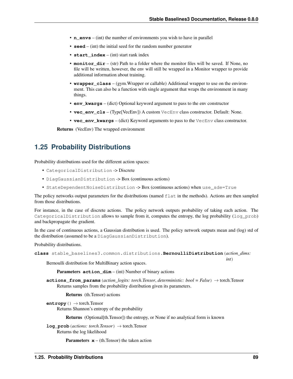- **n** envs (int) the number of environments you wish to have in parallel
- **seed** (int) the initial seed for the random number generator
- **start\_index** (int) start rank index
- **monitor\_dir** (str) Path to a folder where the monitor files will be saved. If None, no file will be written, however, the env will still be wrapped in a Monitor wrapper to provide additional information about training.
- **wrapper\_class** (gym.Wrapper or callable) Additional wrapper to use on the environment. This can also be a function with single argument that wraps the environment in many things.
- **env\_kwargs** (dict) Optional keyword argument to pass to the env constructor
- **vec\_env\_cls** (Type[VecEnv]) A custom VecEnv class constructor. Default: None.
- **vec\_env\_kwargs** (dict) Keyword arguments to pass to the VecEnv class constructor.

Returns (VecEnv) The wrapped environment

# **1.25 Probability Distributions**

Probability distributions used for the different action spaces:

- CategoricalDistribution -> Discrete
- DiagGaussianDistribution -> Box (continuous actions)
- StateDependentNoiseDistribution -> Box (continuous actions) when use\_sde=True

The policy networks output parameters for the distributions (named  $f$ l at in the methods). Actions are then sampled from those distributions.

For instance, in the case of discrete actions. The policy network outputs probability of taking each action. The CategoricalDistribution allows to sample from it, computes the entropy, the log probability (log\_prob) and backpropagate the gradient.

In the case of continuous actions, a Gaussian distribution is used. The policy network outputs mean and (log) std of the distribution (assumed to be a DiagGaussianDistribution).

Probability distributions.

```
class stable_baselines3.common.distributions.BernoulliDistribution(action_dims:
```
Bernoulli distribution for MultiBinary action spaces.

Parameters **action\_dim** – (int) Number of binary actions

**actions\_from\_params**(*action\_logits: torch.Tensor*, *deterministic: bool = False*) → torch.Tensor Returns samples from the probability distribution given its parameters.

Returns (th.Tensor) actions

**entropy**() → torch.Tensor Returns Shannon's entropy of the probability

Returns (Optional[th.Tensor]) the entropy, or None if no analytical form is known

**log\_prob**(*actions: torch.Tensor*) → torch.Tensor Returns the log likelihood

**Parameters**  $\mathbf{x}$  – (th. Tensor) the taken action

*int*)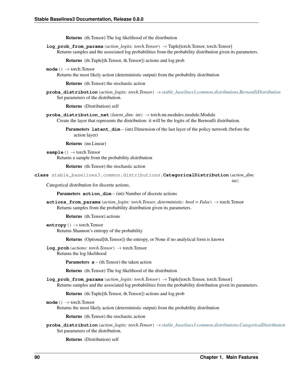Returns (th.Tensor) The log likelihood of the distribution

**log\_prob\_from\_params**(*action\_logits: torch.Tensor*) → Tuple[torch.Tensor, torch.Tensor] Returns samples and the associated log probabilities from the probability distribution given its parameters.

Returns (th.Tuple[th.Tensor, th.Tensor]) actions and log prob

**mode**() → torch.Tensor

Returns the most likely action (deterministic output) from the probability distribution

Returns (th.Tensor) the stochastic action

**proba\_distribution**(*action\_logits: torch.Tensor*) → *[stable\\_baselines3.common.distributions.BernoulliDistribution](#page-92-0)* Set parameters of the distribution.

Returns (Distribution) self

**proba\_distribution\_net**(*latent\_dim: int*) → torch.nn.modules.module.Module Create the layer that represents the distribution: it will be the logits of the Bernoulli distribution.

**Parameters Latent\_dim** – (int) Dimension of the last layer of the policy network (before the action layer)

Returns (nn.Linear)

**sample**() → torch.Tensor

Returns a sample from the probability distribution

Returns (th.Tensor) the stochastic action

<span id="page-93-0"></span>**class** stable\_baselines3.common.distributions.**CategoricalDistribution**(*action\_dim:*

Categorical distribution for discrete actions.

Parameters **action** dim – (int) Number of discrete actions

**actions\_from\_params**(*action\_logits: torch.Tensor*, *deterministic: bool = False*) → torch.Tensor Returns samples from the probability distribution given its parameters.

Returns (th.Tensor) actions

**entropy**() → torch.Tensor Returns Shannon's entropy of the probability

Returns (Optional[th.Tensor]) the entropy, or None if no analytical form is known

 $log$  **prob** (*actions: torch.Tensor*)  $\rightarrow$  torch.Tensor Returns the log likelihood

**Parameters**  $\mathbf{x}$  – (th. Tensor) the taken action

Returns (th.Tensor) The log likelihood of the distribution

**log\_prob\_from\_params**(*action\_logits: torch.Tensor*) → Tuple[torch.Tensor, torch.Tensor] Returns samples and the associated log probabilities from the probability distribution given its parameters.

Returns (th.Tuple[th.Tensor, th.Tensor]) actions and log prob

```
mode() → torch.Tensor
```
Returns the most likely action (deterministic output) from the probability distribution

Returns (th.Tensor) the stochastic action

**proba\_distribution**(*action\_logits: torch.Tensor*) → *[stable\\_baselines3.common.distributions.CategoricalDistribution](#page-93-0)* Set parameters of the distribution.

Returns (Distribution) self

*int*)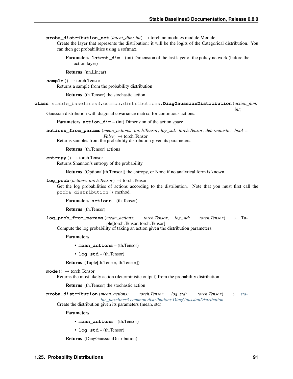*int*)

**proba\_distribution\_net**(*latent\_dim: int*) → torch.nn.modules.module.Module Create the layer that represents the distribution: it will be the logits of the Categorical distribution. You can then get probabilities using a softmax.

Parameters **latent\_dim** – (int) Dimension of the last layer of the policy network (before the action layer)

Returns (nn.Linear)

**sample**() → torch.Tensor Returns a sample from the probability distribution

Returns (th.Tensor) the stochastic action

<span id="page-94-0"></span>**class** stable\_baselines3.common.distributions.**DiagGaussianDistribution**(*action\_dim:*

Gaussian distribution with diagonal covariance matrix, for continuous actions.

Parameters **action\_dim** – (int) Dimension of the action space.

**actions\_from\_params**(*mean\_actions: torch.Tensor*, *log\_std: torch.Tensor*, *deterministic: bool =*  $False$ )  $\rightarrow$  torch.Tensor

Returns samples from the probability distribution given its parameters.

Returns (th.Tensor) actions

**entropy**() → torch.Tensor

Returns Shannon's entropy of the probability

Returns (Optional[th.Tensor]) the entropy, or None if no analytical form is known

**log**  $\mathbf{prob}(actions: *torch*.Tensor) \rightarrow *torch*.Tensor$ 

Get the log probabilities of actions according to the distribution. Note that you must first call the proba\_distribution() method.

Parameters **actions** – (th.Tensor)

Returns (th.Tensor)

**log\_prob\_from\_params**(*mean\_actions: torch.Tensor*, *log\_std: torch.Tensor*) → Tuple[torch.Tensor, torch.Tensor]

Compute the log probability of taking an action given the distribution parameters.

Parameters

- **mean\_actions** (th.Tensor)
- **log\_std** (th.Tensor)

Returns (Tuple[th.Tensor, th.Tensor])

**mode**() → torch.Tensor

Returns the most likely action (deterministic output) from the probability distribution

Returns (th.Tensor) the stochastic action

**proba\_distribution**(*mean\_actions: torch.Tensor*, *log\_std: torch.Tensor*) → *[sta](#page-94-0)[ble\\_baselines3.common.distributions.DiagGaussianDistribution](#page-94-0)*

Create the distribution given its parameters (mean, std)

Parameters

• **mean\_actions** – (th.Tensor)

• **log\_std** – (th.Tensor)

Returns (DiagGaussianDistribution)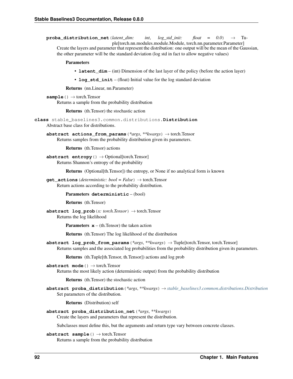**proba distribution net** (*latent dim: int*, *log std init: float = 0.0*)  $\rightarrow$  Tuple[torch.nn.modules.module.Module, torch.nn.parameter.Parameter]

Create the layers and parameter that represent the distribution: one output will be the mean of the Gaussian, the other parameter will be the standard deviation (log std in fact to allow negative values)

### **Parameters**

- **latent\_dim** (int) Dimension of the last layer of the policy (before the action layer)
- **log\_std\_init** (float) Initial value for the log standard deviation

Returns (nn.Linear, nn.Parameter)

```
sample() → torch.Tensor
```
Returns a sample from the probability distribution

Returns (th.Tensor) the stochastic action

<span id="page-95-0"></span>**class** stable\_baselines3.common.distributions.**Distribution**

Abstract base class for distributions.

**abstract actions\_from\_params**(*\*args*, *\*\*kwargs*) → torch.Tensor Returns samples from the probability distribution given its parameters.

Returns (th.Tensor) actions

**abstract entropy**() → Optional[torch.Tensor] Returns Shannon's entropy of the probability

Returns (Optional[th.Tensor]) the entropy, or None if no analytical form is known

**get** actions (*deterministic: bool = False*)  $\rightarrow$  torch.Tensor Return actions according to the probability distribution.

#### Parameters **deterministic** – (bool)

Returns (th.Tensor)

**abstract log\_prob**(*x: torch.Tensor*) → torch.Tensor Returns the log likelihood

**Parameters**  $\mathbf{x}$  – (th. Tensor) the taken action

Returns (th.Tensor) The log likelihood of the distribution

**abstract log prob from params**  $(*args, **kwargs) \rightarrow \text{Tuple}[torch.Tensor, torch.Tensor]$ Returns samples and the associated log probabilities from the probability distribution given its parameters.

Returns (th.Tuple[th.Tensor, th.Tensor]) actions and log prob

**abstract mode**() → torch.Tensor

Returns the most likely action (deterministic output) from the probability distribution

Returns (th.Tensor) the stochastic action

**abstract proba\_distribution**(*\*args*, *\*\*kwargs*) → *[stable\\_baselines3.common.distributions.Distribution](#page-95-0)* Set parameters of the distribution.

Returns (Distribution) self

### **abstract proba\_distribution\_net**(*\*args*, *\*\*kwargs*)

Create the layers and parameters that represent the distribution.

Subclasses must define this, but the arguments and return type vary between concrete classes.

**abstract sample**() → torch.Tensor

Returns a sample from the probability distribution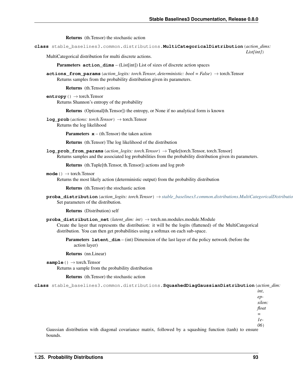Returns (th.Tensor) the stochastic action

<span id="page-96-0"></span>**class** stable\_baselines3.common.distributions.**MultiCategoricalDistribution**(*action\_dims:*

*List[int]*)

MultiCategorical distribution for multi discrete actions.

Parameters **action\_dims** – (List[int]) List of sizes of discrete action spaces

**actions\_from\_params**(*action\_logits: torch.Tensor*, *deterministic: bool = False*) → torch.Tensor Returns samples from the probability distribution given its parameters.

Returns (th.Tensor) actions

```
entropy() → torch.Tensor
     Returns Shannon's entropy of the probability
```
Returns (Optional[th.Tensor]) the entropy, or None if no analytical form is known

**log\_prob**(*actions: torch.Tensor*) → torch.Tensor

Returns the log likelihood

**Parameters**  $\mathbf{x}$  – (th. Tensor) the taken action

Returns (th.Tensor) The log likelihood of the distribution

**log\_prob\_from\_params**(*action\_logits: torch.Tensor*) → Tuple[torch.Tensor, torch.Tensor] Returns samples and the associated log probabilities from the probability distribution given its parameters.

Returns (th.Tuple[th.Tensor, th.Tensor]) actions and log prob

**mode**() → torch.Tensor

Returns the most likely action (deterministic output) from the probability distribution

Returns (th.Tensor) the stochastic action

**proba\_distribution**(*action\_logits: torch.Tensor*) → *[stable\\_baselines3.common.distributions.MultiCategoricalDistribution](#page-96-0)* Set parameters of the distribution.

Returns (Distribution) self

**proba\_distribution\_net**(*latent\_dim: int*) → torch.nn.modules.module.Module

Create the layer that represents the distribution: it will be the logits (flattened) of the MultiCategorical distribution. You can then get probabilities using a softmax on each sub-space.

Parameters **latent\_dim** – (int) Dimension of the last layer of the policy network (before the action layer)

Returns (nn.Linear)

```
sample() → torch.Tensor
```
Returns a sample from the probability distribution

Returns (th.Tensor) the stochastic action

<span id="page-96-1"></span>**class** stable\_baselines3.common.distributions.**SquashedDiagGaussianDistribution**(*action\_dim:*

*int*, *epsilon: float =*

*1e-06*)

Gaussian distribution with diagonal covariance matrix, followed by a squashing function (tanh) to ensure bounds.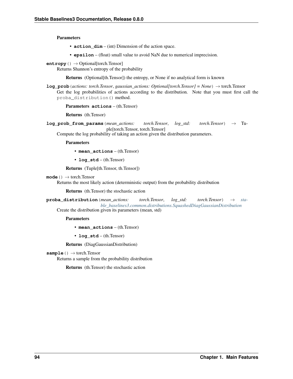## **Parameters**

- **action\_dim** (int) Dimension of the action space.
- **epsilon** (float) small value to avoid NaN due to numerical imprecision.

**entropy**() → Optional[torch.Tensor]

Returns Shannon's entropy of the probability

Returns (Optional[th.Tensor]) the entropy, or None if no analytical form is known

**log\_prob**(*actions: torch.Tensor*, *gaussian\_actions: Optional[torch.Tensor] = None*) → torch.Tensor Get the log probabilities of actions according to the distribution. Note that you must first call the proba\_distribution() method.

Parameters **actions** – (th.Tensor)

Returns (th.Tensor)

**log\_prob\_from\_params**(*mean\_actions: torch.Tensor*, *log\_std: torch.Tensor*) → Tuple[torch.Tensor, torch.Tensor]

Compute the log probability of taking an action given the distribution parameters.

Parameters

• **mean\_actions** – (th.Tensor)

• **log\_std** – (th.Tensor)

Returns (Tuple[th.Tensor, th.Tensor])

### **mode**() → torch.Tensor

Returns the most likely action (deterministic output) from the probability distribution

Returns (th.Tensor) the stochastic action

**proba\_distribution**(*mean\_actions: torch.Tensor*, *log\_std: torch.Tensor*) → *[sta](#page-96-1)[ble\\_baselines3.common.distributions.SquashedDiagGaussianDistribution](#page-96-1)* Create the distribution given its parameters (mean, std)

Parameters

- **mean\_actions** (th.Tensor)
- **log\_std** (th.Tensor)

Returns (DiagGaussianDistribution)

**sample**() → torch.Tensor

<span id="page-97-0"></span>Returns a sample from the probability distribution

Returns (th.Tensor) the stochastic action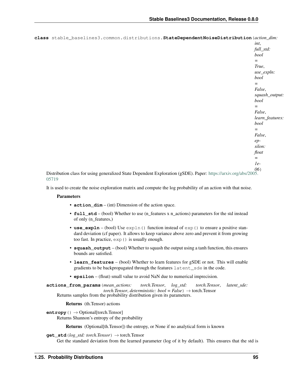| class stable_baselines3.common.distributions.StateDependentNoiseDistribution(action_dim:                        |                 |
|-----------------------------------------------------------------------------------------------------------------|-----------------|
|                                                                                                                 | int,            |
|                                                                                                                 | full_std:       |
|                                                                                                                 | bool            |
|                                                                                                                 | $=$             |
|                                                                                                                 | True,           |
|                                                                                                                 | $use\_expln$ :  |
|                                                                                                                 | bool            |
|                                                                                                                 | $=$             |
|                                                                                                                 | False,          |
|                                                                                                                 | squash_output:  |
|                                                                                                                 | bool            |
|                                                                                                                 | $=$             |
|                                                                                                                 | False,          |
|                                                                                                                 | learn_features: |
|                                                                                                                 | bool            |
|                                                                                                                 | $=$             |
|                                                                                                                 | False,          |
|                                                                                                                 | $ep-$           |
|                                                                                                                 | silon:          |
|                                                                                                                 | float           |
|                                                                                                                 | $=$             |
|                                                                                                                 | $1e-$           |
|                                                                                                                 | (06)            |
| Distribution class for using generalized State Dependent Exploration (gSDE). Paper: https://arxiv.org/abs/2005. |                 |

[05719](https://arxiv.org/abs/2005.05719)

It is used to create the noise exploration matrix and compute the log probability of an action with that noise.

# **Parameters**

- **action\_dim** (int) Dimension of the action space.
- **full\_std** (bool) Whether to use (n\_features x n\_actions) parameters for the std instead of only (n\_features,)
- **use\_expln** (bool) Use expln() function instead of exp() to ensure a positive standard deviation (cf paper). It allows to keep variance above zero and prevent it from growing too fast. In practice, exp() is usually enough.
- **squash\_output** (bool) Whether to squash the output using a tanh function, this ensures bounds are satisfied.
- **learn\_features** (bool) Whether to learn features for gSDE or not. This will enable gradients to be backpropagated through the features latent\_sde in the code.
- **epsilon** (float) small value to avoid NaN due to numerical imprecision.

**actions\_from\_params**(*mean\_actions: torch.Tensor*, *log\_std: torch.Tensor*, *latent\_sde:*  $torch. Tensor, *deterministic*:  $bool = False$  \rightarrow *torch*.Tensor$ Returns samples from the probability distribution given its parameters.

Returns (th.Tensor) actions

**entropy**() → Optional[torch.Tensor] Returns Shannon's entropy of the probability

Returns (Optional[th.Tensor]) the entropy, or None if no analytical form is known

**get\_std**(*log\_std: torch.Tensor*) → torch.Tensor

Get the standard deviation from the learned parameter (log of it by default). This ensures that the std is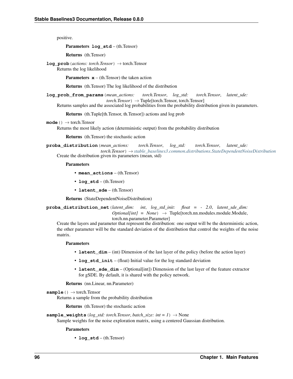positive.

Parameters **log\_std** – (th.Tensor)

Returns (th.Tensor)

**log\_prob**(*actions: torch.Tensor*) → torch.Tensor

Returns the log likelihood

**Parameters**  $\mathbf{x}$  – (th. Tensor) the taken action

Returns (th.Tensor) The log likelihood of the distribution

**log\_prob\_from\_params**(*mean\_actions: torch.Tensor*, *log\_std: torch.Tensor*, *latent\_sde:*  $torch.Tensor$ )  $\rightarrow$  Tuple[torch.Tensor, torch.Tensor]

Returns samples and the associated log probabilities from the probability distribution given its parameters.

Returns (th.Tuple[th.Tensor, th.Tensor]) actions and log prob

```
mode() → torch.Tensor
```
Returns the most likely action (deterministic output) from the probability distribution

Returns (th.Tensor) the stochastic action

**proba\_distribution**(*mean\_actions: torch.Tensor*, *log\_std: torch.Tensor*, *latent\_sde:*

*torch.Tensor*) → *[stable\\_baselines3.common.distributions.StateDependentNoiseDistribution](#page-97-0)* Create the distribution given its parameters (mean, std)

#### **Parameters**

- **mean\_actions** (th.Tensor)
- **log\_std** (th.Tensor)
- **latent\_sde** (th.Tensor)

Returns (StateDependentNoiseDistribution)

**proba\_distribution\_net**(*latent\_dim: int*, *log\_std\_init: float = - 2.0*, *latent\_sde\_dim:*  $Optional(int] = None$   $\rightarrow$  Tuple[torch.nn.modules.module.Module, torch.nn.parameter.Parameter]

Create the layers and parameter that represent the distribution: one output will be the deterministic action, the other parameter will be the standard deviation of the distribution that control the weights of the noise matrix.

#### Parameters

- **latent\_dim** (int) Dimension of the last layer of the policy (before the action layer)
- **log\_std\_init** (float) Initial value for the log standard deviation
- **latent sde dim** (Optional[int]) Dimension of the last layer of the feature extractor for gSDE. By default, it is shared with the policy network.

Returns (nn.Linear, nn.Parameter)

```
sample() → torch.Tensor
```
Returns a sample from the probability distribution

Returns (th.Tensor) the stochastic action

```
sample_weights (log\_std: torch.Tensor, batch_size: int = 1) \rightarrow None
```
Sample weights for the noise exploration matrix, using a centered Gaussian distribution.

#### Parameters

• **log\_std** – (th.Tensor)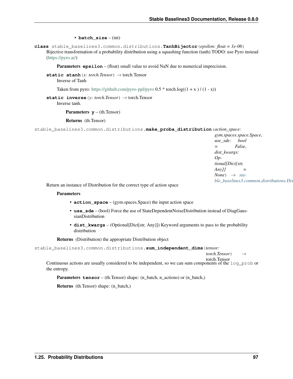### • **batch** size – (int)

**class** stable\_baselines3.common.distributions.**TanhBijector**(*epsilon: float = 1e-06*) Bijective transformation of a probability distribution using a squashing function (tanh) TODO: use Pyro instead [\(https://pyro.ai/\)](https://pyro.ai/)

**Parameters epsilon** – (float) small value to avoid NaN due to numerical imprecision.

**static atanh**(*x: torch.Tensor*)  $\rightarrow$  torch.Tensor Inverse of Tanh

Taken from pyro: <https://github.com/pyro-ppl/pyro>  $0.5 *$  torch.log( $(1 + x) / (1 - x)$ )

**static inverse**(*y: torch.Tensor*) → torch.Tensor Inverse tanh.

**Parameters**  $y - (th. Tensor)$ 

Returns (th.Tensor)

stable\_baselines3.common.distributions.**make\_proba\_distribution**(*action\_space:*

*gym.spaces.space.Space*, *use\_sde: bool = False*, *dist\_kwargs: Optional[Dict[str, Any]] =*  $None) \rightarrow sta$ *[ble\\_baselines3.common.distributions.Distribution](#page-95-0)*

Return an instance of Distribution for the correct type of action space

## **Parameters**

- **action\_space** (gym.spaces.Space) the input action space
- **use\_sde** (bool) Force the use of StateDependentNoiseDistribution instead of DiagGaussianDistribution
- **dist\_kwargs** (Optional[Dict[str, Any]]) Keyword arguments to pass to the probability distribution

Returns (Distribution) the appropriate Distribution object

```
stable_baselines3.common.distributions.sum_independent_dims(tensor:
```
*torch.Tensor*) →

torch.Tensor

Continuous actions are usually considered to be independent, so we can sum components of the log\_prob or the entropy.

Parameters **tensor** – (th.Tensor) shape: (n\_batch, n\_actions) or (n\_batch,)

Returns (th.Tensor) shape: (n\_batch,)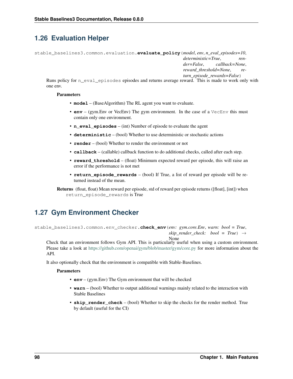# **1.26 Evaluation Helper**

```
stable_baselines3.common.evaluation.evaluate_policy(model, env, n_eval_episodes=10,
                                                            deterministic=True, ren-
                                                            der=False, callback=None,
                                                            reward_threshold=None, re-
                                                            turn_episode_rewards=False)
```
Runs policy for n\_eval\_episodes episodes and returns average reward. This is made to work only with one env.

# **Parameters**

- **model** (BaseAlgorithm) The RL agent you want to evaluate.
- **env** (gym. Env or VecEnv) The gym environment. In the case of a VecEnv this must contain only one environment.
- **n\_eval\_episodes** (int) Number of episode to evaluate the agent
- **deterministic** (bool) Whether to use deterministic or stochastic actions
- **render** (bool) Whether to render the environment or not
- **callback** (callable) callback function to do additional checks, called after each step.
- **reward\_threshold** (float) Minimum expected reward per episode, this will raise an error if the performance is not met
- **return\_episode\_rewards** (bool) If True, a list of reward per episode will be returned instead of the mean.

# **1.27 Gym Environment Checker**

stable\_baselines3.common.env\_checker.**check\_env**(*env: gym.core.Env*, *warn: bool = True*, *skip\_render\_check: bool* =  $True$ )  $\rightarrow$ 

None Check that an environment follows Gym API. This is particularly useful when using a custom environment. Please take a look at <https://github.com/openai/gym/blob/master/gym/core.py> for more information about the API.

It also optionally check that the environment is compatible with Stable-Baselines.

- **env** (gym.Env) The Gym environment that will be checked
- **warn** (bool) Whether to output additional warnings mainly related to the interaction with Stable Baselines
- **skip\_render\_check** (bool) Whether to skip the checks for the render method. True by default (useful for the CI)

Returns (float, float) Mean reward per episode, std of reward per episode returns ([float], [int]) when return\_episode\_rewards is True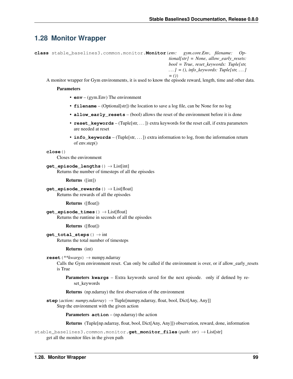# **1.28 Monitor Wrapper**

```
class stable_baselines3.common.monitor.Monitor(env: gym.core.Env, filename: Op-
                                                              tional[str] = None, allow_early_resets:
                                                              bool = True, reset_keywords: Tuple[str,
                                                              . . . ] = (), info_keywords: Tuple[str, . . . ]
                                                              = ())
```
A monitor wrapper for Gym environments, it is used to know the episode reward, length, time and other data.

### **Parameters**

- **env** (gym.Env) The environment
- **filename** (Optional[str]) the location to save a log file, can be None for no log
- **allow\_early\_resets** (bool) allows the reset of the environment before it is done
- **reset\_keywords** (Tuple[str, ...)) extra keywords for the reset call, if extra parameters are needed at reset
- **info** keywords (Tuple[str, ...)) extra information to log, from the information return of env.step()

### **close**()

Closes the environment

**get\_episode\_lengths**() → List[int] Returns the number of timesteps of all the episodes

Returns ([int])

**get\_episode\_rewards**() → List[float] Returns the rewards of all the episodes

Returns ([float])

**get\_episode\_times**() → List[float] Returns the runtime in seconds of all the episodes

Returns ([float])

**get\_total\_steps**() → int Returns the total number of timesteps

Returns (int)

```
reset(**kwargs) → numpy.ndarray
```
Calls the Gym environment reset. Can only be called if the environment is over, or if allow\_early\_resets is True

Parameters **kwargs** – Extra keywords saved for the next episode. only if defined by reset\_keywords

Returns (np.ndarray) the first observation of the environment

**step** (*action: numpy.ndarray*)  $\rightarrow$  Tuple[numpy.ndarray, float, bool, Dict[Any, Any]] Step the environment with the given action

Parameters **action** – (np.ndarray) the action

Returns (Tuple[np.ndarray, float, bool, Dict[Any, Any]]) observation, reward, done, information

stable\_baselines3.common.monitor.**get\_monitor\_files**(*path: str*) → List[str] get all the monitor files in the given path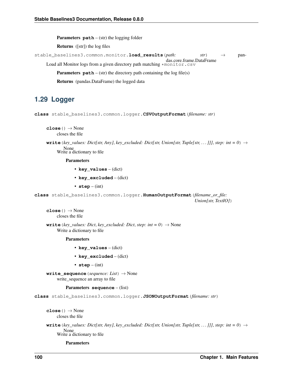**Parameters path** – (str) the logging folder

Returns ([str]) the log files

stable\_baselines3.common.monitor.**load\_results**(*path: str*) → pan-

das.core.frame.DataFrame Load all Monitor logs from a given directory path matching \*monitor.csv

**Parameters**  $path - (str)$  the directory path containing the  $log file(s)$ 

Returns (pandas.DataFrame) the logged data

# **1.29 Logger**

**class** stable\_baselines3.common.logger.**CSVOutputFormat**(*filename: str*)

**close**()  $\rightarrow$  None closes the file

**write** (*key\_values: Dict[str, Any], key\_excluded: Dict[str, Union[str, Tuple[str, . . . ]]], <i>step: int* = 0)  $\rightarrow$ None Write a dictionary to file

Parameters

- **key\_values** (dict)
- **key\_excluded** (dict)
- **step** (int)

**class** stable\_baselines3.common.logger.**HumanOutputFormat**(*filename\_or\_file: Union[str, TextIO]*)

 $close() \rightarrow None$ closes the file

**write** (*key\_values: Dict, key\_excluded: Dict, step: int* =  $0$ )  $\rightarrow$  None Write a dictionary to file

Parameters

- **key\_values** (dict)
- key excluded (dict)
- **step** (int)

**write\_sequence**(*sequence: List*) → None write\_sequence an array to file

### Parameters **sequence** – (list)

**class** stable\_baselines3.common.logger.**JSONOutputFormat**(*filename: str*)

**close**()  $\rightarrow$  None closes the file

**write** (*key\_values: Dict[str, Any], key\_excluded: Dict[str, Union[str, Tuple[str, . . . ]]], <i>step: int* = 0)  $\rightarrow$ None Write a dictionary to file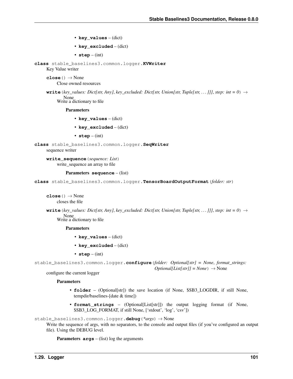- **key\_values** (dict)
- **key\_excluded** (dict)
- **step** (int)

<span id="page-104-0"></span>**class** stable\_baselines3.common.logger.**KVWriter** Key Value writer

 $close() \rightarrow None$ Close owned resources

**write** (*key\_values: Dict[str, Any], key\_excluded: Dict[str, Union[str, Tuple[str, . . . ]]], <i>step: int* = 0)  $\rightarrow$ None Write a dictionary to file

Parameters

- **key\_values** (dict)
- **key\_excluded** (dict)
- **step** (int)

```
class stable_baselines3.common.logger.SeqWriter
```
sequence writer

**write\_sequence**(*sequence: List*) write sequence an array to file

### Parameters **sequence** – (list)

**class** stable\_baselines3.common.logger.**TensorBoardOutputFormat**(*folder: str*)

 $close() \rightarrow None$ closes the file

**write** (*key\_values: Dict[str, Any]*, *key\_excluded: Dict[str, Union[str, Tuple[str, ...]]]*, *step: int* = 0)  $\rightarrow$ None Write a dictionary to file

Parameters

- **key\_values** (dict)
- **key\_excluded** (dict)
- **step** (int)

```
stable_baselines3.common.logger.configure(folder: Optional[str] = None, format_strings:
                                                       Optional[List[str]] = None \rightarrow None
```
configure the current logger

## **Parameters**

- **folder** (Optional[str]) the save location (if None, \$SB3 LOGDIR, if still None, tempdir/baselines-[date & time])
- **format\_strings** (Optional[List[str]]) the output logging format (if None, \$SB3\_LOG\_FORMAT, if still None, ['stdout', 'log', 'csv'])

stable\_baselines3.common.logger.**debug**(*\*args*) → None

Write the sequence of args, with no separators, to the console and output files (if you've configured an output file). Using the DEBUG level.

**Parameters args** – (list) log the arguments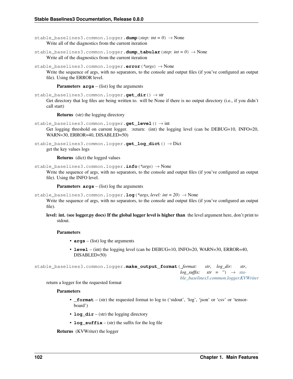stable baselines3.common.logger.dump(*step: int = 0*)  $\rightarrow$  None Write all of the diagnostics from the current iteration

stable\_baselines3.common.logger.**dump\_tabular**(*step: int = 0*) → None Write all of the diagnostics from the current iteration

stable\_baselines3.common.logger.**error**(*\*args*) → None

Write the sequence of args, with no separators, to the console and output files (if you've configured an output file). Using the ERROR level.

**Parameters args** – (list) log the arguments

stable\_baselines3.common.logger.**get\_dir**() → str Get directory that log files are being written to. will be None if there is no output directory (i.e., if you didn't call start)

Returns (str) the logging directory

```
stable_baselines3.common.logger.get_level() → int
```
Get logging threshold on current logger. : return: (int) the logging level (can be DEBUG=10, INFO=20, WARN=30, ERROR=40, DISABLED=50)

stable\_baselines3.common.logger.**get\_log\_dict**() → Dict

get the key values logs

Returns (dict) the logged values

stable\_baselines3.common.logger.**info**(*\*args*) → None

Write the sequence of args, with no separators, to the console and output files (if you've configured an output file). Using the INFO level.

**Parameters args** – (list) log the arguments

stable\_baselines3.common.logger.**log**(*\*args*, *level: int = 20*) → None

Write the sequence of args, with no separators, to the console and output files (if you've configured an output file).

level: int. (see logger.py docs) If the global logger level is higher than the level argument here, don't print to stdout.

### **Parameters**

- **args** (list) log the arguments
- **level** (int) the logging level (can be DEBUG=10, INFO=20, WARN=30, ERROR=40, DISABLED=50)

stable\_baselines3.common.logger.**make\_output\_format**(*\_format: str*, *log\_dir: str*,  $log \left(s{u} \right)$   $\rightarrow$   $str =$   $\prime$ <sup>'</sup> $\rightarrow$   $stat$ *[ble\\_baselines3.common.logger.KVWriter](#page-104-0)*

return a logger for the requested format

### **Parameters**

- **\_format** (str) the requested format to log to ('stdout', 'log', 'json' or 'csv' or 'tensorboard')
- **log**  $\text{dir} (\text{str})$  the logging directory
- **log\_suffix** (str) the suffix for the log file

Returns (KVWriter) the logger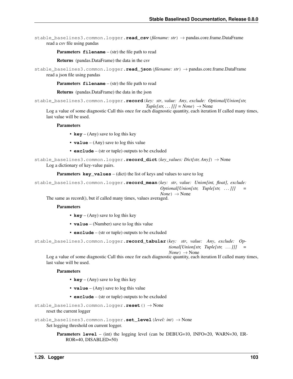stable\_baselines3.common.logger.**read\_csv**(*filename: str*) → pandas.core.frame.DataFrame read a csv file using pandas

**Parameters**  $f$ **ilename** – (str) the file path to read

Returns (pandas.DataFrame) the data in the csv

stable\_baselines3.common.logger.**read\_json**(*filename: str*) → pandas.core.frame.DataFrame read a json file using pandas

**Parameters**  $f$ **ilename** – (str) the file path to read

Returns (pandas.DataFrame) the data in the json

stable\_baselines3.common.logger.**record**(*key: str*, *value: Any*, *exclude: Optional[Union[str,*

 $Tuple[str, \dots ]]] = None$   $\rightarrow$  None

Log a value of some diagnostic Call this once for each diagnostic quantity, each iteration If called many times, last value will be used.

#### **Parameters**

- **key** (Any) save to log this key
- **value** (Any) save to log this value
- **exclude** (str or tuple) outputs to be excluded

```
stable_baselines3.common.logger.record_dict(key_values: Dict[str, Any]) → None
     Log a dictionary of key-value pairs.
```
Parameters **key\_values** – (dict) the list of keys and values to save to log

stable\_baselines3.common.logger.**record\_mean**(*key: str*, *value: Union[int, float]*, *exclude: Optional[Union[str, Tuple[str, . . . ]]] =*  $None$ )  $\rightarrow$  None

The same as record(), but if called many times, values averaged.

### **Parameters**

- **key** (Any) save to log this key
- **value** (Number) save to log this value
- **exclude** (str or tuple) outputs to be excluded

```
stable_baselines3.common.logger.record_tabular(key: str, value: Any, exclude: Op-
                                                        tional[Union[str, Tuple[str, . . . ]]] =
```
 $None \rightarrow None$ 

Log a value of some diagnostic Call this once for each diagnostic quantity, each iteration If called many times, last value will be used.

### Parameters

- **key** (Any) save to log this key
- **value** (Any) save to log this value
- **exclude** (str or tuple) outputs to be excluded

stable\_baselines3.common.logger.**reset**() → None

reset the current logger

```
stable_baselines3.common.logger.set_level(level: int) → None
     Set logging threshold on current logger.
```

```
Parameters level – (int) the logging level (can be DEBUG=10, INFO=20, WARN=30, ER-
   ROR=40, DISABLED=50)
```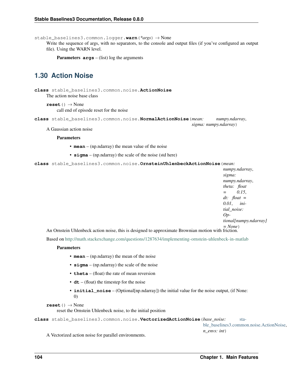stable\_baselines3.common.logger.**warn**(*\*args*) → None

Write the sequence of args, with no separators, to the console and output files (if you've configured an output file). Using the WARN level.

**Parameters args** – (list) log the arguments

# **1.30 Action Noise**

<span id="page-107-0"></span>**class** stable\_baselines3.common.noise.**ActionNoise** The action noise base class

**reset**() → None call end of episode reset for the noise

**class** stable\_baselines3.common.noise.**NormalActionNoise**(*mean: numpy.ndarray*, *sigma: numpy.ndarray*)

A Gaussian action noise

### **Parameters**

- **mean** (np.ndarray) the mean value of the noise
- **sigma** (np.ndarray) the scale of the noise (std here)

**class** stable\_baselines3.common.noise.**OrnsteinUhlenbeckActionNoise**(*mean:*

*numpy.ndarray*, *sigma: numpy.ndarray*, *theta: float = 0.15*, *dt: float = 0.01*, *initial\_noise: Optional[numpy.ndarray] = None*)

An Ornstein Uhlenbeck action noise, this is designed to approximate Brownian motion with friction.

Based on <http://math.stackexchange.com/questions/1287634/implementing-ornstein-uhlenbeck-in-matlab>

### Parameters

- **mean** (np.ndarray) the mean of the noise
- **sigma** (np.ndarray) the scale of the noise
- **theta** (float) the rate of mean reversion
- **dt** (float) the timestep for the noise
- **initial noise** (Optional[np.ndarray]) the initial value for the noise output, (if None: 0)

```
reset() → None
```
reset the Ornstein Uhlenbeck noise, to the initial position

**class** stable\_baselines3.common.noise.**VectorizedActionNoise**(*base\_noise:* [sta-](#page-107-0)

[ble\\_baselines3.common.noise.ActionNoise,](#page-107-0) *n\_envs: int*)

A Vectorized action noise for parallel environments.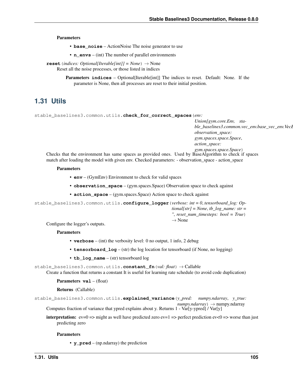#### <span id="page-108-1"></span>**Parameters**

- **base\_noise** ActionNoise The noise generator to use
- **n\_envs** (int) The number of parallel environments

**reset**(*indices: Optional[Iterable[int]] = None*) → None Reset all the noise processes, or those listed in indices

> **Parameters indices** – Optional[Iterable[int]] The indices to reset. Default: None. If the parameter is None, then all processes are reset to their initial position.

# **1.31 Utils**

```
stable_baselines3.common.utils.check_for_correct_spaces(env:
```
*Union[gym.core.Env, stable\_baselines3.common.vec\_env.base\_vec\_env.Vecl observation\_space: gym.spaces.space.Space*, *action\_space: gym.spaces.space.Space*)

Checks that the environment has same spaces as provided ones. Used by BaseAlgorithm to check if spaces match after loading the model with given env. Checked parameters: - observation\_space - action\_space

#### **Parameters**

- **env** (GymEnv) Environment to check for valid spaces
- **observation\_space** (gym.spaces.Space) Observation space to check against
- **action\_space** (gym.spaces.Space) Action space to check against

stable\_baselines3.common.utils.**configure\_logger**(*verbose: int = 0*, *tensorboard\_log: Optional[str] = None*, *tb\_log\_name: str = ''*, *reset\_num\_timesteps: bool = True*)

 $\rightarrow$  None

Configure the logger's outputs.

#### Parameters

- **verbose** (int) the verbosity level: 0 no output, 1 info, 2 debug
- **tensorboard\_log** (str) the log location for tensorboard (if None, no logging)
- **tb\_log\_name** (str) tensorboard log

stable\_baselines3.common.utils.**constant\_fn**(*val: float*) → Callable Create a function that returns a constant It is useful for learning rate schedule (to avoid code duplication)

#### Parameters  $\mathbf{val}$  – (float)

Returns (Callable)

stable baselines3.common.utils.**explained variance** (*y\_pred: numpy.ndarray, y\_true:*  $numpy.ndarray$ )  $\rightarrow$  numpy.ndarray

Computes fraction of variance that ypred explains about y. Returns 1 - Var[y-ypred] / Var[y]

**interpretation:** ev=0 => might as well have predicted zero ev=1 => perfect prediction ev<0 => worse than just predicting zero

#### **Parameters**

• **y\_pred** – (np.ndarray) the prediction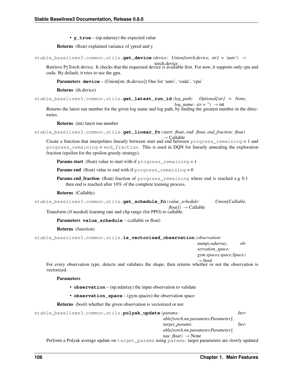• **y\_true** – (np.ndarray) the expected value

<span id="page-109-0"></span>Returns (float) explained variance of ypred and y

```
stable_baselines3.common.utils.get_device(device: Union[torch.device, str] = 'auto') →
```
torch.device Retrieve PyTorch device. It checks that the requested device is available first. For now, it supports only cpu and cuda. By default, it tries to use the gpu.

Parameters **device** – (Union[str, th.device]) One for 'auto', 'cuda', 'cpu'

Returns (th.device)

stable\_baselines3.common.utils.**get\_latest\_run\_id**(*log\_path: Optional[str] = None*,

*log\_name: str = ''*)  $\rightarrow$  int

Returns the latest run number for the given log name and log path, by finding the greatest number in the directories.

Returns (int) latest run number

```
stable_baselines3.common.utils.get_linear_fn(start: float, end: float, end_fraction: float)
                                                               \rightarrow Callable
```
Create a function that interpolates linearly between start and end between progress\_remaining = 1 and progress\_remaining = end\_fraction. This is used in DQN for linearly annealing the exploration fraction (epsilon for the epsilon-greedy strategy).

**Params start** (float) value to start with if progress remaining  $= 1$ 

**Params end** (float) value to end with if  $p_{\text{rogress\_remaining}} = 0$ 

Params end\_fraction (float) fraction of progress\_remaining where end is reached e.g 0.1 then end is reached after 10% of the complete training process.

#### Returns (Callable)

|  |  |  | stable_baselines3.common.utils.get_schedule_fn(value_schedule: | Union[Callable, |
|--|--|--|----------------------------------------------------------------|-----------------|
|  |  |  | $float() \rightarrow Callable$                                 |                 |

Transform (if needed) learning rate and clip range (for PPO) to callable.

Parameters value\_schedule – (callable or float)

#### Returns (function)

stable\_baselines3.common.utils.**is\_vectorized\_observation**(*observation:*

*numpy.ndarray*, *observation\_space:*

*gym.spaces.space.Space*)

 $\rightarrow$  bool

For every observation type, detects and validates the shape, then returns whether or not the observation is vectorized.

#### **Parameters**

- **observation** (np.ndarray) the input observation to validate
- **observation\_space** (gym.spaces) the observation space

Returns (bool) whether the given observation is vectorized or not

```
stable_baselines3.common.utils.polyak_update(params: Iter-
```
*able[torch.nn.parameter.Parameter]*, *target\_params: Iterable[torch.nn.parameter.Parameter]*,

*tau:*  $float$ )  $\rightarrow$  None

Perform a Polyak average update on target\_params using params: target parameters are slowly updated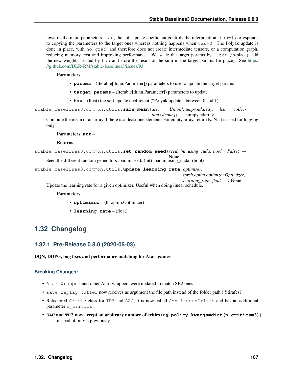<span id="page-110-0"></span>towards the main parameters. tau, the soft update coefficient controls the interpolation: tau=1 corresponds to copying the parameters to the target ones whereas nothing happens when tau=0. The Polyak update is done in place, with no\_grad, and therefore does not create intermediate tensors, or a computation graph, reducing memory cost and improving performance. We scale the target params by  $1-tau$  (in-place), add the new weights, scaled by tau and store the result of the sum in the target params (in place). See [https:](https://github.com/DLR-RM/stable-baselines3/issues/93) [//github.com/DLR-RM/stable-baselines3/issues/93](https://github.com/DLR-RM/stable-baselines3/issues/93)

#### **Parameters**

- **params** (Iterable[th.nn.Parameter]) parameters to use to update the target params
- **target\_params** (Iterable[th.nn.Parameter]) parameters to update
- **tau** (float) the soft update coefficient ("Polyak update", between 0 and 1)

stable\_baselines3.common.utils.**safe\_mean**(*arr: Union[numpy.ndarray, list, collec* $tions.deque$ *]*)  $\rightarrow$  numpy.ndarray

Compute the mean of an array if there is at least one element. For empty array, return NaN. It is used for logging only.

None

#### Parameters **arr** –

#### Returns

stable\_baselines3.common.utils.**set\_random\_seed**(*seed: int*, *using\_cuda: bool = False*) →

Seed the different random generators :param seed: (int) :param using\_cuda: (bool)

stable\_baselines3.common.utils.**update\_learning\_rate**(*optimizer:*

*torch.optim.optimizer.Optimizer*,

*learning\_rate:*  $float) \rightarrow None$ 

Update the learning rate for a given optimizer. Useful when doing linear schedule.

#### Parameters

- **optimizer** (th.optim.Optimizer)
- **learning\_rate** (float)

# **1.32 Changelog**

## **1.32.1 Pre-Release 0.8.0 (2020-08-03)**

#### DQN, DDPG, bug fixes and performance matching for Atari games

- AtariWrapper and other Atari wrappers were updated to match SB2 ones
- save\_replay\_buffer now receives as argument the file path instead of the folder path (@tirafesi)
- Refactored Critic class for TD3 and SAC, it is now called ContinuousCritic and has an additional parameter n\_critics
- **SAC** and **TD3** now accept an arbitrary number of critics (e.g. **policy\_kwargs=dict(n\_critics=3)**) instead of only 2 previously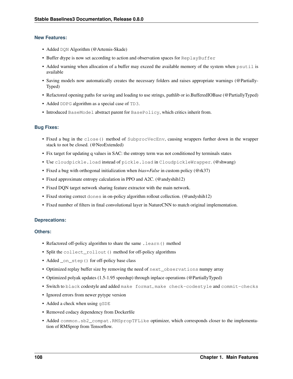- Added DQN Algorithm (@Artemis-Skade)
- Buffer dtype is now set according to action and observation spaces for ReplayBuffer
- Added warning when allocation of a buffer may exceed the available memory of the system when psutil is available
- Saving models now automatically creates the necessary folders and raises appropriate warnings (@Partially-Typed)
- Refactored opening paths for saving and loading to use strings, pathlib or io.BufferedIOBase (@PartiallyTyped)
- Added DDPG algorithm as a special case of TD3.
- Introduced BaseModel abstract parent for BasePolicy, which critics inherit from.

### **Bug Fixes:**

- Fixed a bug in the close() method of SubprocVecEnv, causing wrappers further down in the wrapper stack to not be closed. (@NeoExtended)
- Fix target for updating q values in SAC: the entropy term was not conditioned by terminals states
- Use cloudpickle.load instead of pickle.load in CloudpickleWrapper. (@shwang)
- Fixed a bug with orthogonal initialization when *bias=False* in custom policy (@rk37)
- Fixed approximate entropy calculation in PPO and A2C. (@andyshih12)
- Fixed DQN target network sharing feature extractor with the main network.
- Fixed storing correct dones in on-policy algorithm rollout collection. (@andyshih12)
- Fixed number of filters in final convolutional layer in NatureCNN to match original implementation.

#### **Deprecations:**

#### **Others:**

- Refactored off-policy algorithm to share the same . learn () method
- Split the collect\_rollout() method for off-policy algorithms
- Added \_on\_step() for off-policy base class
- Optimized replay buffer size by removing the need of  $next\_observations$  numpy array
- Optimized polyak updates (1.5-1.95 speedup) through inplace operations (@PartiallyTyped)
- Switch to black codestyle and added make format, make check-codestyle and commit-checks
- Ignored errors from newer pytype version
- Added a check when using  $qSDE$
- Removed codacy dependency from Dockerfile
- Added common.sb2\_compat.RMSpropTFLike optimizer, which corresponds closer to the implementation of RMSprop from Tensorflow.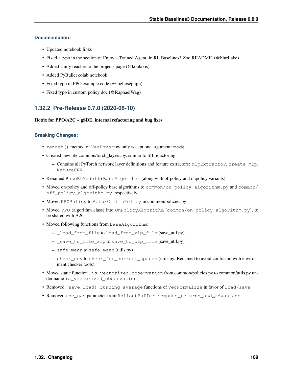### **Documentation:**

- Updated notebook links
- Fixed a typo in the section of Enjoy a Trained Agent, in RL Baselines3 Zoo README. (@blurLake)
- Added Unity reacher to the projects page (@koulakis)
- Added PyBullet colab notebook
- Fixed typo in PPO example code (@joeljosephjin)
- Fixed typo in custom policy doc (@RaphaelWag)

# **1.32.2 Pre-Release 0.7.0 (2020-06-10)**

#### Hotfix for  $PPO/A2C + gSDE$ , internal refactoring and bug fixes

- render() method of VecEnvs now only accept one argument: mode
- Created new file common/torch\_layers.py, similar to SB refactoring
	- Contains all PyTorch network layer definitions and feature extractors: MlpExtractor, create\_mlp, NatureCNN
- Renamed BaseRLModel to BaseAlgorithm (along with offpolicy and onpolicy variants)
- Moved on-policy and off-policy base algorithms to common/on\_policy\_algorithm.py and common/ off\_policy\_algorithm.py, respectively.
- Moved PPOPolicy to ActorCriticPolicy in common/policies.py
- Moved PPO (algorithm class) into OnPolicyAlgorithm (common/on\_policy\_algorithm.py), to be shared with A2C
- Moved following functions from BaseAlgorithm:
	- \_load\_from\_file to load\_from\_zip\_file (save\_util.py)
	- \_save\_to\_file\_zip to save\_to\_zip\_file (save\_util.py)
	- safe\_mean to safe\_mean (utils.py)
	- check\_env to check\_for\_correct\_spaces (utils.py. Renamed to avoid confusion with environment checker tools)
- Moved static function \_is\_vectorized\_observation from common/policies.py to common/utils.py under name is\_vectorized\_observation.
- Removed {save,load}\_running\_average functions of VecNormalize in favor of load/save.
- Removed use gae parameter from RolloutBuffer.compute returns and advantage.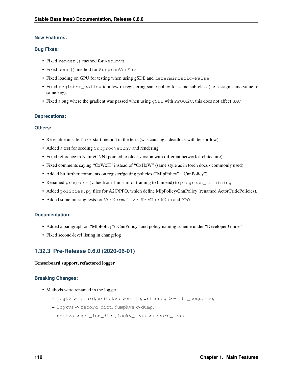#### **Bug Fixes:**

- Fixed render() method for VecEnvs
- Fixed seed() method for SubprocVecEnv
- Fixed loading on GPU for testing when using gSDE and deterministic=False
- Fixed register\_policy to allow re-registering same policy for same sub-class (i.e. assign same value to same key).
- Fixed a bug where the gradient was passed when using  $qSDE$  with PPO/A2C, this does not affect SAC

#### **Deprecations:**

#### **Others:**

- Re-enable unsafe fork start method in the tests (was causing a deadlock with tensorflow)
- Added a test for seeding SubprocVecEnv and rendering
- Fixed reference in NatureCNN (pointed to older version with different network architecture)
- Fixed comments saying "CxWxH" instead of "CxHxW" (same style as in torch docs / commonly used)
- Added bit further comments on register/getting policies ("MlpPolicy", "CnnPolicy").
- Renamed progress (value from 1 in start of training to 0 in end) to progress\_remaining.
- Added policies.py files for A2C/PPO, which define MlpPolicy/CnnPolicy (renamed ActorCriticPolicies).
- Added some missing tests for VecNormalize, VecCheckNan and PPO.

#### **Documentation:**

- Added a paragraph on "MlpPolicy"/"CnnPolicy" and policy naming scheme under "Developer Guide"
- Fixed second-level listing in changelog

## **1.32.3 Pre-Release 0.6.0 (2020-06-01)**

#### Tensorboard support, refactored logger

- Methods were renamed in the logger:
	- logkv -> record, writekvs -> write, writeseq -> write\_sequence,
	- logkvs -> record\_dict, dumpkvs -> dump,
	- getkvs -> get\_log\_dict, logkv\_mean -> record\_mean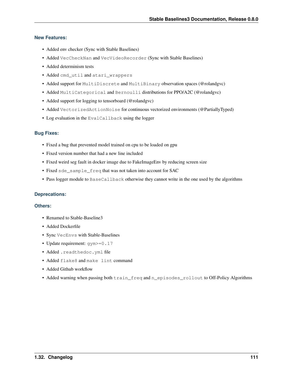- Added env checker (Sync with Stable Baselines)
- Added VecCheckNan and VecVideoRecorder (Sync with Stable Baselines)
- Added determinism tests
- Added cmd\_util and atari\_wrappers
- Added support for MultiDiscrete and MultiBinary observation spaces (@rolandgvc)
- Added MultiCategorical and Bernoulli distributions for PPO/A2C (@rolandgvc)
- Added support for logging to tensorboard (@rolandgvc)
- Added VectorizedActionNoise for continuous vectorized environments (@PartiallyTyped)
- Log evaluation in the EvalCallback using the logger

#### **Bug Fixes:**

- Fixed a bug that prevented model trained on cpu to be loaded on gpu
- Fixed version number that had a new line included
- Fixed weird seg fault in docker image due to FakeImageEnv by reducing screen size
- Fixed sde\_sample\_freq that was not taken into account for SAC
- Pass logger module to BaseCallback otherwise they cannot write in the one used by the algorithms

#### **Deprecations:**

#### **Others:**

- Renamed to Stable-Baseline3
- Added Dockerfile
- Sync VecEnvs with Stable-Baselines
- Update requirement: gym>=0.17
- Added .readthedoc.yml file
- Added flake8 and make lint command
- Added Github workflow
- Added warning when passing both train\_freq and n\_episodes\_rollout to Off-Policy Algorithms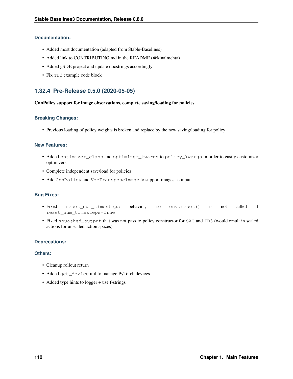### **Documentation:**

- Added most documentation (adapted from Stable-Baselines)
- Added link to CONTRIBUTING.md in the README (@kinalmehta)
- Added gSDE project and update docstrings accordingly
- Fix TD3 example code block

# **1.32.4 Pre-Release 0.5.0 (2020-05-05)**

#### CnnPolicy support for image observations, complete saving/loading for policies

### **Breaking Changes:**

• Previous loading of policy weights is broken and replace by the new saving/loading for policy

## **New Features:**

- Added optimizer\_class and optimizer\_kwargs to policy\_kwargs in order to easily customizer optimizers
- Complete independent save/load for policies
- Add CnnPolicy and VecTransposeImage to support images as input

## **Bug Fixes:**

- Fixed reset\_num\_timesteps behavior, so env.reset() is not called if reset\_num\_timesteps=True
- Fixed squashed\_output that was not pass to policy constructor for SAC and TD3 (would result in scaled actions for unscaled action spaces)

#### **Deprecations:**

#### **Others:**

- Cleanup rollout return
- Added get\_device util to manage PyTorch devices
- Added type hints to logger + use f-strings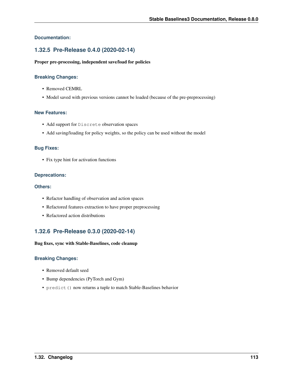## **Documentation:**

## **1.32.5 Pre-Release 0.4.0 (2020-02-14)**

#### Proper pre-processing, independent save/load for policies

#### **Breaking Changes:**

- Removed CEMRL
- Model saved with previous versions cannot be loaded (because of the pre-preprocessing)

#### **New Features:**

- Add support for Discrete observation spaces
- Add saving/loading for policy weights, so the policy can be used without the model

#### **Bug Fixes:**

• Fix type hint for activation functions

#### **Deprecations:**

#### **Others:**

- Refactor handling of observation and action spaces
- Refactored features extraction to have proper preprocessing
- Refactored action distributions

## **1.32.6 Pre-Release 0.3.0 (2020-02-14)**

#### Bug fixes, sync with Stable-Baselines, code cleanup

- Removed default seed
- Bump dependencies (PyTorch and Gym)
- predict() now returns a tuple to match Stable-Baselines behavior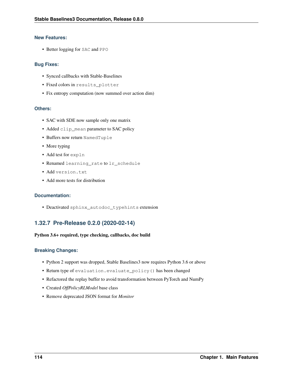• Better logging for SAC and PPO

#### **Bug Fixes:**

- Synced callbacks with Stable-Baselines
- Fixed colors in results\_plotter
- Fix entropy computation (now summed over action dim)

### **Others:**

- SAC with SDE now sample only one matrix
- Added clip\_mean parameter to SAC policy
- Buffers now return NamedTuple
- More typing
- Add test for expln
- Renamed learning\_rate to lr\_schedule
- Add version.txt
- Add more tests for distribution

## **Documentation:**

• Deactivated sphinx\_autodoc\_typehints extension

# **1.32.7 Pre-Release 0.2.0 (2020-02-14)**

#### Python 3.6+ required, type checking, callbacks, doc build

- Python 2 support was dropped, Stable Baselines3 now requires Python 3.6 or above
- Return type of evaluation.evaluate\_policy() has been changed
- Refactored the replay buffer to avoid transformation between PyTorch and NumPy
- Created *OffPolicyRLModel* base class
- Remove deprecated JSON format for *Monitor*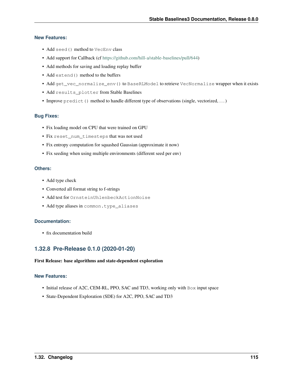- Add seed() method to VecEnv class
- Add support for Callback (cf [https://github.com/hill-a/stable-baselines/pull/644\)](https://github.com/hill-a/stable-baselines/pull/644)
- Add methods for saving and loading replay buffer
- Add extend() method to the buffers
- Add get\_vec\_normalize\_env() to BaseRLModel to retrieve VecNormalize wrapper when it exists
- Add results\_plotter from Stable Baselines
- Improve  $\text{predict}()$  method to handle different type of observations (single, vectorized, ...)

## **Bug Fixes:**

- Fix loading model on CPU that were trained on GPU
- Fix reset\_num\_timesteps that was not used
- Fix entropy computation for squashed Gaussian (approximate it now)
- Fix seeding when using multiple environments (different seed per env)

#### **Others:**

- Add type check
- Converted all format string to f-strings
- Add test for OrnsteinUhlenbeckActionNoise
- Add type aliases in common.type\_aliases

#### **Documentation:**

• fix documentation build

# **1.32.8 Pre-Release 0.1.0 (2020-01-20)**

#### First Release: base algorithms and state-dependent exploration

#### **New Features:**

- Initial release of A2C, CEM-RL, PPO, SAC and TD3, working only with Box input space
- State-Dependent Exploration (SDE) for A2C, PPO, SAC and TD3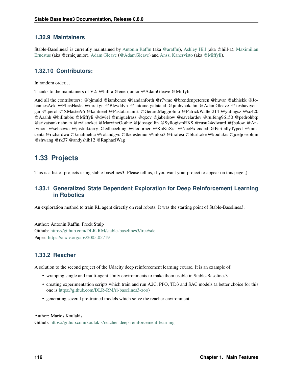## **1.32.9 Maintainers**

Stable-Baselines3 is currently maintained by [Antonin Raffin](https://araffin.github.io/) (aka [@araffin\)](https://github.com/araffin), [Ashley Hill](https://github.com/hill-a) (aka @hill-a), [Maximilian](https://github.com/erniejunior) [Ernestus](https://github.com/erniejunior) (aka @erniejunior), [Adam Gleave](https://gleave.me/) [\(@AdamGleave\)](https://github.com/adamgleave) and [Anssi Kanervisto](https://github.com/Miffyli) (aka [@Miffyli\)](https://github.com/Miffyli).

## **1.32.10 Contributors:**

In random order.

Thanks to the maintainers of V2: @hill-a @enerijunior @AdamGleave @Miffyli

And all the contributors: @bjmuld @iambenzo @iandanforth @r7vme @brendenpetersen @huvar @abhiskk @JohannesAck @EliasHasle @mrakgr @Bleyddyn @antoine-galataud @junhyeokahn @AdamGleave @keshaviyengar @tperol @XMaster96 @kantneel @Pastafarianist @GerardMaggiolino @PatrickWalter214 @yutingsz @sc420 @Aaahh @billtubbs @Miffyli @dwiel @miguelrass @qxcv @jaberkow @eavelardev @ruifeng96150 @pedrohbtp @srivatsankrishnan @evilsocket @MarvineGothic @jdossgollin @SyllogismRXS @rusu24edward @jbulow @Antymon @seheevic @justinkterry @edbeeching @flodorner @KuKuXia @NeoExtended @PartiallyTyped @mmcenta @richardwu @kinalmehta @rolandgvc @tkelestemur @mloo3 @tirafesi @blurLake @koulakis @joeljosephjin @shwang @rk37 @andyshih12 @RaphaelWag

# **1.33 Projects**

This is a list of projects using stable-baselines3. Please tell us, if you want your project to appear on this page ;)

## **1.33.1 Generalized State Dependent Exploration for Deep Reinforcement Learning in Robotics**

An exploration method to train RL agent directly on real robots. It was the starting point of Stable-Baselines3.

Author: Antonin Raffin, Freek Stulp Github: <https://github.com/DLR-RM/stable-baselines3/tree/sde> Paper: <https://arxiv.org/abs/2005.05719>

# **1.33.2 Reacher**

A solution to the second project of the Udacity deep reinforcement learning course. It is an example of:

- wrapping single and multi-agent Unity environments to make them usable in Stable-Baselines3
- creating experimentation scripts which train and run A2C, PPO, TD3 and SAC models (a better choice for this one is [https://github.com/DLR-RM/rl-baselines3-zoo\)](https://github.com/DLR-RM/rl-baselines3-zoo)
- generating several pre-trained models which solve the reacher environment

#### Author: Marios Koulakis

Github: <https://github.com/koulakis/reacher-deep-reinforcement-learning>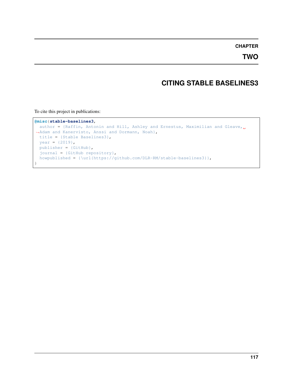## **CHAPTER**

**TWO**

# **CITING STABLE BASELINES3**

To cite this project in publications:

```
@misc{stable-baselines3,
 author = {Raffin, Antonin and Hill, Ashley and Ernestus, Maximilian and Gleave,
˓→Adam and Kanervisto, Anssi and Dormann, Noah},
 title = {Stable Baselines3},
 year = {2019},
 publisher = {GitHub},
 journal = {GitHub repository},
 howpublished = {\url{https://github.com/DLR-RM/stable-baselines3}},
}
```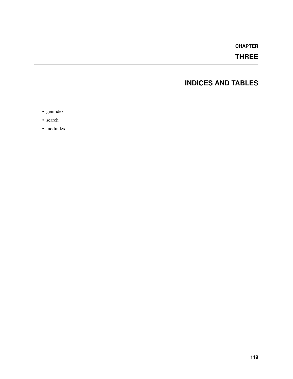# **CHAPTER**

# **THREE**

# **INDICES AND TABLES**

- genindex
- search
- modindex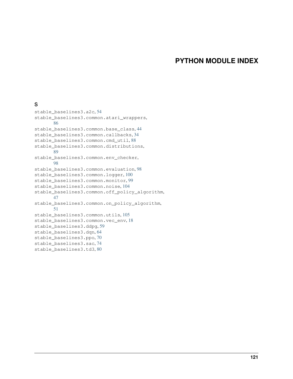# **PYTHON MODULE INDEX**

## s

stable\_baselines3.a2c, [54](#page-57-0) stable\_baselines3.common.atari\_wrappers, [86](#page-89-0) stable\_baselines3.common.base\_class, [44](#page-47-0) stable\_baselines3.common.callbacks, [34](#page-37-0) stable\_baselines3.common.cmd\_util, [88](#page-91-0) stable\_baselines3.common.distributions, [89](#page-92-0) stable\_baselines3.common.env\_checker, [98](#page-101-0) stable\_baselines3.common.evaluation. [98](#page-101-1) stable\_baselines3.common.logger, [100](#page-103-0) stable\_baselines3.common.monitor, [99](#page-102-0) stable\_baselines3.common.noise, [104](#page-107-0) stable\_baselines3.common.off\_policy\_algorithm, [47](#page-50-0) stable\_baselines3.common.on\_policy\_algorithm, [51](#page-54-0) stable\_baselines3.common.utils, [105](#page-108-0) stable\_baselines3.common.vec\_env, [18](#page-21-0) stable\_baselines3.ddpg, [59](#page-62-0) stable\_baselines3.dqn, [64](#page-67-0) stable\_baselines3.ppo, [70](#page-73-0) stable\_baselines3.sac, [74](#page-77-0) stable\_baselines3.td3, [80](#page-83-0)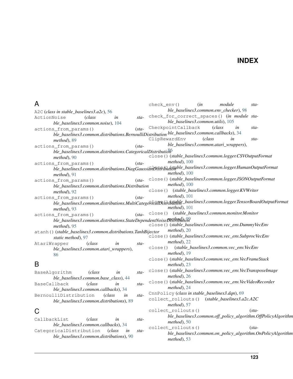# **INDEX**

# A

A2C (*class in stable\_baselines3.a2c*), [56](#page-59-0) ActionNoise (*class in stable\_baselines3.common.noise*), [104](#page-107-1) actions from params() (*stable\_baselines3.common.distributions.BernoulliDistribution ble\_baselines3.common.callbacks*), [34](#page-37-1) *method*), [89](#page-92-1) actions from params() (*stable\_baselines3.common.distributions.CategoricalDistribution* [86](#page-89-1) *method*), [90](#page-93-0) actions\_from\_params() (*stable\_baselines3.common.distributions.DiagGaussianDistribution* close() (*stable\_baselines3.common.logger.HumanOutputFormat method*), [91](#page-94-0) actions from params() (*stable\_baselines3.common.distributions.Distribution method*), [92](#page-95-0) actions\_from\_params() (*sta-*—<br>ble\_baselines3.common.distributions.MultiCategori<del>calDi</del>stribitable\_baselines3.common.logger.TensorBoardOutputFormat *method*), [93](#page-96-0) actions\_from\_params() (*stable\_baselines3.common.distributions.StateDependentNoiseDistribution method*), [99](#page-102-1) *method*), [95](#page-98-0) atanh() (*stable\_baselines3.common.distributions.TanhBijector static method*), [97](#page-100-0) AtariWrapper (*class in stable\_baselines3.common.atari\_wrappers*), [86](#page-89-1) B BaseAlgorithm (*class in stable\_baselines3.common.env\_checker*), [98](#page-101-2) check\_for\_correct\_spaces() (*in module stable\_baselines3.common.utils*), [105](#page-108-1) CheckpointCallback (*class in sta-*ClipRewardEnv (*class in stable\_baselines3.common.atari\_wrappers*), close() (*stable\_baselines3.common.logger.CSVOutputFormat method*), [100](#page-103-1) *method*), [100](#page-103-1) close() (*stable\_baselines3.common.logger.JSONOutputFormat method*), [100](#page-103-1) close() (*stable\_baselines3.common.logger.KVWriter method*), [101](#page-104-0) *method*), [101](#page-104-0) close() (*stable\_baselines3.common.monitor.Monitor* close() (*stable\_baselines3.common.vec\_env.DummyVecEnv method*), [20](#page-23-0) close() (*stable\_baselines3.common.vec\_env.SubprocVecEnv method*), [22](#page-25-0) close() (*stable\_baselines3.common.vec\_env.VecEnv method*), [19](#page-22-0) close() (*stable\_baselines3.common.vec\_env.VecFrameStack method*), [23](#page-26-0) close() (*stable\_baselines3.common.vec\_env.VecTransposeImage method*), [26](#page-29-0)

*ble\_baselines3.common.base\_class*), [44](#page-47-1) BaseCallback (*class in sta-*

*ble\_baselines3.common.callbacks*), [34](#page-37-1) BernoulliDistribution (*class in stable\_baselines3.common.distributions*), [89](#page-92-1)

# C

CallbackList (*class in stable\_baselines3.common.callbacks*), [34](#page-37-1) CategoricalDistribution (*class in stable\_baselines3.common.distributions*), [90](#page-93-0)

- close() (*stable\_baselines3.common.vec\_env.VecVideoRecorder method*), [24](#page-27-0)
- CnnPolicy (*class in stable\_baselines3.dqn*), [69](#page-72-0)
- collect\_rollouts() (*stable\_baselines3.a2c.A2C method*), [57](#page-60-0)

check\_env() (*in module sta-*

- collect\_rollouts() (*stable\_baselines3.common.off\_policy\_algorithm.OffPolicyAlgorithm method*), [50](#page-53-0)
- collect\_rollouts() (*stable\_baselines3.common.on\_policy\_algorithm.OnPolicyAlgorithm method*), [53](#page-56-0)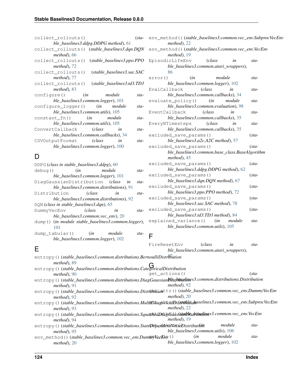| collect rollouts()                            |        |                             | $(sta-$ |
|-----------------------------------------------|--------|-----------------------------|---------|
| ble_baselines3.ddpg.DDPG method), 61          |        |                             |         |
| collect_rollouts() (stable_baselines3.dqn.DQN |        |                             |         |
| <i>method</i> ), 66                           |        |                             |         |
| collect_rollouts()                            |        | $(state\_baseline3.pop.PPO$ |         |
| $method$ , 72                                 |        |                             |         |
| collect rollouts()                            |        | (stable_baselines3.sac.SAC  |         |
| $method$ , 77                                 |        |                             |         |
| collect_rollouts() (stable_baselines3.td3.TD3 |        |                             |         |
| $method$ , 83                                 |        |                             |         |
| configure() ( <i>in</i>                       |        | module                      | sta-    |
| ble_baselines3.common.logger), 101            |        |                             |         |
| configure_logger() (in module                 |        |                             | sta-    |
| ble baselines3.common.utils), 105             |        |                             |         |
| constant_fn() (in module                      |        |                             | sta-    |
| ble baselines3.common.utils), 105             |        |                             |         |
| ConvertCallback                               | (class | in                          | $sta-$  |
| ble_baselines3.common.callbacks), 34          |        |                             |         |
| CSVOutputFormat (class in                     |        |                             | $sta-$  |
| ble_baselines3.common.logger), 100            |        |                             |         |
|                                               |        |                             |         |

# D

| D                                                                        | $method$ , 45                                                                                                                     |
|--------------------------------------------------------------------------|-----------------------------------------------------------------------------------------------------------------------------------|
| DDPG (class in stable_baselines3.ddpg), 60                               | excluded_save_params()<br>$(sta-$                                                                                                 |
| module<br>debug ()<br>(in<br>sta-                                        | ble_baselines3.ddpg.DDPG method), 62                                                                                              |
| ble_baselines3.common.logger), 101                                       | excluded_save_params()<br>$(sta-$                                                                                                 |
| DiagGaussianDistribution (class<br>in<br>sta-                            | ble_baselines3.dqn.DQN method), 67                                                                                                |
| ble baselines3.common.distributions), 91                                 | excluded_save_params()<br>$(sta-$                                                                                                 |
| Distribution<br>(class<br>in<br>sta-                                     | ble_baselines3.ppo.PPO method), 72                                                                                                |
| ble_baselines3.common.distributions), 92                                 | excluded_save_params()<br>$(sta-$                                                                                                 |
| DQN (class in stable_baselines3.dqn), 65                                 | ble_baselines3.sac.SAC method), 78                                                                                                |
| DummyVecEnv<br><i>class</i><br>in<br>sta-                                | excluded_save_params()<br>$(sta-$                                                                                                 |
| ble_baselines3.common.vec_env), 20                                       | ble_baselines3.td3.TD3 method), 84                                                                                                |
| dump() (in module stable_baselines3.common.logger),                      | explained_variance()<br>(in<br>module<br>$sta-$                                                                                   |
| 101                                                                      | ble_baselines3.common.utils), 105                                                                                                 |
| dump_tabular()<br>module<br>(in<br>sta-                                  | F                                                                                                                                 |
| ble_baselines3.common.logger), 102                                       |                                                                                                                                   |
|                                                                          | (class<br>FireResetEnv<br>in<br>sta-                                                                                              |
| Е                                                                        | ble_baselines3.common.atari_wrappers),                                                                                            |
| entropy() (stable_baselines3.common.distributions.BernoulliDistribution  |                                                                                                                                   |
| method), 89                                                              |                                                                                                                                   |
| entropy()(stable_baselines3.common.distributions.CategoricalDistribution |                                                                                                                                   |
| $method$ , 90                                                            | get_actions()<br>$(sta-$                                                                                                          |
|                                                                          | entropy () (stable_baselines3.common.distributions.DiagGaussian <b>blesthesaline</b> s3.common.distributions.Distribution         |
| $method$ , 91                                                            | $method$ , 92                                                                                                                     |
|                                                                          | entropy () ( <i>stable_baselines3.common.distributions.Distf<b>ibition</b>ttr() (stable_baselines3.common.vec_env.DummyVecEnv</i> |
| $method$ , 92                                                            | $method$ , 20                                                                                                                     |
|                                                                          | entropy () ( <i>stable_baselines3.common.distributions.Mult</i> iGate@tricalDistriblachaselines3.common.vec_env.SubprocVecEnv     |
| $method$ , 93                                                            | $method$ , 22                                                                                                                     |
|                                                                          | entropy () ( <i>stable_baselines3.common.distributions.Squa</i> §nedDñt&Gdus\$ <i>ttalDksbribælinas3.common.vec_env.VecEnv</i>    |
| $method$ , 94                                                            | $method$ , 19                                                                                                                     |

| entropy()(stable_baselines3.common.distributions.StateDependeniNoiseDistribution |                                   | module                             | sta- |
|----------------------------------------------------------------------------------|-----------------------------------|------------------------------------|------|
| <i>method</i> ), $95$                                                            | ble baselines3.common.utils), 106 |                                    |      |
| env_method()(stable_baselines3.common.vec_env.Dummorecented)                     | (in                               | module                             | sta- |
| $method$ , 20                                                                    |                                   | ble_baselines3.common.logger), 102 |      |

env\_method() (*stable\_baselines3.common.vec\_env.SubprocVecEnv*

*ble\_baselines3.common.base\_class.BaseAlgorithm*

env\_method() (*stable\_baselines3.common.vec\_env.VecEnv*

EpisodicLifeEnv (*class in stable\_baselines3.common.atari\_wrappers*),

error() (*in module stable\_baselines3.common.logger*), [102](#page-105-0) EvalCallback (*class in stable\_baselines3.common.callbacks*), [34](#page-37-1) evaluate\_policy() (*in module stable\_baselines3.common.evaluation*), [98](#page-101-2) EventCallback (*class in stable\_baselines3.common.callbacks*), [35](#page-38-0) EveryNTimesteps (*class in stable\_baselines3.common.callbacks*), [35](#page-38-0) excluded\_save\_params() (*stable\_baselines3.a2c.A2C method*), [57](#page-60-0) excluded\_save\_params() (*sta-*

*method*), [22](#page-25-0)

*method*), [19](#page-22-0)

[86](#page-89-1)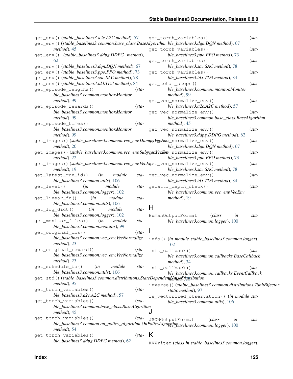| get_env() (stable_baselines3.a2c.A2C method), 57<br>get_env()(stable_baselines3.common.base_class.BaseAlgorithm ble_baselines3.dqn.DQN method), 67 |         | get_torch_variables()                                                                     | $(sta-$ |
|----------------------------------------------------------------------------------------------------------------------------------------------------|---------|-------------------------------------------------------------------------------------------|---------|
| $method$ , 45<br>get_env() (stable_baselines3.ddpg.DDPG method),                                                                                   |         | get_torch_variables()<br>ble_baselines3.ppo.PPO method), 73                               | $(sta-$ |
| 62<br>get_env() (stable_baselines3.dqn.DQN method), 67                                                                                             |         | get_torch_variables()<br>ble_baselines3.sac.SAC method), 78                               | $(sta-$ |
| get_env() (stable_baselines3.ppo.PPO method), 73<br>get_env()(stable_baselines3.sac.SAC method), 78                                                |         | get_torch_variables()<br>ble_baselines3.td3.TD3 method), 84                               | $(sta-$ |
| get_env()(stable_baselines3.td3.TD3 method), 84<br>get_episode_lengths()                                                                           | $(sta-$ | get_total_steps()<br>ble_baselines3.common.monitor.Monitor                                | $(sta-$ |
| ble_baselines3.common.monitor.Monitor                                                                                                              |         | method), 99                                                                               |         |
| method), 99                                                                                                                                        |         | get_vec_normalize_env()                                                                   | $(sta-$ |
| get_episode_rewards()                                                                                                                              | $(sta-$ | ble_baselines3.a2c.A2C method), 57                                                        |         |
| ble_baselines3.common.monitor.Monitor<br>method), 99                                                                                               |         | get_vec_normalize_env()<br>ble_baselines3.common.base_class.BaseAlgorithm                 | $(sta-$ |
| get_episode_times()                                                                                                                                | $(sta-$ | $method$ , 45                                                                             |         |
| ble_baselines3.common.monitor.Monitor<br>method), 99                                                                                               |         | get_vec_normalize_env()<br>ble_baselines3.ddpg.DDPG method), 62                           | $(sta-$ |
| get_images()(stable_baselines3.common.vec_env.Dumney\ecEnv_normalize_env()<br>$method$ , 20                                                        |         | ble_baselines3.dqn.DQN method), 67                                                        | $(sta-$ |
| get_images()(stable_baselines3.common.vec_env.SubpretVecEnv_normalize_env()<br>$method$ , 22                                                       |         | ble_baselines3.ppo.PPO method), 73                                                        | $(sta-$ |
| get_images()(stable_baselines3.common.vec_env.VecEget_vec_normalize_env()<br>$method$ , 19                                                         |         | ble_baselines3.sac.SAC method), 78                                                        | $(sta-$ |
| get_latest_run_id()<br>module<br>(in<br>ble_baselines3.common.utils), 106                                                                          |         | sta- get_vec_normalize_env()<br>ble_baselines3.td3.TD3 method), 84                        | $(sta-$ |
| get_level()<br>(in<br>module<br>ble_baselines3.common.logger), 102                                                                                 | sta-    | getattr_depth_check()<br>ble_baselines3.common.vec_env.VecEnv                             | $(sta-$ |
| get_linear_fn()<br>(in<br>module<br>ble_baselines3.common.utils), 106                                                                              | sta-    | $method$ , 19                                                                             |         |
| get_log_dict()<br>(in<br>module<br>ble_baselines3.common.logger), 102                                                                              | sta-    | H                                                                                         |         |
| get_monitor_files()<br>(in<br>module                                                                                                               | sta-    | HumanOutputFormat<br>(class<br>in<br>ble_baselines3.common.logger), 100                   | sta-    |
| ble_baselines3.common.monitor), 99                                                                                                                 |         |                                                                                           |         |
| get_original_obs()                                                                                                                                 | $(sta-$ |                                                                                           |         |
| ble_baselines3.common.vec_env.VecNormalize<br>$method$ , 23                                                                                        |         | info() (in module stable_baselines3.common.logger),<br>102                                |         |
| get_original_reward()                                                                                                                              | $(sta-$ | init_callback()                                                                           | $(sta-$ |
| ble_baselines3.common.vec_env.VecNormalize<br>$method$ , 23                                                                                        |         | ble_baselines3.common.callbacks.BaseCallback<br>$method$ , 34                             |         |
| get_schedule_fn()<br>module<br>(in                                                                                                                 | sta-    | init_callback()                                                                           | $(sta-$ |
| ble_baselines3.common.utils), 106<br>get_std()(stable_baselines3.common.distributions.StateDependentNetisetDistribution                            |         | ble_baselines3.common.callbacks.EventCallback                                             |         |
| $method$ , 95<br>get_torch_variables()                                                                                                             | $(sta-$ | inverse()(stable_baselines3.common.distributions.TanhBijector<br>static method), 97       |         |
| $ble\_baselines3.a2c.A2C$ method), 57                                                                                                              |         | is_vectorized_observation() (in module sta-                                               |         |
| get_torch_variables()                                                                                                                              | $(sta-$ | ble_baselines3.common.utils), 106                                                         |         |
| ble_baselines3.common.base_class.BaseAlgorithm<br>$method$ , 45                                                                                    |         | J                                                                                         |         |
| get_torch_variables()                                                                                                                              | $(sta-$ | <b>JSONOutputFormat</b><br>(class<br>in                                                   | sta-    |
| $method$ , 54                                                                                                                                      |         | ble_baselines3.common.on_policy_algorithm.OnPolicyAlgorithmgaselines3.common.logger), 100 |         |
| get_torch_variables()                                                                                                                              | $(sta-$ | K                                                                                         |         |
| ble_baselines3.ddpg.DDPG method), 62                                                                                                               |         | KVWriter (class in stable_baselines3.common.logger),                                      |         |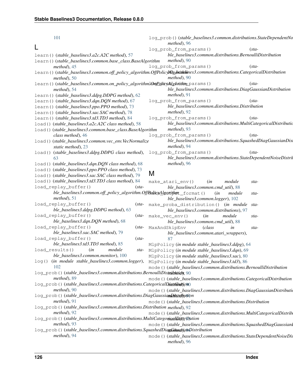| 101                                                                                                                                         |                | log_prob()(stable_baselines3.common.distributions.StateDependentNo<br>$method$ , 96  |         |
|---------------------------------------------------------------------------------------------------------------------------------------------|----------------|--------------------------------------------------------------------------------------|---------|
| L                                                                                                                                           |                | log_prob_from_params()                                                               | $(sta-$ |
| learn() (stable_baselines3.a2c.A2C method), 57                                                                                              |                | ble_baselines3.common.distributions.BernoulliDistribution                            |         |
| learn () (stable_baselines3.common.base_class.BaseAlgorithm                                                                                 |                | $method$ , 90                                                                        |         |
| $method$ ). 45                                                                                                                              |                | log_prob_from_params()                                                               | $(sta-$ |
| learn()(stable_baselines3.common.off_policy_algorithm.OffPolicyNlg_baskhines3.common.distributions.CategoricalDistribution<br>$method$ , 50 |                | $method$ , 90                                                                        |         |
| learn()(stable_baselines3.common.on_policy_algorithml@npQpicyAlgoindm_params()                                                              |                |                                                                                      | $(sta-$ |
| $method$ , 54                                                                                                                               |                | ble_baselines3.common.distributions.DiagGaussianDistribution                         |         |
| learn () (stable_baselines3.ddpg.DDPG method), 62                                                                                           |                | $method$ , 91                                                                        |         |
| learn () (stable_baselines3.dqn.DQN method), 67                                                                                             |                | log_prob_from_params()                                                               | $(sta-$ |
| learn () (stable_baselines3.ppo.PPO method), 73                                                                                             |                | ble_baselines3.common.distributions.Distribution                                     |         |
| learn()(stable_baselines3.sac.SAC method), 78                                                                                               |                | method), 92                                                                          |         |
| learn()(stable_baselines3.td3.TD3 method), 84                                                                                               |                | log_prob_from_params()                                                               | $(sta-$ |
| load () (stable_baselines3.a2c.A2C class method), 58                                                                                        |                | ble_baselines3.common.distributions.MultiCategoricalDistributio                      |         |
| load () (stable_baselines3.common.base_class.BaseAlgorithm                                                                                  |                | $method$ , 93                                                                        |         |
| class method), 46                                                                                                                           |                | log_prob_from_params()                                                               | $(sta-$ |
| load()(stable_baselines3.common.vec_env.VecNormalize<br>static method), 23                                                                  |                | ble_baselines3.common.distributions.SquashedDiagGaussianDisi<br>method), 94          |         |
| load()(stable_baselines3.ddpg.DDPG class method), log_prob_from_params()                                                                    |                |                                                                                      | $(sta-$ |
|                                                                                                                                             |                | ble_baselines3.common.distributions.StateDependentNoiseDistril                       |         |
| load () (stable_baselines3.dqn.DQN class method), 68                                                                                        |                | method), 96                                                                          |         |
| load () (stable_baselines3.ppo.PPO class method), 73                                                                                        | M              |                                                                                      |         |
| load () (stable_baselines3.sac.SAC class method), 79                                                                                        |                |                                                                                      |         |
| load () (stable_baselines3.td3.TD3 class method), 84                                                                                        |                | make_atari_env()<br>(in<br>module                                                    | sta-    |
| load_replay_buffer()<br>$(sta-$<br>ble_baselines3.common.off_policy_algorithm.OffRodicyAlgarithut_format()                                  |                | ble_baselines3.common.cmd_util), 88                                                  |         |
| $method$ , 51                                                                                                                               |                | (in<br>module<br>ble_baselines3.common.logger), 102                                  | sta-    |
| load_replay_buffer()                                                                                                                        |                | (sta- make_proba_distribution() (in module                                           | sta-    |
| ble_baselines3.ddpg.DDPG method), 63                                                                                                        |                | ble_baselines3.common.distributions), 97                                             |         |
| load_replay_buffer()<br>$(sta-$                                                                                                             | make_vec_env() | (in<br>module                                                                        | sta-    |
| ble_baselines3.dqn.DQN method), 68                                                                                                          |                | ble_baselines3.common.cmd_util), 88                                                  |         |
| load_replay_buffer()<br>$(sta-$                                                                                                             | MaxAndSkipEnv  | (class<br>in                                                                         | sta-    |
| ble_baselines3.sac.SAC method), 79                                                                                                          |                | ble_baselines3.common.atari_wrappers),                                               |         |
| load_replay_buffer()<br>$(sta-$                                                                                                             |                | 87                                                                                   |         |
| ble_baselines3.td3.TD3 method), 85                                                                                                          |                | MlpPolicy (in module stable_baselines3.ddpg), 64                                     |         |
| load_results() (in module<br>sta-                                                                                                           |                | MlpPolicy (in module stable_baselines3.dqn), 69                                      |         |
| ble_baselines3.common.monitor), 100                                                                                                         |                | MlpPolicy (in module stable_baselines3.sac), 80                                      |         |
| (in module stable_baselines3.common.logger),<br>$\log()$                                                                                    |                | MlpPolicy (in module stable_baselines3.td3), 86                                      |         |
| 102                                                                                                                                         |                | mode () (stable_baselines3.common.distributions.BernoulliDistribution                |         |
| log_prob()(stable_baselines3.common.distributions.BernoulliDistnihutidn, 90<br>method), 89                                                  |                | mode () (stable_baselines3.common.distributions.CategoricalDistribution              |         |
| log_prob()(stable_baselines3.common.distributions.CategoricalDiatribution)                                                                  |                |                                                                                      |         |
| $method$ , 90                                                                                                                               |                | mode () (stable_baselines3.common.distributions.DiagGaussianDistributions.produce () |         |
| log_prob()(stable_baselines3.common.distributions.DiagGaussiamDiktrdyuyipn                                                                  |                |                                                                                      |         |
| $method$ , 91                                                                                                                               |                | mode () (stable_baselines3.common.distributions.Distribution                         |         |
| log_prob()(stable_baselines3.common.distributions.Distribution method), 92                                                                  |                |                                                                                      |         |
| $method$ , 92                                                                                                                               |                | mode () (stable_baselines3.common.distributions.MultiCategoricalDistrib              |         |
| log_prob()(stable_baselines3.common.distributions.MultiCategoriaalDistribution                                                              |                |                                                                                      |         |
| $method$ , 93                                                                                                                               |                | mode () (stable_baselines3.common.distributions.SquashedDiagGaussianl                |         |
| log_prob()(stable_baselines3.common.distributions.SquashedDiagGdwstyanDistribution                                                          |                |                                                                                      |         |
| $method$ , 94                                                                                                                               |                | mode () (stable_baselines3.common.distributions.StateDependentNoiseDis               |         |
|                                                                                                                                             |                | $method$ , 96                                                                        |         |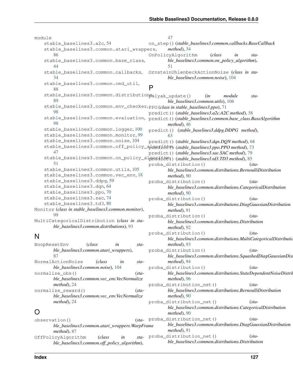module stable\_baselines3.a2c, [54](#page-57-1) stable baselines3.common.atari wrappers, [86](#page-89-1) stable\_baselines3.common.base\_class, [44](#page-47-1) stable\_baselines3.common.callbacks, [34](#page-37-1) stable\_baselines3.common.cmd\_util, [88](#page-91-1) stable\_baselines3.common.distribution<sub>folyak\_update() (*in module sta-*</sub> [89](#page-92-1) stable\_baselines3.common.env\_checker, PPO (*class in stable\_baselines3.ppo*), [71](#page-74-0) [98](#page-101-2) stable\_baselines3.common.evaluation, [98](#page-101-2) stable\_baselines3.common.logger, [100](#page-103-1) stable\_baselines3.common.monitor. [99](#page-102-1) stable\_baselines3.common.noise, [104](#page-107-1) stable\_baselines3.common.off\_policy\_alexetithm, (stable\_baselines3.ppo.PPO method), [73](#page-76-0) [47](#page-50-1) stable\_baselines3.common.on\_policy\_algoritem()(stable\_baselines3.td3.TD3 method), [85](#page-88-0) [51](#page-54-1) stable\_baselines3.common.utils, [105](#page-108-1) stable\_baselines3.common.vec\_env, [18](#page-21-1) stable\_baselines3.ddpg, [59](#page-62-1) stable\_baselines3.dqn, [64](#page-67-1) stable\_baselines3.ppo, [70](#page-73-1) stable\_baselines3.sac, [74](#page-77-1) stable\_baselines3.td3, [80](#page-83-1) Monitor (*class in stable\_baselines3.common.monitor*), [99](#page-102-1) MultiCategoricalDistribution (*class in stable\_baselines3.common.distributions*), [93](#page-96-0) N [47](#page-50-1) on\_step() (*stable\_baselines3.common.callbacks.BaseCallback method*), [34](#page-37-1) OnPolicyAlgorithm (*class in stable\_baselines3.common.on\_policy\_algorithm*), [51](#page-54-1) OrnsteinUhlenbeckActionNoise (*class in stable\_baselines3.common.noise*), [104](#page-107-1) P *ble\_baselines3.common.utils*), [106](#page-109-0) predict() (*stable\_baselines3.a2c.A2C method*), [58](#page-61-0) predict() (*stable\_baselines3.common.base\_class.BaseAlgorithm method*), [46](#page-49-0) predict() (*stable\_baselines3.ddpg.DDPG method*), [63](#page-66-0) predict() (*stable\_baselines3.dqn.DQN method*), [68](#page-71-0) predict() (*stable\_baselines3.sac.SAC method*), [79](#page-82-0) proba\_distribution() (*stable\_baselines3.common.distributions.BernoulliDistribution method*), [90](#page-93-0) proba\_distribution() (*stable\_baselines3.common.distributions.CategoricalDistribution method*), [90](#page-93-0) proba\_distribution() (*stable\_baselines3.common.distributions.DiagGaussianDistribution method*), [91](#page-94-0) proba\_distribution() (*stable\_baselines3.common.distributions.Distribution method*), [92](#page-95-0) proba\_distribution() (*stable\_baselines3.common.distributions.MultiCategoricalDistribution*

*method*), [93](#page-96-0)

*method*), [94](#page-97-0)

*method*), [96](#page-99-0)

*method*), [90](#page-93-0)

*method*), [90](#page-93-0)

proba\_distribution() (*sta-*

proba\_distribution() (*sta-*

proba\_distribution\_net() (*sta-*

proba\_distribution\_net() (*sta-*

| NoopResetEnv                               | (class | in | sta-    |
|--------------------------------------------|--------|----|---------|
| ble_baselines3.common.atari_wrappers),     |        |    |         |
| 87                                         |        |    |         |
| NormalActionNoise                          | (class | in | sta-    |
| ble baselines3.common.noise), 104          |        |    |         |
| normalize obs()                            |        |    | $(sta-$ |
| ble baselines3.common.vec_env.VecNormalize |        |    |         |
| $method$ , 24                              |        |    |         |
| normalize reward()                         |        |    | $(sta-$ |
| ble baselines3.common.vec env.VecNormalize |        |    |         |
| method), 24                                |        |    |         |
|                                            |        |    |         |

#### observation() (*stable\_baselines3.common.atari\_wrappers.WarpFrame method*), [87](#page-90-0) OffPolicyAlgorithm (*class in stable\_baselines3.common.off\_policy\_algorithm*), proba\_distribution\_net() (*sta-*

*ble\_baselines3.common.distributions.SquashedDiagGaussianDis* 

*ble\_baselines3.common.distributions.StateDependentNoiseDistribution*

*ble\_baselines3.common.distributions.BernoulliDistribution*

*ble\_baselines3.common.distributions.CategoricalDistribution*

*ble\_baselines3.common.distributions.DiagGaussianDistribution method*), [91](#page-94-0) proba\_distribution\_net() (*stable\_baselines3.common.distributions.Distribution*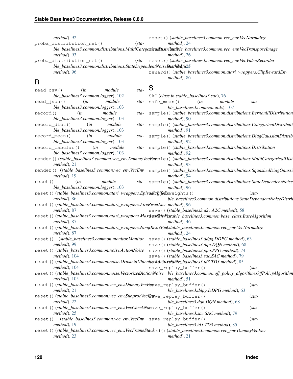|               | $method$ , 92                                                                                                                |      |                                          |                                   | reset () (stable_baselines3.common.vec_env.VecNormalize          |                                                                          |
|---------------|------------------------------------------------------------------------------------------------------------------------------|------|------------------------------------------|-----------------------------------|------------------------------------------------------------------|--------------------------------------------------------------------------|
|               | proba_distribution_net()<br>$(sta-$                                                                                          |      | $method$ , 24                            |                                   |                                                                  |                                                                          |
|               | ble_baselines3.common.distributions.MultiCategoriesHtistriksttible_baselines3.common.vec_env.VecTransposeImage               |      |                                          |                                   |                                                                  |                                                                          |
|               | $method$ , 93                                                                                                                |      | $method$ , 26                            |                                   |                                                                  |                                                                          |
|               | proba_distribution_net()                                                                                                     |      |                                          |                                   | (sta-reset () (stable_baselines3.common.vec_env.VecVideoRecorder |                                                                          |
|               | ble_baselines3.common.distributions.StateDependentNoiseDitethibolijoni                                                       |      |                                          |                                   |                                                                  |                                                                          |
|               | method), 96                                                                                                                  |      |                                          |                                   |                                                                  | reward()(stable_baselines3.common.atari_wrappers.ClipRewardEnv           |
|               |                                                                                                                              |      | method), 86                              |                                   |                                                                  |                                                                          |
| R             |                                                                                                                              |      |                                          |                                   |                                                                  |                                                                          |
| $read_csv()$  | module<br>$sta-$<br>(in                                                                                                      | S    |                                          |                                   |                                                                  |                                                                          |
|               | ble_baselines3.common.logger), 102                                                                                           |      | SAC (class in stable_baselines3.sac), 76 |                                   |                                                                  |                                                                          |
| $read_json()$ | (in<br>module                                                                                                                | sta- | safe_mean()                              | (in                               | module                                                           | sta-                                                                     |
|               | ble_baselines3.common.logger), 103                                                                                           |      |                                          | ble_baselines3.common.utils), 107 |                                                                  |                                                                          |
| record()      | (in<br>module                                                                                                                | sta- |                                          |                                   |                                                                  | sample()(stable_baselines3.common.distributions.BernoulliDistribution    |
|               | ble_baselines3.common.logger), 103                                                                                           |      | $method$ , 90                            |                                   |                                                                  |                                                                          |
|               | record_dict()<br>(in<br>module                                                                                               | sta- |                                          |                                   |                                                                  | sample()(stable_baselines3.common.distributions.CategoricalDistributi    |
|               | ble_baselines3.common.logger), 103                                                                                           |      | $method$ , 91                            |                                   |                                                                  |                                                                          |
|               | module<br>$record$ mean $()$<br>(in                                                                                          | sta- |                                          |                                   |                                                                  | sample()(stable_baselines3.common.distributions.DiagGaussianDistrib      |
|               | ble_baselines3.common.logger), 103                                                                                           |      | $method$ , 92                            |                                   |                                                                  |                                                                          |
|               | record_tabular()<br>(in<br>module                                                                                            | sta- |                                          |                                   | sample()(stable_baselines3.common.distributions.Distribution     |                                                                          |
|               | ble_baselines3.common.logger), 103                                                                                           |      | $method$ , 92                            |                                   |                                                                  |                                                                          |
|               | render () (stable_baselines3.common.vec_env.DummyVecEample() (stable_baselines3.common.distributions.MultiCategoricalDist    |      |                                          |                                   |                                                                  |                                                                          |
|               | $method$ , 21                                                                                                                |      | $method$ , 93                            |                                   |                                                                  |                                                                          |
|               | render () (stable_baselines3.common.vec_env.VecEnv sample()(stable_baselines3.common.distributions.SquashedDiagGaussi        |      |                                          |                                   |                                                                  |                                                                          |
|               | $method$ , 19                                                                                                                |      | $method$ , 94                            |                                   |                                                                  |                                                                          |
| reset()       | module<br>(in                                                                                                                |      |                                          |                                   |                                                                  | sta- sample()(stable_baselines3.common.distributions.StateDependentNoise |
|               | ble_baselines3.common.logger), 103                                                                                           |      | $method$ , 96                            |                                   |                                                                  |                                                                          |
|               | reset()(stable_baselines3.common.atari_wrappers.EpisodiclifeEnweights()                                                      |      |                                          |                                   |                                                                  | $(sta-$                                                                  |
|               | $method$ , 86                                                                                                                |      |                                          |                                   |                                                                  | ble_baselines3.common.distributions.StateDependentNoiseDistril           |
|               | reset () (stable_baselines3.common.atari_wrappers.FireResetEnv method), 96                                                   |      |                                          |                                   |                                                                  |                                                                          |
|               | $method$ , 87                                                                                                                |      |                                          |                                   | save () (stable_baselines3.a2c.A2C method), 58                   |                                                                          |
|               | reset () (stable_baselines3.common.atari_wrappers.MaxAndSkipEiwable_baselines3.common.base_class.BaseAlgorithm               |      |                                          |                                   |                                                                  |                                                                          |
|               | $method$ , 87                                                                                                                |      | $method$ , 46                            |                                   |                                                                  |                                                                          |
|               | reset () (stable_baselines3.common.atari_wrappers.NoopResetEm(stable_baselines3.common.vec_env.VecNormalize                  |      |                                          |                                   |                                                                  |                                                                          |
|               | $method$ , 87                                                                                                                |      | $method$ , 24                            |                                   |                                                                  |                                                                          |
|               | reset () (stable_baselines3.common.monitor.Monitor save () (stable_baselines3.ddpg.DDPG method), 63<br>$method$ , 99         |      |                                          |                                   |                                                                  |                                                                          |
|               | reset () (stable_baselines3.common.noise.ActionNoise                                                                         |      |                                          |                                   | save () (stable_baselines3.dqn.DQN method), 68                   |                                                                          |
|               | $method$ , 104                                                                                                               |      |                                          |                                   | save () (stable_baselines3.ppo.PPO method), 74                   |                                                                          |
|               | reset () (stable_baselines3.common.noise.OrnsteinUhlenbeckAqtjo(wNdike_baselines3.td3.TD3 method), 85                        |      |                                          |                                   | save()(stable_baselines3.sac.SAC method), 79                     |                                                                          |
|               | $method$ , 104                                                                                                               |      |                                          |                                   |                                                                  | $(sta-$                                                                  |
|               | reset () (stable_baselines3.common.noise.VectorizedActionNoise ble_baselines3.common.off_policy_algorithm.OffPolicyAlgorithm |      | save_replay_buffer()                     |                                   |                                                                  |                                                                          |
|               | $method$ , 105                                                                                                               |      | $method$ , 51                            |                                   |                                                                  |                                                                          |
|               | reset()(stable_baselines3.common.vec_env.DummyVecEmave_replay_buffer()                                                       |      |                                          |                                   |                                                                  | $(sta-$                                                                  |
|               | $method$ , 21                                                                                                                |      |                                          |                                   | ble_baselines3.ddpg.DDPG method), 63                             |                                                                          |
|               |                                                                                                                              |      |                                          |                                   |                                                                  |                                                                          |

reset()(*stable\_baselines3.common.vec\_env.SubprocVecEs* ave\_replay\_buffer() (*sta-*

*ble\_baselines3.dqn.DQN method*), [68](#page-71-0)

*ble\_baselines3.sac.SAC method*), [79](#page-82-0)

*ble\_baselines3.td3.TD3 method*), [85](#page-88-0)

*method*), [21](#page-24-0)

reset() (*stable\_baselines3.common.vec\_env.VecCheckNan* save\_replay\_buffer() (*sta-*

reset() (*stable\_baselines3.common.vec\_env.VecEnv* save\_replay\_buffer() (*sta-*

reset()(stable\_baselines3.common.vec\_env.VecFrameStacked()(stable\_baselines3.common.vec\_env.DummyVecEnv

*method*), [22](#page-25-0)

*method*), [25](#page-28-0)

*method*), [19](#page-22-0)

*method*), [23](#page-26-0)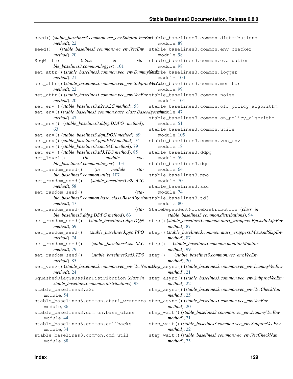| $method$ , 22                                                                             | seed()(stable_baselines3.common.vec_env.SubprocVecEnstable_baselines3.common.distributions<br>module, 89                        |
|-------------------------------------------------------------------------------------------|---------------------------------------------------------------------------------------------------------------------------------|
| seed()<br>$method$ , 20                                                                   | (stable_baselines3.common.vec_env.VecEnv stable_baselines3.common.env_checker<br>module, 98                                     |
| (class<br>SeqWriter<br>in                                                                 | sta- stable_baselines3.common.evaluation                                                                                        |
| ble_baselines3.common.logger), 101                                                        | module, 98                                                                                                                      |
| set_attr()(stable_baselines3.common.vec_env.Dummy\&cHmle_baselines3.common.logger         |                                                                                                                                 |
| $method$ , 21                                                                             | module, 100                                                                                                                     |
| set_attr()(stable_baselines3.common.vec_env.SubprocyeeEnve_baselines3.common.monitor      |                                                                                                                                 |
| $method$ , 22                                                                             | module, 99                                                                                                                      |
| set_attr()(stable_baselines3.common.vec_env.VecEnvstable_baselines3.common.noise          |                                                                                                                                 |
| $method$ , 20                                                                             | module, 104                                                                                                                     |
| set_env()(stable_baselines3.a2c.A2C method), 58                                           | stable_baselines3.common.off_policy_algorithm                                                                                   |
| set_env()(stable_baselines3.common.base_class.BaseAlgorithmdule, 47                       |                                                                                                                                 |
| $method$ , 47                                                                             | stable_baselines3.common.on_policy_algorithm                                                                                    |
| set_env() (stable_baselines3.ddpg.DDPG method),                                           | module, 51                                                                                                                      |
| 63                                                                                        | stable_baselines3.common.utils                                                                                                  |
| set_env()(stable_baselines3.dqn.DQN method), 69                                           | module, 105                                                                                                                     |
| set_env()(stable_baselines3.ppo.PPO method), 74                                           | stable_baselines3.common.vec_env                                                                                                |
| set_env()(stable_baselines3.sac.SAC method), 79                                           | module, 18                                                                                                                      |
| set_env()(stable_baselines3.td3.TD3 method), 85                                           | stable_baselines3.ddpg                                                                                                          |
| set_level()<br>(in<br>module<br>sta-                                                      | module, 59                                                                                                                      |
| ble_baselines3.common.logger), 103                                                        | stable_baselines3.dqn                                                                                                           |
| set_random_seed()<br>(in<br>module<br>sta-                                                | module, 64                                                                                                                      |
| ble_baselines3.common.utils), 107                                                         | stable_baselines3.ppo                                                                                                           |
| $(stable\_baselines3.a2c.A2C$<br>set_random_seed()                                        | module, 70                                                                                                                      |
| method), 58                                                                               | stable_baselines3.sac                                                                                                           |
| set_random_seed()<br>$(sta-$                                                              | module, 74                                                                                                                      |
| ble_baselines3.common.base_class.BaseAlgorithmstable_baselines3.td3                       |                                                                                                                                 |
| method), 47                                                                               | module, 80                                                                                                                      |
| set_random_seed()                                                                         | (sta- StateDependentNoiseDistribution (class in                                                                                 |
| ble_baselines3.ddpg.DDPG method), 63                                                      | stable_baselines3.common.distributions), 94                                                                                     |
| set_random_seed()<br>method), 69                                                          | (stable_baselines3.dqn.DQN step()(stable_baselines3.common.atari_wrappers.EpisodicLifeEnv<br>$method$ , 87                      |
| set_random_seed()<br>method), 74                                                          | (stable_baselines3.ppo.PPO step()(stable_baselines3.common.atari_wrappers.MaxAndSkipEnv<br>$method$ , 87                        |
| (stable_baselines3.sac.SAC step()<br>set_random_seed()<br>method), 79                     | (stable_baselines3.common.monitor.Monitor<br>method), 99                                                                        |
| (stable_baselines3.td3.TD3 step()<br>set_random_seed()                                    | (stable_baselines3.common.vec_env.VecEnv                                                                                        |
| method), 85                                                                               | $method$ , 20                                                                                                                   |
| $method$ , 24                                                                             | set_venv()(stable_baselines3.common.vec_env.VecNormallege_async()(stable_baselines3.common.vec_env.DummyVecEnv<br>$method$ , 21 |
| SquashedDiagGaussianDistribution (class in<br>stable_baselines3.common.distributions), 93 | step_async()(stable_baselines3.common.vec_env.SubprocVecEnv<br>$method$ , 22                                                    |
| stable_baselines3.a2c                                                                     | step_async()(stable_baselines3.common.vec_env.VecCheckNan                                                                       |
| module, 54                                                                                | $method$ , 25                                                                                                                   |
|                                                                                           | stable_baselines3.common.atari_wrappers step_async()(stable_baselines3.common.vec_env.VecEnv                                    |
| module, 86                                                                                | $method$ , 20                                                                                                                   |
| stable_baselines3.common.base_class                                                       | step_wait()(stable_baselines3.common.vec_env.DummyVecEnv                                                                        |
| module, 44                                                                                | $method$ , 21                                                                                                                   |
| stable_baselines3.common.callbacks<br>module, 34                                          | step_wait()(stable_baselines3.common.vec_env.SubprocVecEnv<br>$method$ , 22                                                     |
| stable_baselines3.common.cmd_util<br>module, 88                                           | step_wait()(stable_baselines3.common.vec_env.VecCheckNan<br>$method$ , 25                                                       |